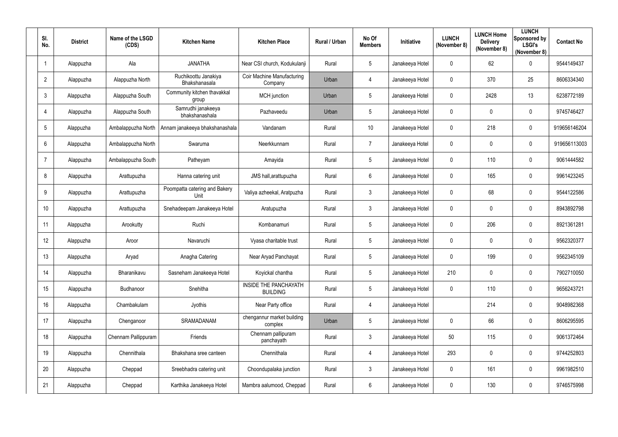| SI.<br>No.      | <b>District</b> | Name of the LSGD<br>(CDS) | <b>Kitchen Name</b>                   | <b>Kitchen Place</b>                            | Rural / Urban | No Of<br><b>Members</b> | Initiative      | <b>LUNCH</b><br>(November 8) | <b>LUNCH Home</b><br><b>Delivery</b><br>(November 8) | <b>LUNCH</b><br>Sponsored by<br><b>LSGI's</b><br>(November 8) | <b>Contact No</b> |
|-----------------|-----------------|---------------------------|---------------------------------------|-------------------------------------------------|---------------|-------------------------|-----------------|------------------------------|------------------------------------------------------|---------------------------------------------------------------|-------------------|
|                 | Alappuzha       | Ala                       | <b>JANATHA</b>                        | Near CSI church, Kodukulanji                    | Rural         | $5\overline{)}$         | Janakeeya Hotel | $\overline{0}$               | 62                                                   | $\mathbf 0$                                                   | 9544149437        |
| $\overline{2}$  | Alappuzha       | Alappuzha North           | Ruchikoottu Janakiya<br>Bhakshanasala | Coir Machine Manufacturing<br>Company           | Urban         | $\overline{4}$          | Janakeeya Hotel | $\boldsymbol{0}$             | 370                                                  | 25                                                            | 8606334340        |
| 3               | Alappuzha       | Alappuzha South           | Community kitchen thavakkal<br>group  | <b>MCH</b> junction                             | Urban         | $5\phantom{.0}$         | Janakeeya Hotel | $\mathbf 0$                  | 2428                                                 | 13                                                            | 6238772189        |
| 4               | Alappuzha       | Alappuzha South           | Samrudhi janakeeya<br>bhakshanashala  | Pazhaveedu                                      | Urban         | $\sqrt{5}$              | Janakeeya Hotel | $\boldsymbol{0}$             | $\mathbf 0$                                          | $\overline{0}$                                                | 9745746427        |
| $5\overline{)}$ | Alappuzha       | Ambalappuzha North        | Annam janakeeya bhakshanashala        | Vandanam                                        | Rural         | 10                      | Janakeeya Hotel | $\mathbf 0$                  | 218                                                  | $\mathbf 0$                                                   | 919656146204      |
| $6\phantom{.}6$ | Alappuzha       | Ambalappuzha North        | Swaruma                               | Neerkkunnam                                     | Rural         | $\overline{7}$          | Janakeeya Hotel | $\overline{0}$               | $\mathbf 0$                                          | $\mathbf 0$                                                   | 919656113003      |
| -7              | Alappuzha       | Ambalappuzha South        | Patheyam                              | Amayida                                         | Rural         | $5\overline{)}$         | Janakeeya Hotel | $\mathbf 0$                  | 110                                                  | $\mathbf 0$                                                   | 9061444582        |
| 8               | Alappuzha       | Arattupuzha               | Hanna catering unit                   | JMS hall, arattupuzha                           | Rural         | $6\overline{6}$         | Janakeeya Hotel | $\mathbf 0$                  | 165                                                  | $\mathbf 0$                                                   | 9961423245        |
| 9               | Alappuzha       | Arattupuzha               | Poompatta catering and Bakery<br>Unit | Valiya azheekal, Aratpuzha                      | Rural         | $\mathbf{3}$            | Janakeeya Hotel | $\boldsymbol{0}$             | 68                                                   | $\overline{0}$                                                | 9544122586        |
| 10              | Alappuzha       | Arattupuzha               | Snehadeepam Janakeeya Hotel           | Aratupuzha                                      | Rural         | $\mathbf{3}$            | Janakeeya Hotel | $\mathbf 0$                  | $\mathbf 0$                                          | $\overline{0}$                                                | 8943892798        |
| 11              | Alappuzha       | Arookutty                 | Ruchi                                 | Kombanamuri                                     | Rural         | $5\overline{)}$         | Janakeeya Hotel | $\overline{0}$               | 206                                                  | $\boldsymbol{0}$                                              | 8921361281        |
| 12              | Alappuzha       | Aroor                     | Navaruchi                             | Vyasa charitable trust                          | Rural         | $5\phantom{.0}$         | Janakeeya Hotel | $\mathbf 0$                  | $\mathbf 0$                                          | $\overline{0}$                                                | 9562320377        |
| 13              | Alappuzha       | Aryad                     | Anagha Catering                       | Near Aryad Panchayat                            | Rural         | 5                       | Janakeeya Hotel | $\mathbf 0$                  | 199                                                  | 0                                                             | 9562345109        |
| 14              | Alappuzha       | Bharanikavu               | Sasneham Janakeeya Hotel              | Koyickal chantha                                | Rural         | $5\phantom{.0}$         | Janakeeya Hotel | 210                          | $\mathbf 0$                                          | $\mathbf 0$                                                   | 7902710050        |
| 15              | Alappuzha       | Budhanoor                 | Snehitha                              | <b>INSIDE THE PANCHAYATH</b><br><b>BUILDING</b> | Rural         | $5\phantom{.0}$         | Janakeeya Hotel | $\pmb{0}$                    | 110                                                  | $\mathbf 0$                                                   | 9656243721        |
| 16              | Alappuzha       | Chambakulam               | Jyothis                               | Near Party office                               | Rural         | $\overline{4}$          | Janakeeya Hotel |                              | 214                                                  | $\mathbf 0$                                                   | 9048982368        |
| 17              | Alappuzha       | Chenganoor                | SRAMADANAM                            | chengannur market building<br>complex           | Urban         | $5\overline{)}$         | Janakeeya Hotel | $\overline{0}$               | 66                                                   | $\mathbf 0$                                                   | 8606295595        |
| 18              | Alappuzha       | Chennam Pallippuram       | Friends                               | Chennam pallipuram<br>panchayath                | Rural         | $\mathbf{3}$            | Janakeeya Hotel | 50                           | 115                                                  | $\mathbf 0$                                                   | 9061372464        |
| 19              | Alappuzha       | Chennithala               | Bhakshana sree canteen                | Chennithala                                     | Rural         | $\overline{4}$          | Janakeeya Hotel | 293                          | $\mathbf 0$                                          | $\mathbf 0$                                                   | 9744252803        |
| 20              | Alappuzha       | Cheppad                   | Sreebhadra catering unit              | Choondupalaka junction                          | Rural         | $\mathbf{3}$            | Janakeeya Hotel | $\mathbf 0$                  | 161                                                  | $\mathbf 0$                                                   | 9961982510        |
| 21              | Alappuzha       | Cheppad                   | Karthika Janakeeya Hotel              | Mambra aalumood, Cheppad                        | Rural         | $6\overline{6}$         | Janakeeya Hotel | $\boldsymbol{0}$             | 130                                                  | $\bm{0}$                                                      | 9746575998        |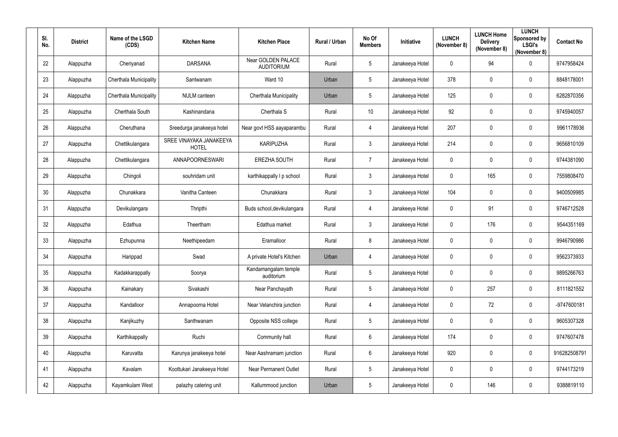| SI.<br>No. | <b>District</b> | Name of the LSGD<br>(CDS)     | <b>Kitchen Name</b>                     | <b>Kitchen Place</b>                    | Rural / Urban | No Of<br><b>Members</b> | Initiative      | <b>LUNCH</b><br>(November 8) | <b>LUNCH Home</b><br><b>Delivery</b><br>(November 8) | <b>LUNCH</b><br>Sponsored by<br><b>LSGI's</b><br>(November 8) | <b>Contact No</b> |
|------------|-----------------|-------------------------------|-----------------------------------------|-----------------------------------------|---------------|-------------------------|-----------------|------------------------------|------------------------------------------------------|---------------------------------------------------------------|-------------------|
| 22         | Alappuzha       | Cheriyanad                    | <b>DARSANA</b>                          | Near GOLDEN PALACE<br><b>AUDITORIUM</b> | Rural         | $5\phantom{.0}$         | Janakeeya Hotel | $\mathbf 0$                  | 94                                                   | $\mathbf 0$                                                   | 9747958424        |
| 23         | Alappuzha       | <b>Cherthala Municipality</b> | Santwanam                               | Ward 10                                 | Urban         | $5\overline{)}$         | Janakeeya Hotel | 378                          | 0                                                    | $\mathbf 0$                                                   | 8848178001        |
| 24         | Alappuzha       | Cherthala Municipality        | <b>NULM</b> canteen                     | Cherthala Municipality                  | Urban         | $5\phantom{.0}$         | Janakeeya Hotel | 125                          | $\mathbf 0$                                          | $\mathbf 0$                                                   | 6282870356        |
| 25         | Alappuzha       | Cherthala South               | Kashinandana                            | Cherthala S                             | Rural         | 10                      | Janakeeya Hotel | 92                           | 0                                                    | $\mathbf 0$                                                   | 9745940057        |
| 26         | Alappuzha       | Cheruthana                    | Sreedurga janakeeya hotel               | Near govt HSS aayaparambu               | Rural         | 4                       | Janakeeya Hotel | 207                          | $\overline{0}$                                       | $\overline{0}$                                                | 9961178936        |
| 27         | Alappuzha       | Chettikulangara               | SREE VINAYAKA JANAKEEYA<br><b>HOTEL</b> | <b>KARIPUZHA</b>                        | Rural         | $\mathbf{3}$            | Janakeeya Hotel | 214                          | $\mathbf 0$                                          | $\mathbf 0$                                                   | 9656810109        |
| 28         | Alappuzha       | Chettikulangara               | ANNAPOORNESWARI                         | <b>EREZHA SOUTH</b>                     | Rural         | $\overline{7}$          | Janakeeya Hotel | $\mathbf 0$                  | 0                                                    | $\mathbf 0$                                                   | 9744381090        |
| 29         | Alappuzha       | Chingoli                      | souhridam unit                          | karthikappally I p school               | Rural         | 3 <sup>5</sup>          | Janakeeya Hotel | $\mathbf 0$                  | 165                                                  | $\mathbf 0$                                                   | 7559808470        |
| 30         | Alappuzha       | Chunakkara                    | Vanitha Canteen                         | Chunakkara                              | Rural         | $\mathbf{3}$            | Janakeeya Hotel | 104                          | $\overline{0}$                                       | $\overline{0}$                                                | 9400509985        |
| 31         | Alappuzha       | Devikulangara                 | Thripthi                                | Buds school, devikulangara              | Rural         | 4                       | Janakeeya Hotel | $\mathbf 0$                  | 91                                                   | $\mathbf 0$                                                   | 9746712528        |
| 32         | Alappuzha       | Edathua                       | Theertham                               | Edathua market                          | Rural         | 3                       | Janakeeya Hotel | $\mathbf 0$                  | 176                                                  | $\boldsymbol{0}$                                              | 9544351169        |
| 33         | Alappuzha       | Ezhupunna                     | Neethipeedam                            | Eramalloor                              | Rural         | 8                       | Janakeeya Hotel | $\mathbf 0$                  | $\overline{0}$                                       | $\overline{0}$                                                | 9946790986        |
| 34         | Alappuzha       | Harippad                      | Swad                                    | A private Hotel's Kitchen               | Urban         | 4                       | Janakeeya Hotel | $\mathbf 0$                  | 0                                                    | $\mathbf 0$                                                   | 9562373933        |
| 35         | Alappuzha       | Kadakkarappally               | Soorya                                  | Kandamangalam temple<br>auditorium      | Rural         | $5\overline{)}$         | Janakeeya Hotel | $\overline{0}$               | $\mathbf 0$                                          | $\mathbf 0$                                                   | 9895266763        |
| 36         | Alappuzha       | Kainakary                     | Sivakashi                               | Near Panchayath                         | Rural         | $5\overline{)}$         | Janakeeya Hotel | $\boldsymbol{0}$             | 257                                                  | $\pmb{0}$                                                     | 8111821552        |
| 37         | Alappuzha       | Kandalloor                    | Annapoorna Hotel                        | Near Velanchira junction                | Rural         | $\overline{4}$          | Janakeeya Hotel | $\pmb{0}$                    | 72                                                   | $\mathbf 0$                                                   | -9747600181       |
| 38         | Alappuzha       | Kanjikuzhy                    | Santhwanam                              | Opposite NSS college                    | Rural         | $5\overline{)}$         | Janakeeya Hotel | $\overline{0}$               | $\mathbf 0$                                          | $\mathbf 0$                                                   | 9605307328        |
| 39         | Alappuzha       | Karthikappally                | Ruchi                                   | Community hall                          | Rural         | $6\overline{6}$         | Janakeeya Hotel | 174                          | $\mathbf 0$                                          | $\mathbf 0$                                                   | 9747607478        |
| 40         | Alappuzha       | Karuvatta                     | Karunya janakeeya hotel                 | Near Aashramam junction                 | Rural         | $6\overline{6}$         | Janakeeya Hotel | 920                          | $\mathbf 0$                                          | $\pmb{0}$                                                     | 916282508791      |
| 41         | Alappuzha       | Kavalam                       | Koottukari Janakeeya Hotel              | Near Permanent Outlet                   | Rural         | $5\overline{)}$         | Janakeeya Hotel | $\boldsymbol{0}$             | $\mathbf 0$                                          | $\mathbf 0$                                                   | 9744173219        |
| 42         | Alappuzha       | Kayamkulam West               | palazhy catering unit                   | Kallummood junction                     | Urban         | $5\phantom{.0}$         | Janakeeya Hotel | $\boldsymbol{0}$             | 146                                                  | $\bm{0}$                                                      | 9388819110        |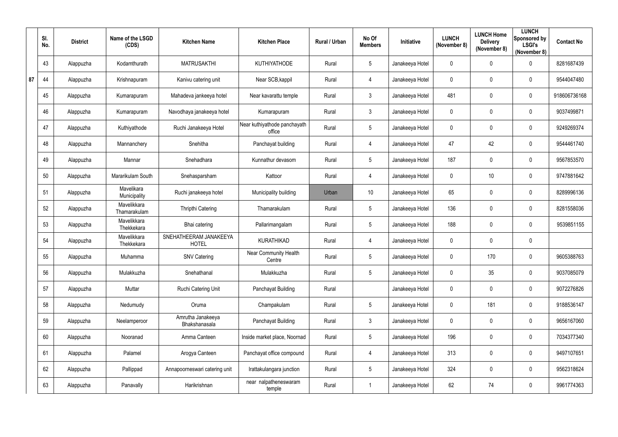|    | SI.<br>No. | <b>District</b> | Name of the LSGD<br>(CDS)   | <b>Kitchen Name</b>                    | <b>Kitchen Place</b>                   | Rural / Urban | No Of<br><b>Members</b> | Initiative      | <b>LUNCH</b><br>(November 8) | <b>LUNCH Home</b><br><b>Delivery</b><br>(November 8) | <b>LUNCH</b><br>Sponsored by<br><b>LSGI's</b><br>(November 8) | <b>Contact No</b> |
|----|------------|-----------------|-----------------------------|----------------------------------------|----------------------------------------|---------------|-------------------------|-----------------|------------------------------|------------------------------------------------------|---------------------------------------------------------------|-------------------|
|    | 43         | Alappuzha       | Kodamthurath                | <b>MATRUSAKTHI</b>                     | <b>KUTHIYATHODE</b>                    | Rural         | 5                       | Janakeeya Hotel | $\mathbf 0$                  | 0                                                    | $\mathbf 0$                                                   | 8281687439        |
| 87 | 44         | Alappuzha       | Krishnapuram                | Kanivu catering unit                   | Near SCB, kappil                       | Rural         | 4                       | Janakeeya Hotel | $\mathbf 0$                  | 0                                                    | $\mathbf 0$                                                   | 9544047480        |
|    | 45         | Alappuzha       | Kumarapuram                 | Mahadeva jankeeya hotel                | Near kavarattu temple                  | Rural         | $3\overline{3}$         | Janakeeya Hotel | 481                          | 0                                                    | $\mathbf 0$                                                   | 918606736168      |
|    | 46         | Alappuzha       | Kumarapuram                 | Navodhaya janakeeya hotel              | Kumarapuram                            | Rural         | $\mathfrak{Z}$          | Janakeeya Hotel | $\overline{0}$               | 0                                                    | $\mathbf 0$                                                   | 9037499871        |
|    | 47         | Alappuzha       | Kuthiyathode                | Ruchi Janakeeya Hotel                  | Near kuthiyathode panchayath<br>office | Rural         | 5                       | Janakeeya Hotel | $\mathbf 0$                  | 0                                                    | $\mathbf 0$                                                   | 9249269374        |
|    | 48         | Alappuzha       | Mannanchery                 | Snehitha                               | Panchayat building                     | Rural         | $\overline{4}$          | Janakeeya Hotel | 47                           | 42                                                   | $\boldsymbol{0}$                                              | 9544461740        |
|    | 49         | Alappuzha       | Mannar                      | Snehadhara                             | Kunnathur devasom                      | Rural         | 5                       | Janakeeya Hotel | 187                          | 0                                                    | $\mathbf 0$                                                   | 9567853570        |
|    | 50         | Alappuzha       | Mararikulam South           | Snehasparsham                          | Kattoor                                | Rural         | $\overline{4}$          | Janakeeya Hotel | $\mathbf 0$                  | 10                                                   | $\mathbf 0$                                                   | 9747881642        |
|    | 51         | Alappuzha       | Mavelikara<br>Municipality  | Ruchi janakeeya hotel                  | Municipality building                  | Urban         | 10                      | Janakeeya Hotel | 65                           | 0                                                    | $\mathbf 0$                                                   | 8289996136        |
|    | 52         | Alappuzha       | Mavelikkara<br>Thamarakulam | Thripthi Catering                      | Thamarakulam                           | Rural         | 5                       | Janakeeya Hotel | 136                          | 0                                                    | $\mathbf 0$                                                   | 8281558036        |
|    | 53         | Alappuzha       | Mavelikkara<br>Thekkekara   | Bhai catering                          | Pallarimangalam                        | Rural         | 5                       | Janakeeya Hotel | 188                          | 0                                                    | $\mathbf 0$                                                   | 9539851155        |
|    | 54         | Alappuzha       | Mavelikkara<br>Thekkekara   | SNEHATHEERAM JANAKEEYA<br><b>HOTEL</b> | <b>KURATHIKAD</b>                      | Rural         | 4                       | Janakeeya Hotel | $\mathbf 0$                  | 0                                                    | $\boldsymbol{0}$                                              |                   |
|    | 55         | Alappuzha       | Muhamma                     | <b>SNV Catering</b>                    | Near Community Health<br>Centre        | Rural         | 5                       | Janakeeya Hotel | $\mathbf 0$                  | 170                                                  | 0                                                             | 9605388763        |
|    | 56         | Alappuzha       | Mulakkuzha                  | Snehathanal                            | Mulakkuzha                             | Rural         | 5                       | Janakeeya Hotel | $\mathbf 0$                  | 35                                                   | $\pmb{0}$                                                     | 9037085079        |
|    | 57         | Alappuzha       | Muttar                      | Ruchi Catering Unit                    | Panchayat Building                     | Rural         |                         | Janakeeya Hotel | $\mathbf 0$                  | 0                                                    | $\mathbf 0$                                                   | 9072276826        |
|    | 58         | Alappuzha       | Nedumudy                    | Oruma                                  | Champakulam                            | Rural         | 5                       | Janakeeya Hotel | $\mathbf 0$                  | 181                                                  | $\pmb{0}$                                                     | 9188536147        |
|    | 59         | Alappuzha       | Neelamperoor                | Amrutha Janakeeya<br>Bhakshanasala     | Panchayat Building                     | Rural         | $\mathfrak{Z}$          | Janakeeya Hotel | $\mathbf 0$                  | 0                                                    | $\pmb{0}$                                                     | 9656167060        |
|    | 60         | Alappuzha       | Nooranad                    | Amma Canteen                           | Inside market place, Noornad           | Rural         | $5\overline{)}$         | Janakeeya Hotel | 196                          | 0                                                    | $\mathbf 0$                                                   | 7034377340        |
|    | 61         | Alappuzha       | Palamel                     | Arogya Canteen                         | Panchayat office compound              | Rural         | $\overline{4}$          | Janakeeya Hotel | 313                          | 0                                                    | $\pmb{0}$                                                     | 9497107651        |
|    | 62         | Alappuzha       | Pallippad                   | Annapoorneswari catering unit          | Irattakulangara junction               | Rural         | $5\overline{)}$         | Janakeeya Hotel | 324                          | 0                                                    | $\mathbf 0$                                                   | 9562318624        |
|    | 63         | Alappuzha       | Panavally                   | Harikrishnan                           | near nalpatheneswaram<br>temple        | Rural         |                         | Janakeeya Hotel | 62                           | 74                                                   | $\overline{0}$                                                | 9961774363        |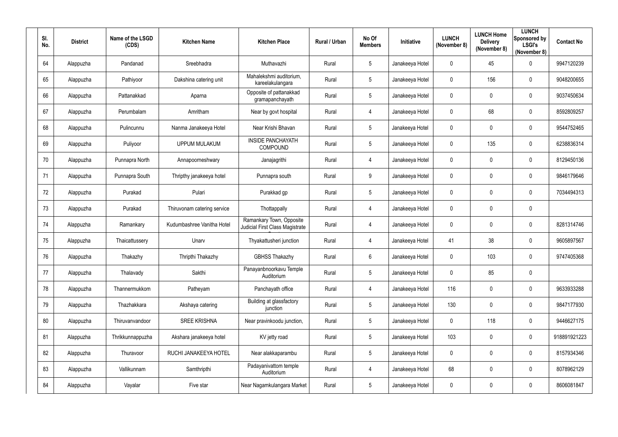| SI.<br>No. | <b>District</b> | Name of the LSGD<br>(CDS) | <b>Kitchen Name</b>         | <b>Kitchen Place</b>                                               | Rural / Urban | No Of<br><b>Members</b> | Initiative      | <b>LUNCH</b><br>(November 8) | <b>LUNCH Home</b><br><b>Delivery</b><br>(November 8) | <b>LUNCH</b><br>Sponsored by<br><b>LSGI's</b><br>(November 8) | <b>Contact No</b> |
|------------|-----------------|---------------------------|-----------------------------|--------------------------------------------------------------------|---------------|-------------------------|-----------------|------------------------------|------------------------------------------------------|---------------------------------------------------------------|-------------------|
| 64         | Alappuzha       | Pandanad                  | Sreebhadra                  | Muthavazhi                                                         | Rural         | $5\overline{)}$         | Janakeeya Hotel | $\mathbf 0$                  | 45                                                   | $\mathbf 0$                                                   | 9947120239        |
| 65         | Alappuzha       | Pathiyoor                 | Dakshina catering unit      | Mahalekshmi auditorium,<br>kareelakulangara                        | Rural         | $5\overline{)}$         | Janakeeya Hotel | $\mathbf 0$                  | 156                                                  | $\mathbf 0$                                                   | 9048200655        |
| 66         | Alappuzha       | Pattanakkad               | Aparna                      | Opposite of pattanakkad<br>gramapanchayath                         | Rural         | $5\phantom{.0}$         | Janakeeya Hotel | $\mathbf 0$                  | $\mathbf 0$                                          | $\overline{0}$                                                | 9037450634        |
| 67         | Alappuzha       | Perumbalam                | Amritham                    | Near by govt hospital                                              | Rural         | $\overline{4}$          | Janakeeya Hotel | $\pmb{0}$                    | 68                                                   | $\mathbf 0$                                                   | 8592809257        |
| 68         | Alappuzha       | Pulincunnu                | Nanma Janakeeya Hotel       | Near Krishi Bhavan                                                 | Rural         | $5\phantom{.0}$         | Janakeeya Hotel | $\mathbf 0$                  | $\mathbf 0$                                          | $\overline{0}$                                                | 9544752465        |
| 69         | Alappuzha       | Puliyoor                  | <b>UPPUM MULAKUM</b>        | <b>INSIDE PANCHAYATH</b><br>COMPOUND                               | Rural         | $5\phantom{.0}$         | Janakeeya Hotel | $\mathbf 0$                  | 135                                                  | $\boldsymbol{0}$                                              | 6238836314        |
| 70         | Alappuzha       | Punnapra North            | Annapoorneshwary            | Janajagrithi                                                       | Rural         | $\overline{4}$          | Janakeeya Hotel | $\mathbf 0$                  | 0                                                    | $\overline{0}$                                                | 8129450136        |
| 71         | Alappuzha       | Punnapra South            | Thripthy janakeeya hotel    | Punnapra south                                                     | Rural         | $9\,$                   | Janakeeya Hotel | $\mathbf 0$                  | $\mathbf 0$                                          | $\mathbf 0$                                                   | 9846179646        |
| 72         | Alappuzha       | Purakad                   | Pulari                      | Purakkad gp                                                        | Rural         | $5\overline{)}$         | Janakeeya Hotel | $\boldsymbol{0}$             | $\mathbf 0$                                          | $\overline{0}$                                                | 7034494313        |
| 73         | Alappuzha       | Purakad                   | Thiruvonam catering service | Thottappally                                                       | Rural         | 4                       | Janakeeya Hotel | $\mathbf 0$                  | $\mathbf 0$                                          | $\mathbf 0$                                                   |                   |
| 74         | Alappuzha       | Ramankary                 | Kudumbashree Vanitha Hotel  | Ramankary Town, Opposite<br><b>Judicial First Class Magistrate</b> | Rural         | 4                       | Janakeeya Hotel | $\boldsymbol{0}$             | $\mathbf 0$                                          | $\overline{0}$                                                | 8281314746        |
| 75         | Alappuzha       | Thaicattussery            | Unarv                       | Thyakattusheri junction                                            | Rural         | 4                       | Janakeeya Hotel | 41                           | 38                                                   | $\overline{0}$                                                | 9605897567        |
| 76         | Alappuzha       | Thakazhy                  | Thripthi Thakazhy           | <b>GBHSS Thakazhy</b>                                              | Rural         | 6                       | Janakeeya Hotel | $\mathbf 0$                  | 103                                                  | $\overline{0}$                                                | 9747405368        |
| 77         | Alappuzha       | Thalavady                 | Sakthi                      | Panayanbnoorkavu Temple<br>Auditorium                              | Rural         | $5\overline{)}$         | Janakeeya Hotel | $\mathbf 0$                  | 85                                                   | $\pmb{0}$                                                     |                   |
| 78         | Alappuzha       | Thannermukkom             | Patheyam                    | Panchayath office                                                  | Rural         | $\overline{4}$          | Janakeeya Hotel | 116                          | $\mathbf 0$                                          | $\mathbf 0$                                                   | 9633933288        |
| 79         | Alappuzha       | Thazhakkara               | Akshaya catering            | Building at glassfactory<br>junction                               | Rural         | $5\overline{)}$         | Janakeeya Hotel | 130                          | $\mathbf 0$                                          | $\mathbf 0$                                                   | 9847177930        |
| 80         | Alappuzha       | Thiruvanvandoor           | <b>SREE KRISHNA</b>         | Near pravinkoodu junction,                                         | Rural         | $5\overline{)}$         | Janakeeya Hotel | $\pmb{0}$                    | 118                                                  | $\boldsymbol{0}$                                              | 9446627175        |
| 81         | Alappuzha       | Thrikkunnappuzha          | Akshara janakeeya hotel     | KV jetty road                                                      | Rural         | $5\overline{)}$         | Janakeeya Hotel | 103                          | $\mathbf 0$                                          | $\mathbf 0$                                                   | 918891921223      |
| 82         | Alappuzha       | Thuravoor                 | RUCHI JANAKEEYA HOTEL       | Near alakkaparambu                                                 | Rural         | $5\overline{)}$         | Janakeeya Hotel | $\mathbf 0$                  | $\mathbf 0$                                          | $\pmb{0}$                                                     | 8157934346        |
| 83         | Alappuzha       | Vallikunnam               | Samthripthi                 | Padayanivattom temple<br>Auditorium                                | Rural         | $\overline{4}$          | Janakeeya Hotel | 68                           | $\mathbf 0$                                          | $\pmb{0}$                                                     | 8078962129        |
| 84         | Alappuzha       | Vayalar                   | Five star                   | Near Nagamkulangara Market                                         | Rural         | $5\overline{)}$         | Janakeeya Hotel | $\pmb{0}$                    | $\mathbf 0$                                          | $\pmb{0}$                                                     | 8606081847        |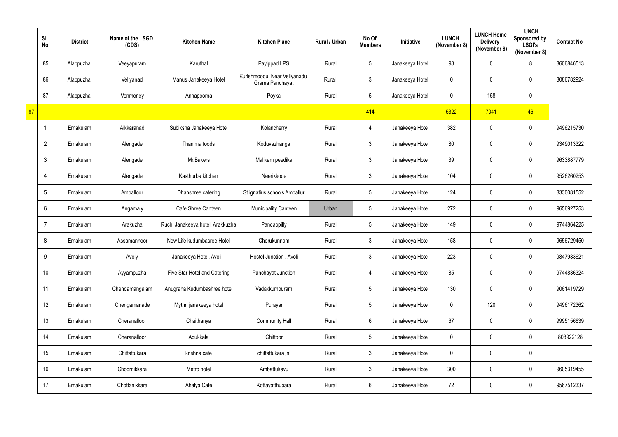|    | SI.<br>No.     | <b>District</b> | Name of the LSGD<br>(CDS) | <b>Kitchen Name</b>              | <b>Kitchen Place</b>                            | Rural / Urban | No Of<br><b>Members</b> | Initiative      | <b>LUNCH</b><br>(November 8) | <b>LUNCH Home</b><br><b>Delivery</b><br>(November 8) | <b>LUNCH</b><br>Sponsored by<br><b>LSGI's</b><br>(November 8) | <b>Contact No</b> |
|----|----------------|-----------------|---------------------------|----------------------------------|-------------------------------------------------|---------------|-------------------------|-----------------|------------------------------|------------------------------------------------------|---------------------------------------------------------------|-------------------|
|    | 85             | Alappuzha       | Veeyapuram                | Karuthal                         | Payippad LPS                                    | Rural         | $5\phantom{.0}$         | Janakeeya Hotel | 98                           | 0                                                    | 8                                                             | 8606846513        |
|    | 86             | Alappuzha       | Veliyanad                 | Manus Janakeeya Hotel            | Kurishmoodu, Near Veliyanadu<br>Grama Panchayat | Rural         | $\mathfrak{Z}$          | Janakeeya Hotel | 0                            | 0                                                    | $\mathbf 0$                                                   | 8086782924        |
|    | 87             | Alappuzha       | Venmoney                  | Annapoorna                       | Poyka                                           | Rural         | $5\phantom{.0}$         | Janakeeya Hotel | $\mathbf 0$                  | 158                                                  | $\mathbf 0$                                                   |                   |
| 87 |                |                 |                           |                                  |                                                 |               | 414                     |                 | 5322                         | 7041                                                 | 46                                                            |                   |
|    |                | Ernakulam       | Aikkaranad                | Subiksha Janakeeya Hotel         | Kolancherry                                     | Rural         | 4                       | Janakeeya Hotel | 382                          | 0                                                    | $\mathbf 0$                                                   | 9496215730        |
|    | $\overline{2}$ | Ernakulam       | Alengade                  | Thanima foods                    | Koduvazhanga                                    | Rural         | $\mathfrak{Z}$          | Janakeeya Hotel | 80                           | $\pmb{0}$                                            | $\mathbf 0$                                                   | 9349013322        |
|    | $\mathbf{3}$   | Ernakulam       | Alengade                  | Mr.Bakers                        | Malikam peedika                                 | Rural         | $\mathfrak{Z}$          | Janakeeya Hotel | 39                           | 0                                                    | $\mathbf 0$                                                   | 9633887779        |
|    | 4              | Ernakulam       | Alengade                  | Kasthurba kitchen                | Neerikkode                                      | Rural         | $\mathfrak{Z}$          | Janakeeya Hotel | 104                          | 0                                                    | $\mathbf 0$                                                   | 9526260253        |
|    | 5              | Ernakulam       | Amballoor                 | Dhanshree catering               | St.ignatius schools Amballur                    | Rural         | $5\phantom{.0}$         | Janakeeya Hotel | 124                          | 0                                                    | $\mathbf 0$                                                   | 8330081552        |
|    | 6              | Ernakulam       | Angamaly                  | Cafe Shree Canteen               | <b>Municipality Canteen</b>                     | Urban         | $5\phantom{.0}$         | Janakeeya Hotel | 272                          | 0                                                    | $\mathbf 0$                                                   | 9656927253        |
|    | $\overline{7}$ | Ernakulam       | Arakuzha                  | Ruchi Janakeeya hotel, Arakkuzha | Pandappilly                                     | Rural         | $5\phantom{.0}$         | Janakeeya Hotel | 149                          | 0                                                    | $\mathbf 0$                                                   | 9744864225        |
|    | 8              | Ernakulam       | Assamannoor               | New Life kudumbasree Hotel       | Cherukunnam                                     | Rural         | $\mathfrak{Z}$          | Janakeeya Hotel | 158                          | 0                                                    | $\mathbf 0$                                                   | 9656729450        |
|    | 9              | Ernakulam       | Avoly                     | Janakeeya Hotel, Avoli           | Hostel Junction, Avoli                          | Rural         | 3                       | Janakeeya Hotel | 223                          | 0                                                    | 0                                                             | 9847983621        |
|    | 10             | Ernakulam       | Ayyampuzha                | Five Star Hotel and Catering     | Panchayat Junction                              | Rural         | $\overline{4}$          | Janakeeya Hotel | 85                           | 0                                                    | $\mathbf 0$                                                   | 9744836324        |
|    | 11             | Ernakulam       | Chendamangalam            | Anugraha Kudumbashree hotel      | Vadakkumpuram                                   | Rural         | $5\phantom{.0}$         | Janakeeya Hotel | 130                          | $\pmb{0}$                                            | $\mathbf 0$                                                   | 9061419729        |
|    | 12             | Ernakulam       | Chengamanade              | Mythri janakeeya hotel           | Purayar                                         | Rural         | $5\phantom{.0}$         | Janakeeya Hotel | $\pmb{0}$                    | 120                                                  | $\overline{0}$                                                | 9496172362        |
|    | 13             | Ernakulam       | Cheranalloor              | Chaithanya                       | <b>Community Hall</b>                           | Rural         | $6\phantom{.0}$         | Janakeeya Hotel | 67                           | 0                                                    | $\mathbf 0$                                                   | 9995156639        |
|    | 14             | Ernakulam       | Cheranalloor              | Adukkala                         | Chittoor                                        | Rural         | $5\phantom{.0}$         | Janakeeya Hotel | $\pmb{0}$                    | $\pmb{0}$                                            | $\mathbf 0$                                                   | 808922128         |
|    | 15             | Ernakulam       | Chittattukara             | krishna cafe                     | chittattukara jn.                               | Rural         | $\mathfrak{Z}$          | Janakeeya Hotel | $\mathbf 0$                  | $\pmb{0}$                                            | $\mathbf 0$                                                   |                   |
|    | 16             | Ernakulam       | Choornikkara              | Metro hotel                      | Ambattukavu                                     | Rural         | $\mathfrak{Z}$          | Janakeeya Hotel | 300                          | 0                                                    | $\mathbf 0$                                                   | 9605319455        |
|    | 17             | Ernakulam       | Chottanikkara             | Ahalya Cafe                      | Kottayatthupara                                 | Rural         | $6\phantom{.0}$         | Janakeeya Hotel | 72                           | 0                                                    | $\overline{0}$                                                | 9567512337        |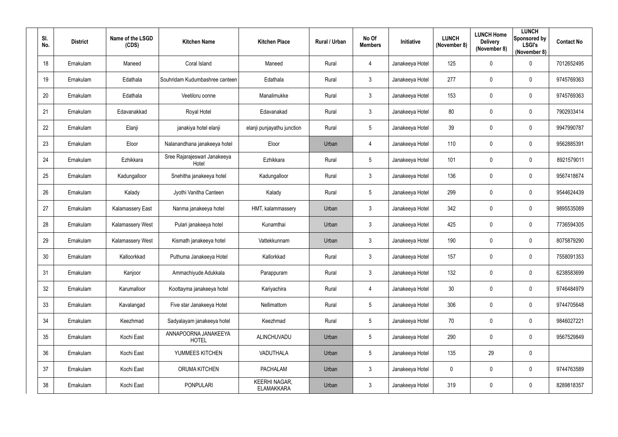| SI.<br>No.      | <b>District</b> | Name of the LSGD<br>(CDS) | <b>Kitchen Name</b>                   | <b>Kitchen Place</b>               | Rural / Urban | No Of<br><b>Members</b> | Initiative      | <b>LUNCH</b><br>(November 8) | <b>LUNCH Home</b><br><b>Delivery</b><br>(November 8) | <b>LUNCH</b><br>Sponsored by<br><b>LSGI's</b><br>(November 8) | <b>Contact No</b> |
|-----------------|-----------------|---------------------------|---------------------------------------|------------------------------------|---------------|-------------------------|-----------------|------------------------------|------------------------------------------------------|---------------------------------------------------------------|-------------------|
| 18              | Ernakulam       | Maneed                    | Coral Island                          | Maneed                             | Rural         | $\overline{4}$          | Janakeeya Hotel | 125                          | 0                                                    | $\mathbf 0$                                                   | 7012652495        |
| 19              | Ernakulam       | Edathala                  | Souhridam Kudumbashree canteen        | Edathala                           | Rural         | $\mathbf{3}$            | Janakeeya Hotel | 277                          | 0                                                    | $\mathbf 0$                                                   | 9745769363        |
| 20              | Ernakulam       | Edathala                  | Veetiloru oonne                       | Manalimukke                        | Rural         | $\mathbf{3}$            | Janakeeya Hotel | 153                          | 0                                                    | $\overline{0}$                                                | 9745769363        |
| 21              | Ernakulam       | Edavanakkad               | Royal Hotel                           | Edavanakad                         | Rural         | $\mathbf{3}$            | Janakeeya Hotel | 80                           | 0                                                    | $\mathbf 0$                                                   | 7902933414        |
| 22              | Ernakulam       | Elanji                    | janakiya hotel elanji                 | elanji punjayathu junction         | Rural         | $5\phantom{.0}$         | Janakeeya Hotel | 39                           | 0                                                    | $\mathbf 0$                                                   | 9947990787        |
| 23              | Ernakulam       | Eloor                     | Nalanandhana janakeeya hotel          | Eloor                              | Urban         | $\overline{4}$          | Janakeeya Hotel | 110                          | 0                                                    | $\mathbf 0$                                                   | 9562885391        |
| 24              | Ernakulam       | Ezhikkara                 | Sree Rajarajeswari Janakeeya<br>Hotel | Ezhikkara                          | Rural         | $5\overline{)}$         | Janakeeya Hotel | 101                          | 0                                                    | $\mathbf 0$                                                   | 8921579011        |
| 25              | Ernakulam       | Kadungalloor              | Snehitha janakeeya hotel              | Kadungalloor                       | Rural         | $\mathbf{3}$            | Janakeeya Hotel | 136                          | 0                                                    | $\mathbf 0$                                                   | 9567418674        |
| 26              | Ernakulam       | Kalady                    | Jyothi Vanitha Canteen                | Kalady                             | Rural         | $5\overline{)}$         | Janakeeya Hotel | 299                          | 0                                                    | $\overline{0}$                                                | 9544624439        |
| 27              | Ernakulam       | Kalamassery East          | Nanma janakeeya hotel                 | HMT, kalammassery                  | Urban         | $\mathbf{3}$            | Janakeeya Hotel | 342                          | 0                                                    | $\mathbf 0$                                                   | 9895535089        |
| 28              | Ernakulam       | Kalamassery West          | Pulari janakeeya hotel                | Kunamthai                          | Urban         | $\mathbf{3}$            | Janakeeya Hotel | 425                          | 0                                                    | $\mathbf 0$                                                   | 7736594305        |
| 29              | Ernakulam       | <b>Kalamassery West</b>   | Kismath janakeeya hotel               | Vattekkunnam                       | Urban         | $\mathbf{3}$            | Janakeeya Hotel | 190                          | 0                                                    | $\overline{0}$                                                | 8075879290        |
| 30 <sub>2</sub> | Ernakulam       | Kalloorkkad               | Puthuma Janakeeya Hotel               | Kallorkkad                         | Rural         | $\mathbf{3}$            | Janakeeya Hotel | 157                          | 0                                                    | $\mathbf 0$                                                   | 7558091353        |
| 31              | Ernakulam       | Kanjoor                   | Ammachiyude Adukkala                  | Parappuram                         | Rural         | $\mathbf{3}$            | Janakeeya Hotel | 132                          | $\mathbf 0$                                          | $\overline{0}$                                                | 6238583699        |
| 32              | Ernakulam       | Karumalloor               | Koottayma janakeeya hotel             | Kariyachira                        | Rural         | $\overline{4}$          | Janakeeya Hotel | 30 <sub>o</sub>              | 0                                                    | $\mathbf 0$                                                   | 9746484979        |
| 33              | Ernakulam       | Kavalangad                | Five star Janakeeya Hotel             | Nellimattom                        | Rural         | $5\phantom{.0}$         | Janakeeya Hotel | 306                          | $\mathbf 0$                                          | $\mathbf 0$                                                   | 9744705648        |
| 34              | Ernakulam       | Keezhmad                  | Sadyalayam janakeeya hotel            | Keezhmad                           | Rural         | $5\phantom{.0}$         | Janakeeya Hotel | 70                           | $\mathbf 0$                                          | $\mathbf 0$                                                   | 9846027221        |
| 35              | Ernakulam       | Kochi East                | ANNAPOORNA JANAKEEYA<br><b>HOTEL</b>  | ALINCHUVADU                        | Urban         | $5\phantom{.0}$         | Janakeeya Hotel | 290                          | $\pmb{0}$                                            | $\mathbf 0$                                                   | 9567529849        |
| 36              | Ernakulam       | Kochi East                | YUMMEES KITCHEN                       | VADUTHALA                          | Urban         | $5\phantom{.0}$         | Janakeeya Hotel | 135                          | 29                                                   | $\overline{0}$                                                |                   |
| 37              | Ernakulam       | Kochi East                | ORUMA KITCHEN                         | <b>PACHALAM</b>                    | Urban         | $\mathbf{3}$            | Janakeeya Hotel | $\pmb{0}$                    | 0                                                    | $\overline{0}$                                                | 9744763589        |
| 38              | Ernakulam       | Kochi East                | <b>PONPULARI</b>                      | KEERHI NAGAR,<br><b>ELAMAKKARA</b> | Urban         | $\mathbf{3}$            | Janakeeya Hotel | 319                          | $\mathbf 0$                                          | $\overline{0}$                                                | 8289818357        |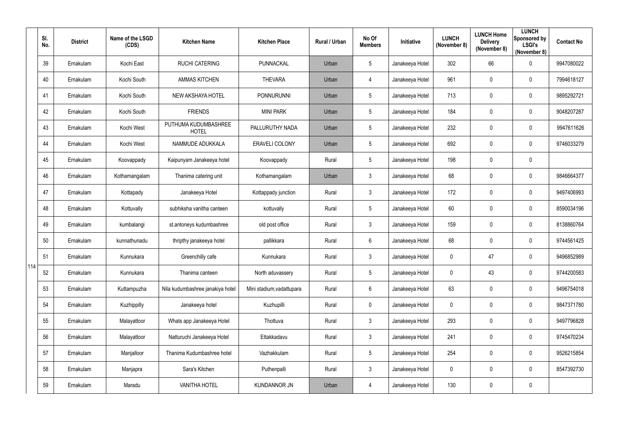|     | SI.<br>No. | <b>District</b> | Name of the LSGD<br>(CDS) | <b>Kitchen Name</b>                  | <b>Kitchen Place</b>      | Rural / Urban | No Of<br><b>Members</b> | <b>Initiative</b> | <b>LUNCH</b><br>(November 8) | <b>LUNCH Home</b><br><b>Delivery</b><br>(November 8) | <b>LUNCH</b><br>Sponsored by<br><b>LSGI's</b><br>(November 8) | <b>Contact No</b> |
|-----|------------|-----------------|---------------------------|--------------------------------------|---------------------------|---------------|-------------------------|-------------------|------------------------------|------------------------------------------------------|---------------------------------------------------------------|-------------------|
|     | 39         | Ernakulam       | Kochi East                | <b>RUCHI CATERING</b>                | <b>PUNNACKAL</b>          | Urban         | $5\phantom{.0}$         | Janakeeya Hotel   | 302                          | 66                                                   | $\mathbf 0$                                                   | 9947080022        |
|     | 40         | Ernakulam       | Kochi South               | <b>AMMAS KITCHEN</b>                 | <b>THEVARA</b>            | Urban         | 4                       | Janakeeya Hotel   | 961                          | 0                                                    | $\mathbf 0$                                                   | 7994618127        |
|     | 41         | Ernakulam       | Kochi South               | <b>NEW AKSHAYA HOTEL</b>             | <b>PONNURUNNI</b>         | Urban         | 5                       | Janakeeya Hotel   | 713                          | $\mathbf 0$                                          | $\mathbf 0$                                                   | 9895292721        |
|     | 42         | Ernakulam       | Kochi South               | <b>FRIENDS</b>                       | <b>MINI PARK</b>          | Urban         | $5\phantom{.0}$         | Janakeeya Hotel   | 184                          | 0                                                    | $\overline{0}$                                                | 9048207287        |
|     | 43         | Ernakulam       | Kochi West                | PUTHUMA KUDUMBASHREE<br><b>HOTEL</b> | PALLURUTHY NADA           | Urban         | $5\phantom{.0}$         | Janakeeya Hotel   | 232                          | 0                                                    | $\mathbf 0$                                                   | 9947611626        |
|     | 44         | Ernakulam       | Kochi West                | NAMMUDE ADUKKALA                     | <b>ERAVELI COLONY</b>     | Urban         | 5                       | Janakeeya Hotel   | 692                          | $\pmb{0}$                                            | $\mathbf 0$                                                   | 9746033279        |
|     | 45         | Ernakulam       | Koovappady                | Kaipunyam Janakeeya hotel            | Koovappady                | Rural         | $5\phantom{.0}$         | Janakeeya Hotel   | 198                          | 0                                                    | $\mathbf 0$                                                   |                   |
|     | 46         | Ernakulam       | Kothamangalam             | Thanima catering unit                | Kothamangalam             | Urban         | $\mathfrak{Z}$          | Janakeeya Hotel   | 68                           | $\mathbf 0$                                          | $\mathbf 0$                                                   | 9846664377        |
|     | 47         | Ernakulam       | Kottapady                 | Janakeeya Hotel                      | Kottappady junction       | Rural         | $\mathfrak{Z}$          | Janakeeya Hotel   | 172                          | 0                                                    | $\mathbf 0$                                                   | 9497406993        |
|     | 48         | Ernakulam       | Kottuvally                | subhiksha vanitha canteen            | kottuvally                | Rural         | 5                       | Janakeeya Hotel   | 60                           | 0                                                    | $\mathbf 0$                                                   | 8590034196        |
|     | 49         | Ernakulam       | kumbalangi                | st.antoneys kudumbashree             | old post office           | Rural         | $\mathfrak{Z}$          | Janakeeya Hotel   | 159                          | 0                                                    | $\mathbf 0$                                                   | 8138860764        |
|     | 50         | Ernakulam       | kunnathunadu              | thripthy janakeeya hotel             | pallikkara                | Rural         | $6\phantom{.0}$         | Janakeeya Hotel   | 68                           | 0                                                    | $\mathbf 0$                                                   | 9744561425        |
|     | 51         | Ernakulam       | Kunnukara                 | Greenchilly cafe                     | Kunnukara                 | Rural         | 3                       | Janakeeya Hotel   | 0                            | 47                                                   | $\mathbf 0$                                                   | 9496852989        |
| 114 | 52         | Ernakulam       | Kunnukara                 | Thanima canteen                      | North aduvassery          | Rural         | $5\phantom{.0}$         | Janakeeya Hotel   | $\mathbf 0$                  | 43                                                   | $\overline{0}$                                                | 9744200583        |
|     | 53         | Ernakulam       | Kuttampuzha               | Nila kudumbashree janakiya hotel     | Mini stadium, vadattupara | Rural         | $6\phantom{.0}$         | Janakeeya Hotel   | 63                           | 0                                                    | $\mathbf 0$                                                   | 9496754018        |
|     | 54         | Ernakulam       | Kuzhippilly               | Janakeeya hotel                      | Kuzhupilli                | Rural         | $\pmb{0}$               | Janakeeya Hotel   | $\mathbf 0$                  | 0                                                    | $\mathbf 0$                                                   | 9847371780        |
|     | 55         | Ernakulam       | Malayattoor               | Whats app Janakeeya Hotel            | Thottuva                  | Rural         | $\mathfrak{Z}$          | Janakeeya Hotel   | 293                          | 0                                                    | $\mathbf 0$                                                   | 9497796828        |
|     | 56         | Ernakulam       | Malayattoor               | Natturuchi Janakeeya Hotel           | Ettakkadavu               | Rural         | $\mathfrak{Z}$          | Janakeeya Hotel   | 241                          | $\pmb{0}$                                            | $\overline{0}$                                                | 9745470234        |
|     | 57         | Ernakulam       | Manjalloor                | Thanima Kudumbashree hotel           | Vazhakkulam               | Rural         | $5\phantom{.0}$         | Janakeeya Hotel   | 254                          | 0                                                    | $\mathbf 0$                                                   | 9526215854        |
|     | 58         | Ernakulam       | Manjapra                  | Sara's Kitchen                       | Puthenpalli               | Rural         | $\mathfrak{Z}$          | Janakeeya Hotel   | $\mathbf 0$                  | 0                                                    | $\overline{0}$                                                | 8547392730        |
|     | 59         | Ernakulam       | Maradu                    | <b>VANITHA HOTEL</b>                 | <b>KUNDANNOR JN</b>       | Urban         | 4                       | Janakeeya Hotel   | 130                          | $\pmb{0}$                                            | $\mathbf 0$                                                   |                   |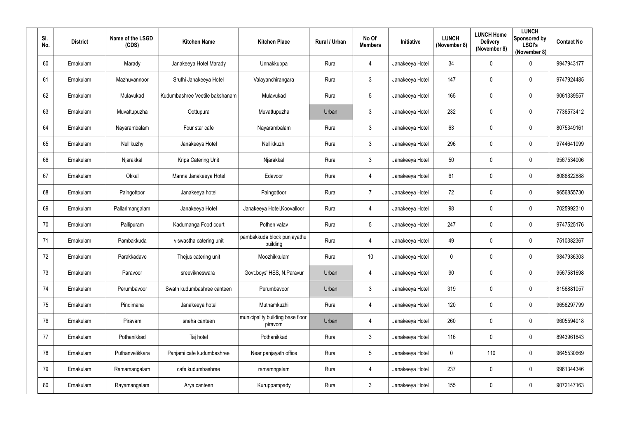| SI.<br>No. | <b>District</b> | Name of the LSGD<br>(CDS) | <b>Kitchen Name</b>            | <b>Kitchen Place</b>                        | Rural / Urban | No Of<br><b>Members</b> | Initiative      | <b>LUNCH</b><br>(November 8) | <b>LUNCH Home</b><br><b>Delivery</b><br>(November 8) | <b>LUNCH</b><br>Sponsored by<br><b>LSGI's</b><br>(November 8) | <b>Contact No</b> |
|------------|-----------------|---------------------------|--------------------------------|---------------------------------------------|---------------|-------------------------|-----------------|------------------------------|------------------------------------------------------|---------------------------------------------------------------|-------------------|
| 60         | Ernakulam       | Marady                    | Janakeeya Hotel Marady         | Unnakkuppa                                  | Rural         | $\overline{4}$          | Janakeeya Hotel | 34                           | $\mathbf 0$                                          | $\mathbf 0$                                                   | 9947943177        |
| 61         | Ernakulam       | Mazhuvannoor              | Sruthi Janakeeya Hotel         | Valayanchirangara                           | Rural         | 3                       | Janakeeya Hotel | 147                          | 0                                                    | $\overline{0}$                                                | 9747924485        |
| 62         | Ernakulam       | Mulavukad                 | Kudumbashree Veetile bakshanam | Mulavukad                                   | Rural         | $5\phantom{.0}$         | Janakeeya Hotel | 165                          | $\mathbf 0$                                          | $\boldsymbol{0}$                                              | 9061339557        |
| 63         | Ernakulam       | Muvattupuzha              | Oottupura                      | Muvattupuzha                                | Urban         | $\mathfrak{Z}$          | Janakeeya Hotel | 232                          | 0                                                    | $\mathbf 0$                                                   | 7736573412        |
| 64         | Ernakulam       | Nayarambalam              | Four star cafe                 | Nayarambalam                                | Rural         | 3                       | Janakeeya Hotel | 63                           | $\overline{0}$                                       | $\overline{0}$                                                | 8075349161        |
| 65         | Ernakulam       | Nellikuzhy                | Janakeeya Hotel                | Nellikkuzhi                                 | Rural         | $\mathbf{3}$            | Janakeeya Hotel | 296                          | $\overline{0}$                                       | $\boldsymbol{0}$                                              | 9744641099        |
| 66         | Ernakulam       | Njarakkal                 | Kripa Catering Unit            | Njarakkal                                   | Rural         | 3 <sup>1</sup>          | Janakeeya Hotel | 50                           | $\mathbf 0$                                          | $\mathbf 0$                                                   | 9567534006        |
| 67         | Ernakulam       | Okkal                     | Manna Janakeeya Hotel          | Edavoor                                     | Rural         | 4                       | Janakeeya Hotel | 61                           | $\mathbf 0$                                          | $\overline{0}$                                                | 8086822888        |
| 68         | Ernakulam       | Paingottoor               | Janakeeya hotel                | Paingottoor                                 | Rural         | $\overline{7}$          | Janakeeya Hotel | 72                           | $\overline{0}$                                       | $\boldsymbol{0}$                                              | 9656855730        |
| 69         | Ernakulam       | Pallarimangalam           | Janakeeya Hotel                | Janakeeya Hotel, Koovalloor                 | Rural         | 4                       | Janakeeya Hotel | 98                           | $\mathbf 0$                                          | $\overline{0}$                                                | 7025992310        |
| 70         | Ernakulam       | Pallipuram                | Kadumanga Food court           | Pothen valav                                | Rural         | $5\phantom{.0}$         | Janakeeya Hotel | 247                          | $\overline{0}$                                       | $\boldsymbol{0}$                                              | 9747525176        |
| 71         | Ernakulam       | Pambakkuda                | viswastha catering unit        | pambakkuda block punjayathu<br>building     | Rural         | $\overline{4}$          | Janakeeya Hotel | 49                           | $\overline{0}$                                       | $\overline{0}$                                                | 7510382367        |
| 72         | Ernakulam       | Parakkadave               | Thejus catering unit           | Moozhikkulam                                | Rural         | 10                      | Janakeeya Hotel | $\mathbf 0$                  | 0                                                    | 0                                                             | 9847936303        |
| 73         | Ernakulam       | Paravoor                  | sreevikneswara                 | Govt.boys' HSS, N.Paravur                   | Urban         | $\overline{4}$          | Janakeeya Hotel | 90 <sup>°</sup>              | $\mathbf 0$                                          | $\pmb{0}$                                                     | 9567581698        |
| 74         | Ernakulam       | Perumbavoor               | Swath kudumbashree canteen     | Perumbavoor                                 | Urban         | $3\phantom{.0}$         | Janakeeya Hotel | 319                          | $\mathbf 0$                                          | $\mathbf 0$                                                   | 8156881057        |
| 75         | Ernakulam       | Pindimana                 | Janakeeya hotel                | Muthamkuzhi                                 | Rural         | $\overline{4}$          | Janakeeya Hotel | 120                          | $\mathbf 0$                                          | $\mathbf 0$                                                   | 9656297799        |
| 76         | Ernakulam       | Piravam                   | sneha canteen                  | municipality building base floor<br>piravom | Urban         | $\overline{4}$          | Janakeeya Hotel | 260                          | $\mathbf 0$                                          | $\mathbf 0$                                                   | 9605594018        |
| 77         | Ernakulam       | Pothanikkad               | Taj hotel                      | Pothanikkad                                 | Rural         | 3 <sup>1</sup>          | Janakeeya Hotel | 116                          | $\mathbf 0$                                          | $\mathbf 0$                                                   | 8943961843        |
| 78         | Ernakulam       | Puthanvelikkara           | Panjami cafe kudumbashree      | Near panjayath office                       | Rural         | $5\overline{)}$         | Janakeeya Hotel | $\pmb{0}$                    | 110                                                  | $\mathbf 0$                                                   | 9645530669        |
| 79         | Ernakulam       | Ramamangalam              | cafe kudumbashree              | ramamngalam                                 | Rural         | $\overline{4}$          | Janakeeya Hotel | 237                          | $\mathbf 0$                                          | $\mathbf 0$                                                   | 9961344346        |
| 80         | Ernakulam       | Rayamangalam              | Arya canteen                   | Kuruppampady                                | Rural         | $\mathbf{3}$            | Janakeeya Hotel | 155                          | $\boldsymbol{0}$                                     | $\bm{0}$                                                      | 9072147163        |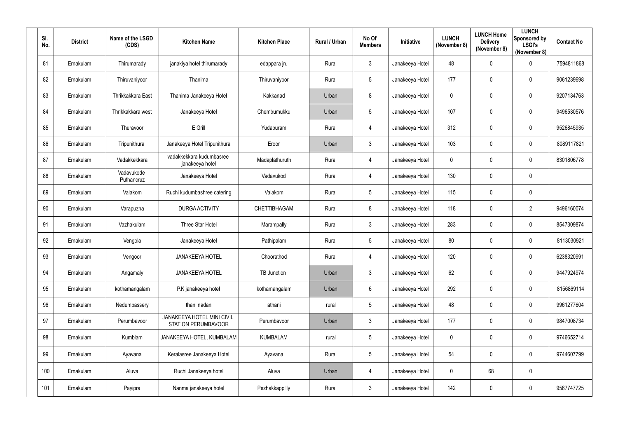| SI.<br>No. | <b>District</b> | Name of the LSGD<br>(CDS) | <b>Kitchen Name</b>                                      | <b>Kitchen Place</b> | Rural / Urban | No Of<br><b>Members</b> | Initiative      | <b>LUNCH</b><br>(November 8) | <b>LUNCH Home</b><br><b>Delivery</b><br>(November 8) | <b>LUNCH</b><br>Sponsored by<br><b>LSGI's</b><br>(November 8) | <b>Contact No</b> |
|------------|-----------------|---------------------------|----------------------------------------------------------|----------------------|---------------|-------------------------|-----------------|------------------------------|------------------------------------------------------|---------------------------------------------------------------|-------------------|
| 81         | Ernakulam       | Thirumarady               | janakiya hotel thirumarady                               | edappara jn.         | Rural         | $\mathbf{3}$            | Janakeeya Hotel | 48                           | $\mathbf 0$                                          | $\mathbf 0$                                                   | 7594811868        |
| 82         | Ernakulam       | Thiruvaniyoor             | Thanima                                                  | Thiruvaniyoor        | Rural         | 5 <sub>5</sub>          | Janakeeya Hotel | 177                          | $\mathbf 0$                                          | $\overline{0}$                                                | 9061239698        |
| 83         | Ernakulam       | Thrikkakkara East         | Thanima Janakeeya Hotel                                  | Kakkanad             | Urban         | 8                       | Janakeeya Hotel | $\mathbf 0$                  | $\mathbf 0$                                          | $\mathbf 0$                                                   | 9207134763        |
| 84         | Ernakulam       | Thrikkakkara west         | Janakeeya Hotel                                          | Chembumukku          | Urban         | $5\phantom{.0}$         | Janakeeya Hotel | 107                          | $\mathbf 0$                                          | $\mathbf 0$                                                   | 9496530576        |
| 85         | Ernakulam       | Thuravoor                 | E Grill                                                  | Yudapuram            | Rural         | 4                       | Janakeeya Hotel | 312                          | $\boldsymbol{0}$                                     | $\overline{0}$                                                | 9526845935        |
| 86         | Ernakulam       | Tripunithura              | Janakeeya Hotel Tripunithura                             | Eroor                | Urban         | $\mathbf{3}$            | Janakeeya Hotel | 103                          | $\mathbf 0$                                          | $\boldsymbol{0}$                                              | 8089117821        |
| 87         | Ernakulam       | Vadakkekkara              | vadakkekkara kudumbasree<br>janakeeya hotel              | Madaplathuruth       | Rural         | 4                       | Janakeeya Hotel | $\mathbf 0$                  | $\mathbf 0$                                          | $\mathbf 0$                                                   | 8301806778        |
| 88         | Ernakulam       | Vadavukode<br>Puthancruz  | Janakeeya Hotel                                          | Vadavukod            | Rural         | 4                       | Janakeeya Hotel | 130                          | $\mathbf 0$                                          | $\mathbf 0$                                                   |                   |
| 89         | Ernakulam       | Valakom                   | Ruchi kudumbashree catering                              | Valakom              | Rural         | $5\phantom{.0}$         | Janakeeya Hotel | 115                          | $\overline{0}$                                       | $\mathbf 0$                                                   |                   |
| 90         | Ernakulam       | Varapuzha                 | <b>DURGA ACTIVITY</b>                                    | <b>CHETTIBHAGAM</b>  | Rural         | 8                       | Janakeeya Hotel | 118                          | 0                                                    | $\overline{2}$                                                | 9496160074        |
| 91         | Ernakulam       | Vazhakulam                | Three Star Hotel                                         | Marampally           | Rural         | 3                       | Janakeeya Hotel | 283                          | $\overline{0}$                                       | $\boldsymbol{0}$                                              | 8547309874        |
| 92         | Ernakulam       | Vengola                   | Janakeeya Hotel                                          | Pathipalam           | Rural         | $5\overline{)}$         | Janakeeya Hotel | 80                           | $\overline{0}$                                       | $\overline{0}$                                                | 8113030921        |
| 93         | Ernakulam       | Vengoor                   | <b>JANAKEEYA HOTEL</b>                                   | Choorathod           | Rural         | 4                       | Janakeeya Hotel | 120                          | 0                                                    | $\overline{0}$                                                | 6238320991        |
| 94         | Ernakulam       | Angamaly                  | <b>JANAKEEYA HOTEL</b>                                   | TB Junction          | Urban         | $3\phantom{.0}$         | Janakeeya Hotel | 62                           | $\mathbf 0$                                          | $\pmb{0}$                                                     | 9447924974        |
| 95         | Ernakulam       | kothamangalam             | P.K janakeeya hotel                                      | kothamangalam        | Urban         | $6\overline{6}$         | Janakeeya Hotel | 292                          | $\mathbf 0$                                          | $\mathbf 0$                                                   | 8156869114        |
| 96         | Ernakulam       | Nedumbassery              | thani nadan                                              | athani               | rural         | 5 <sub>5</sub>          | Janakeeya Hotel | 48                           | $\overline{0}$                                       | $\mathbf 0$                                                   | 9961277604        |
| 97         | Ernakulam       | Perumbavoor               | JANAKEEYA HOTEL MINI CIVIL<br><b>STATION PERUMBAVOOR</b> | Perumbavoor          | Urban         | 3 <sup>5</sup>          | Janakeeya Hotel | 177                          | $\mathbf 0$                                          | $\mathbf 0$                                                   | 9847008734        |
| 98         | Ernakulam       | Kumblam                   | JANAKEEYA HOTEL, KUMBALAM                                | <b>KUMBALAM</b>      | rural         | $5\overline{)}$         | Janakeeya Hotel | $\pmb{0}$                    | $\mathbf 0$                                          | $\mathbf 0$                                                   | 9746652714        |
| 99         | Ernakulam       | Ayavana                   | Keralasree Janakeeya Hotel                               | Ayavana              | Rural         | $5\overline{)}$         | Janakeeya Hotel | 54                           | $\mathbf 0$                                          | $\mathbf 0$                                                   | 9744607799        |
| 100        | Ernakulam       | Aluva                     | Ruchi Janakeeya hotel                                    | Aluva                | Urban         | $\overline{4}$          | Janakeeya Hotel | $\mathbf 0$                  | 68                                                   | $\pmb{0}$                                                     |                   |
| 101        | Ernakulam       | Payipra                   | Nanma janakeeya hotel                                    | Pezhakkappilly       | Rural         | $\mathbf{3}$            | Janakeeya Hotel | 142                          | $\mathbf 0$                                          | $\pmb{0}$                                                     | 9567747725        |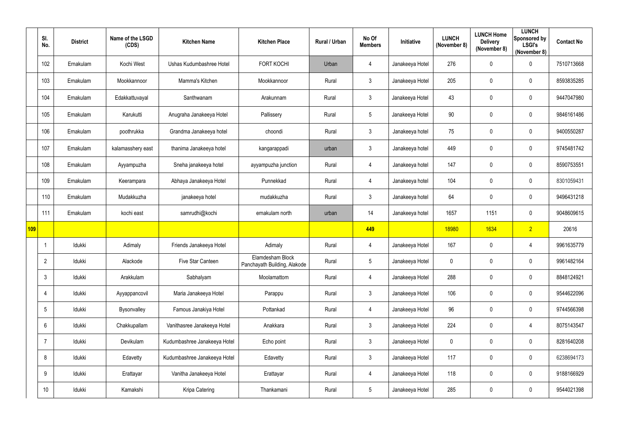|     | SI.<br>No.      | <b>District</b> | Name of the LSGD<br>(CDS) | <b>Kitchen Name</b>          | <b>Kitchen Place</b>                             | Rural / Urban | No Of<br><b>Members</b> | Initiative      | <b>LUNCH</b><br>(November 8) | <b>LUNCH Home</b><br><b>Delivery</b><br>(November 8) | <b>LUNCH</b><br>Sponsored by<br><b>LSGI's</b><br>(November 8) | <b>Contact No</b> |
|-----|-----------------|-----------------|---------------------------|------------------------------|--------------------------------------------------|---------------|-------------------------|-----------------|------------------------------|------------------------------------------------------|---------------------------------------------------------------|-------------------|
|     | 102             | Ernakulam       | Kochi West                | Ushas Kudumbashree Hotel     | <b>FORT KOCHI</b>                                | Urban         | 4                       | Janakeeya Hotel | 276                          | 0                                                    | $\mathbf 0$                                                   | 7510713668        |
|     | 103             | Ernakulam       | Mookkannoor               | Mamma's Kitchen              | Mookkannoor                                      | Rural         | $\mathfrak{Z}$          | Janakeeya Hotel | 205                          | 0                                                    | $\mathbf 0$                                                   | 8593835285        |
|     | 104             | Ernakulam       | Edakkattuvayal            | Santhwanam                   | Arakunnam                                        | Rural         | $\mathfrak{Z}$          | Janakeeya Hotel | 43                           | $\pmb{0}$                                            | $\mathbf 0$                                                   | 9447047980        |
|     | 105             | Ernakulam       | Karukutti                 | Anugraha Janakeeya Hotel     | Pallissery                                       | Rural         | $\sqrt{5}$              | Janakeeya Hotel | 90                           | 0                                                    | $\mathbf 0$                                                   | 9846161486        |
|     | 106             | Ernakulam       | poothrukka                | Grandma Janakeeya hotel      | choondi                                          | Rural         | $\mathfrak{Z}$          | Janakeeya hotel | 75                           | 0                                                    | $\mathbf 0$                                                   | 9400550287        |
|     | 107             | Ernakulam       | kalamasshery east         | thanima Janakeeya hotel      | kangarappadi                                     | urban         | $\mathfrak{Z}$          | Janakeeya hotel | 449                          | 0                                                    | $\mathbf 0$                                                   | 9745481742        |
|     | 108             | Ernakulam       | Ayyampuzha                | Sneha janakeeya hotel        | ayyampuzha junction                              | Rural         | 4                       | Janakeeya hotel | 147                          | $\pmb{0}$                                            | $\mathbf 0$                                                   | 8590753551        |
|     | 109             | Ernakulam       | Keerampara                | Abhaya Janakeeya Hotel       | Punnekkad                                        | Rural         | 4                       | Janakeeya hotel | 104                          | $\pmb{0}$                                            | $\mathbf 0$                                                   | 8301059431        |
|     | 110             | Ernakulam       | Mudakkuzha                | janakeeya hotel              | mudakkuzha                                       | Rural         | 3 <sup>1</sup>          | Janakeeya hotel | 64                           | 0                                                    | $\mathbf 0$                                                   | 9496431218        |
|     | 111             | Ernakulam       | kochi east                | samrudhi@kochi               | ernakulam north                                  | urban         | 14                      | Janakeeya hotel | 1657                         | 1151                                                 | $\mathbf 0$                                                   | 9048609615        |
| 109 |                 |                 |                           |                              |                                                  |               | 449                     |                 | 18980                        | 1634                                                 | 2 <sup>2</sup>                                                | 20616             |
|     |                 | Idukki          | Adimaly                   | Friends Janakeeya Hotel      | Adimaly                                          | Rural         | 4                       | Janakeeya Hotel | 167                          | 0                                                    | 4                                                             | 9961635779        |
|     | $\mathbf{2}$    | Idukki          | Alackode                  | Five Star Canteen            | Elamdesham Block<br>Panchayath Building, Alakode | Rural         | 5                       | Janakeeya Hotel | $\mathbf{0}$                 | $\mathbf 0$                                          | $\mathbf 0$                                                   | 9961482164        |
|     | $\mathbf{3}$    | Idukki          | Arakkulam                 | Sabhalyam                    | Moolamattom                                      | Rural         | 4                       | Janakeeya Hotel | 288                          | 0                                                    | $\mathbf 0$                                                   | 8848124921        |
|     | 4               | Idukki          | Ayyappancovil             | Maria Janakeeya Hotel        | Parappu                                          | Rural         | $\mathfrak{Z}$          | Janakeeya Hotel | 106                          | $\pmb{0}$                                            | $\mathbf 0$                                                   | 9544622096        |
|     | $5\phantom{.0}$ | Idukki          | Bysonvalley               | Famous Janakiya Hotel        | Pottankad                                        | Rural         | $\overline{4}$          | Janakeeya Hotel | 96                           | $\pmb{0}$                                            | $\mathbf 0$                                                   | 9744566398        |
|     | $6\phantom{.}$  | Idukki          | Chakkupallam              | Vanithasree Janakeeya Hotel  | Anakkara                                         | Rural         | $\mathfrak{Z}$          | Janakeeya Hotel | 224                          | $\pmb{0}$                                            | $\overline{4}$                                                | 8075143547        |
|     | 7               | Idukki          | Devikulam                 | Kudumbashree Janakeeya Hotel | Echo point                                       | Rural         | $\mathfrak{Z}$          | Janakeeya Hotel | $\mathbf 0$                  | 0                                                    | $\mathbf 0$                                                   | 8281640208        |
|     | 8               | Idukki          | Edavetty                  | Kudumbashree Janakeeya Hotel | Edavetty                                         | Rural         | $\mathfrak{Z}$          | Janakeeya Hotel | 117                          | $\pmb{0}$                                            | $\mathbf 0$                                                   | 6238694173        |
|     | 9               | ldukki          | Erattayar                 | Vanitha Janakeeya Hotel      | Erattayar                                        | Rural         | 4                       | Janakeeya Hotel | 118                          | 0                                                    | $\mathbf 0$                                                   | 9188166929        |
|     | 10 <sup>°</sup> | Idukki          | Kamakshi                  | Kripa Catering               | Thankamani                                       | Rural         | $5\phantom{.0}$         | Janakeeya Hotel | 285                          | 0                                                    | $\mathbf 0$                                                   | 9544021398        |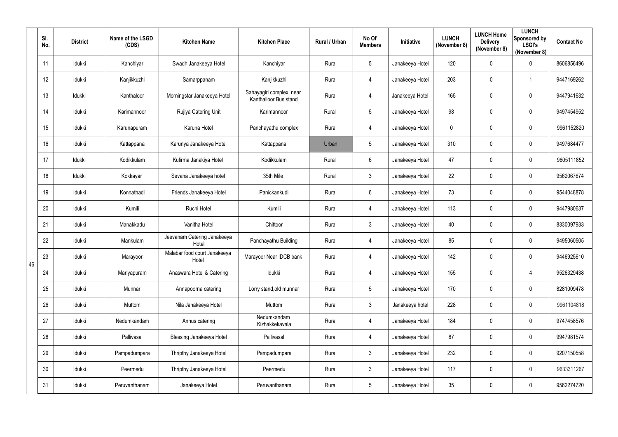|    | SI.<br>No.      | <b>District</b> | Name of the LSGD<br>(CDS) | <b>Kitchen Name</b>                   | <b>Kitchen Place</b>                              | Rural / Urban | No Of<br><b>Members</b> | Initiative      | <b>LUNCH</b><br>(November 8) | <b>LUNCH Home</b><br><b>Delivery</b><br>(November 8) | <b>LUNCH</b><br>Sponsored by<br><b>LSGI's</b><br>(November 8) | <b>Contact No</b> |
|----|-----------------|-----------------|---------------------------|---------------------------------------|---------------------------------------------------|---------------|-------------------------|-----------------|------------------------------|------------------------------------------------------|---------------------------------------------------------------|-------------------|
|    | 11              | Idukki          | Kanchiyar                 | Swadh Janakeeya Hotel                 | Kanchiyar                                         | Rural         | $5\phantom{.0}$         | Janakeeya Hotel | 120                          | 0                                                    | $\mathbf 0$                                                   | 8606856496        |
|    | 12              | Idukki          | Kanjikkuzhi               | Samarppanam                           | Kanjikkuzhi                                       | Rural         | 4                       | Janakeeya Hotel | 203                          | 0                                                    | -1                                                            | 9447169262        |
|    | 13              | Idukki          | Kanthaloor                | Morningstar Janakeeya Hotel           | Sahayagiri complex, near<br>Kanthalloor Bus stand | Rural         | 4                       | Janakeeya Hotel | 165                          | 0                                                    | $\mathbf 0$                                                   | 9447941632        |
|    | 14              | Idukki          | Karimannoor               | Rujiya Catering Unit                  | Karimannoor                                       | Rural         | 5                       | Janakeeya Hotel | 98                           | 0                                                    | $\overline{0}$                                                | 9497454952        |
|    | 15              | Idukki          | Karunapuram               | Karuna Hotel                          | Panchayathu complex                               | Rural         | 4                       | Janakeeya Hotel | $\overline{0}$               | 0                                                    | $\overline{0}$                                                | 9961152820        |
|    | 16              | Idukki          | Kattappana                | Karunya Janakeeya Hotel               | Kattappana                                        | Urban         | $5\overline{)}$         | Janakeeya Hotel | 310                          | 0                                                    | $\mathbf 0$                                                   | 9497684477        |
|    | 17              | Idukki          | Kodikkulam                | Kulirma Janakiya Hotel                | Kodikkulam                                        | Rural         | $6\overline{6}$         | Janakeeya Hotel | 47                           | 0                                                    | $\overline{0}$                                                | 9605111852        |
|    | 18              | Idukki          | Kokkayar                  | Sevana Janakeeya hotel                | 35th Mile                                         | Rural         | $\mathbf{3}$            | Janakeeya Hotel | 22                           | 0                                                    | $\mathbf 0$                                                   | 9562067674        |
|    | 19              | Idukki          | Konnathadi                | Friends Janakeeya Hotel               | Panickankudi                                      | Rural         | $6\phantom{.}$          | Janakeeya Hotel | 73                           | 0                                                    | $\mathbf 0$                                                   | 9544048878        |
|    | 20              | Idukki          | Kumili                    | Ruchi Hotel                           | Kumili                                            | Rural         | 4                       | Janakeeya Hotel | 113                          | 0                                                    | $\overline{0}$                                                | 9447980637        |
|    | 21              | Idukki          | Manakkadu                 | Vanitha Hotel                         | Chittoor                                          | Rural         | $3\overline{3}$         | Janakeeya Hotel | 40                           | 0                                                    | $\boldsymbol{0}$                                              | 8330097933        |
|    | 22              | Idukki          | Mankulam                  | Jeevanam Catering Janakeeya<br>Hotel  | Panchayathu Building                              | Rural         | 4                       | Janakeeya Hotel | 85                           | 0                                                    | $\overline{0}$                                                | 9495060505        |
| 46 | 23              | Idukki          | Marayoor                  | Malabar food court Janakeeya<br>Hotel | Marayoor Near IDCB bank                           | Rural         | 4                       | Janakeeya Hotel | 142                          | 0                                                    | 0                                                             | 9446925610        |
|    | 24              | Idukki          | Mariyapuram               | Anaswara Hotel & Catering             | Idukki                                            | Rural         | $\overline{4}$          | Janakeeya Hotel | 155                          | 0                                                    | $\overline{4}$                                                | 9526329438        |
|    | 25              | Idukki          | Munnar                    | Annapoorna catering                   | Lorry stand, old munnar                           | Rural         | $5\overline{)}$         | Janakeeya Hotel | 170                          | 0                                                    | $\mathbf 0$                                                   | 8281009478        |
|    | 26              | Idukki          | Muttom                    | Nila Janakeeya Hotel                  | Muttom                                            | Rural         | $\mathfrak{Z}$          | Janakeeya hotel | 228                          | $\mathbf 0$                                          | $\mathbf 0$                                                   | 9961104818        |
|    | 27              | Idukki          | Nedumkandam               | Annus catering                        | Nedumkandam<br>Kizhakkekavala                     | Rural         | $\overline{4}$          | Janakeeya Hotel | 184                          | 0                                                    | $\pmb{0}$                                                     | 9747458576        |
|    | 28              | Idukki          | Pallivasal                | <b>Blessing Janakeeya Hotel</b>       | Pallivasal                                        | Rural         | $\overline{4}$          | Janakeeya Hotel | 87                           | 0                                                    | $\mathbf 0$                                                   | 9947981574        |
|    | 29              | Idukki          | Pampadumpara              | Thripthy Janakeeya Hotel              | Pampadumpara                                      | Rural         | $\mathbf{3}$            | Janakeeya Hotel | 232                          | $\mathbf 0$                                          | $\mathbf 0$                                                   | 9207150558        |
|    | 30 <sup>°</sup> | Idukki          | Peermedu                  | Thripthy Janakeeya Hotel              | Peermedu                                          | Rural         | $\mathfrak{Z}$          | Janakeeya Hotel | 117                          | 0                                                    | $\mathbf 0$                                                   | 9633311267        |
|    | 31              | Idukki          | Peruvanthanam             | Janakeeya Hotel                       | Peruvanthanam                                     | Rural         | 5                       | Janakeeya Hotel | $35\,$                       | 0                                                    | $\bm{0}$                                                      | 9562274720        |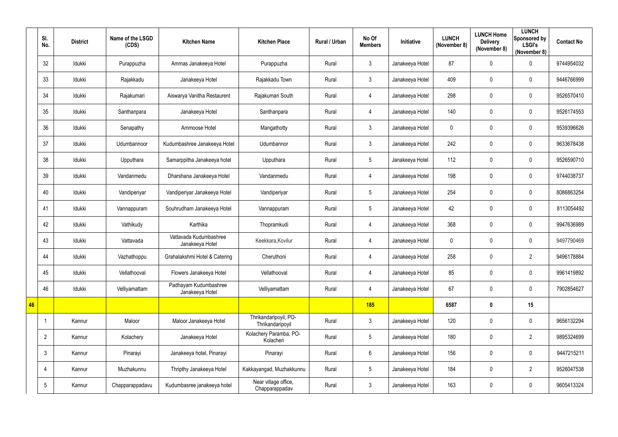|    | SI.<br>No.      | <b>District</b> | Name of the LSGD<br>(CDS) | <b>Kitchen Name</b>                       | <b>Kitchen Place</b>                      | Rural / Urban | No Of<br><b>Members</b> | Initiative      | <b>LUNCH</b><br>(November 8) | <b>LUNCH Home</b><br><b>Delivery</b><br>(November 8) | <b>LUNCH</b><br>Sponsored by<br><b>LSGI's</b><br>(November 8) | <b>Contact No</b> |
|----|-----------------|-----------------|---------------------------|-------------------------------------------|-------------------------------------------|---------------|-------------------------|-----------------|------------------------------|------------------------------------------------------|---------------------------------------------------------------|-------------------|
|    | 32              | Idukki          | Purappuzha                | Ammas Janakeeya Hotel                     | Purappuzha                                | Rural         | $\mathfrak{Z}$          | Janakeeya Hotel | 87                           | $\pmb{0}$                                            | $\overline{0}$                                                | 9744954032        |
|    | 33              | Idukki          | Rajakkadu                 | Janakeeya Hotel                           | Rajakkadu Town                            | Rural         | $\mathfrak{Z}$          | Janakeeya Hotel | 409                          | 0                                                    | $\overline{0}$                                                | 9446766999        |
|    | 34              | Idukki          | Rajakumari                | Aiswarya Vanitha Restaurent               | Rajakumari South                          | Rural         | $\overline{4}$          | Janakeeya Hotel | 298                          | 0                                                    | $\mathbf 0$                                                   | 9526570410        |
|    | 35              | Idukki          | Santhanpara               | Janakeeya Hotel                           | Santhanpara                               | Rural         | $\overline{4}$          | Janakeeya Hotel | 140                          | $\pmb{0}$                                            | $\overline{0}$                                                | 9526174553        |
|    | 36              | Idukki          | Senapathy                 | Ammoose Hotel                             | Mangathotty                               | Rural         | $\mathfrak{Z}$          | Janakeeya Hotel | $\mathbf 0$                  | 0                                                    | $\overline{0}$                                                | 9539396626        |
|    | 37              | Idukki          | Udumbannoor               | Kudumbashree Janakeeya Hotel              | Udumbannor                                | Rural         | $\mathfrak{Z}$          | Janakeeya Hotel | 242                          | 0                                                    | $\mathbf 0$                                                   | 9633678438        |
|    | 38              | Idukki          | Upputhara                 | Samarppitha Janakeeya hotel               | Upputhara                                 | Rural         | $5\phantom{.0}$         | Janakeeya Hotel | 112                          | $\pmb{0}$                                            | $\overline{0}$                                                | 9526590710        |
|    | 39              | Idukki          | Vandanmedu                | Dharshana Janakeeya Hotel                 | Vandanmedu                                | Rural         | $\overline{4}$          | Janakeeya Hotel | 198                          | 0                                                    | $\mathbf 0$                                                   | 9744038737        |
|    | 40              | Idukki          | Vandiperiyar              | Vandiperiyar Janakeeya Hotel              | Vandiperiyar                              | Rural         | 5                       | Janakeeya Hotel | 254                          | 0                                                    | $\mathbf 0$                                                   | 8086863254        |
|    | 41              | Idukki          | Vannappuram               | Souhrudham Janakeeya Hotel                | Vannappuram                               | Rural         | 5                       | Janakeeya Hotel | 42                           | $\pmb{0}$                                            | $\overline{0}$                                                | 8113054492        |
|    | 42              | Idukki          | Vathikudy                 | Karthika                                  | Thopramkudi                               | Rural         | $\overline{4}$          | Janakeeya Hotel | 368                          | 0                                                    | $\overline{0}$                                                | 9947636989        |
|    | 43              | Idukki          | Vattavada                 | Vattavada Kudumbashree<br>Janakeeya Hotel | Keekkara, Kovilur                         | Rural         | $\overline{4}$          | Janakeeya Hotel | $\mathbf 0$                  | 0                                                    | $\mathbf 0$                                                   | 9497790469        |
|    | 44              | Idukki          | Vazhathoppu               | Grahalakshmi Hotel & Catering             | Cheruthoni                                | Rural         | $\overline{4}$          | Janakeeya Hotel | 258                          | $\mathbf 0$                                          | $\overline{2}$                                                | 9496178884        |
|    | 45              | Idukki          | Vellathooval              | Flowers Janakeeya Hotel                   | Vellathooval                              | Rural         | $\overline{4}$          | Janakeeya Hotel | 85                           | 0                                                    | $\mathbf 0$                                                   | 9961419892        |
|    | 46              | Idukki          | Velliyamattam             | Padhayam Kudumbashree<br>Janakeeya Hotel  | Velliyamattam                             | Rural         | $\overline{4}$          | Janakeeya Hotel | 67                           | 0                                                    | $\mathbf 0$                                                   | 7902854627        |
| 46 |                 |                 |                           |                                           |                                           |               | <b>185</b>              |                 | 6587                         | $\boldsymbol{0}$                                     | 15                                                            |                   |
|    |                 | Kannur          | Maloor                    | Maloor Janakeeya Hotel                    | Thrikandaripoyil, PO-<br>Thrikandaripoyil | Rural         | $\mathfrak{Z}$          | Janakeeya Hotel | 120                          | 0                                                    | $\mathbf 0$                                                   | 9656132294        |
|    | $\overline{2}$  | Kannur          | Kolachery                 | Janakeeya Hotel                           | Kolachery Paramba, PO-<br>Kolacheri       | Rural         | $5\phantom{.0}$         | Janakeeya Hotel | 180                          | 0                                                    | $\overline{2}$                                                | 9895324699        |
|    | $\mathfrak{Z}$  | Kannur          | Pinarayi                  | Janakeeya hotel, Pinarayi                 | Pinarayi                                  | Rural         | $6\phantom{.0}$         | Janakeeya Hotel | 156                          | $\pmb{0}$                                            | $\mathbf 0$                                                   | 9447215211        |
|    | 4               | Kannur          | Muzhakunnu                | Thripthy Janakeeya Hotel                  | Kakkayangad, Muzhakkunnu                  | Rural         | $5\phantom{.0}$         | Janakeeya Hotel | 184                          | 0                                                    | $\overline{2}$                                                | 9526047538        |
|    | $5\phantom{.0}$ | Kannur          | Chapparappadavu           | Kudumbasree janakeeya hotel               | Near village office,<br>Chapparappadav    | Rural         | $\mathfrak{Z}$          | Janakeeya Hotel | 163                          | 0                                                    | $\mathbf 0$                                                   | 9605413324        |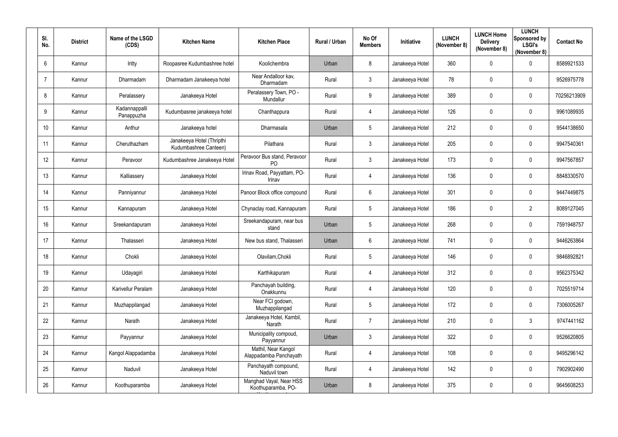| SI.<br>No. | <b>District</b> | Name of the LSGD<br>(CDS)   | <b>Kitchen Name</b>                                | <b>Kitchen Place</b>                          | Rural / Urban | No Of<br><b>Members</b> | Initiative      | <b>LUNCH</b><br>(November 8) | <b>LUNCH Home</b><br><b>Delivery</b><br>(November 8) | <b>LUNCH</b><br>Sponsored by<br><b>LSGI's</b><br>(November 8) | <b>Contact No</b> |
|------------|-----------------|-----------------------------|----------------------------------------------------|-----------------------------------------------|---------------|-------------------------|-----------------|------------------------------|------------------------------------------------------|---------------------------------------------------------------|-------------------|
| 6          | Kannur          | Iritty                      | Roopasree Kudumbashree hotel                       | Koolichembra                                  | Urban         | 8                       | Janakeeya Hotel | 360                          | 0                                                    | $\mathbf 0$                                                   | 8589921533        |
|            | Kannur          | Dharmadam                   | Dharmadam Janakeeya hotel                          | Near Andalloor kav,<br>Dharmadam              | Rural         | 3                       | Janakeeya Hotel | 78                           | 0                                                    | $\mathbf 0$                                                   | 9526975778        |
| 8          | Kannur          | Peralassery                 | Janakeeya Hotel                                    | Peralassery Town, PO -<br>Mundallur           | Rural         | 9                       | Janakeeya Hotel | 389                          | $\mathbf 0$                                          | $\overline{0}$                                                | 70256213909       |
| 9          | Kannur          | Kadannappalli<br>Panappuzha | Kudumbasree janakeeya hotel                        | Chanthappura                                  | Rural         | $\overline{4}$          | Janakeeya Hotel | 126                          | 0                                                    | $\mathbf 0$                                                   | 9961089935        |
| 10         | Kannur          | Anthur                      | Janakeeya hotel                                    | Dharmasala                                    | Urban         | $5\overline{)}$         | Janakeeya Hotel | 212                          | 0                                                    | $\mathbf 0$                                                   | 9544138650        |
| 11         | Kannur          | Cheruthazham                | Janakeeya Hotel (Thripthi<br>Kudumbashree Canteen) | Pilathara                                     | Rural         | 3                       | Janakeeya Hotel | 205                          | $\mathbf 0$                                          | $\overline{0}$                                                | 9947540361        |
| 12         | Kannur          | Peravoor                    | Kudumbashree Janakeeya Hotel                       | Peravoor Bus stand, Peravoor<br><b>PO</b>     | Rural         | 3                       | Janakeeya Hotel | 173                          | 0                                                    | $\mathbf 0$                                                   | 9947567857        |
| 13         | Kannur          | Kalliassery                 | Janakeeya Hotel                                    | Irinav Road, Payyattam, PO-<br>Irinav         | Rural         | 4                       | Janakeeya Hotel | 136                          | $\mathbf 0$                                          | $\mathbf 0$                                                   | 8848330570        |
| 14         | Kannur          | Panniyannur                 | Janakeeya Hotel                                    | Panoor Block office compound                  | Rural         | $6^{\circ}$             | Janakeeya Hotel | 301                          | $\mathbf 0$                                          | $\overline{0}$                                                | 9447449875        |
| 15         | Kannur          | Kannapuram                  | Janakeeya Hotel                                    | Chynaclay road, Kannapuram                    | Rural         | $5\overline{)}$         | Janakeeya Hotel | 186                          | $\mathbf 0$                                          | $\overline{2}$                                                | 8089127045        |
| 16         | Kannur          | Sreekandapuram              | Janakeeya Hotel                                    | Sreekandapuram, near bus<br>stand             | Urban         | $5\overline{)}$         | Janakeeya Hotel | 268                          | $\mathbf 0$                                          | $\overline{0}$                                                | 7591948757        |
| 17         | Kannur          | Thalasseri                  | Janakeeya Hotel                                    | New bus stand, Thalasseri                     | Urban         | $6^{\circ}$             | Janakeeya Hotel | 741                          | $\mathbf 0$                                          | $\overline{0}$                                                | 9446263864        |
| 18         | Kannur          | Chokli                      | Janakeeya Hotel                                    | Olavilam, Chokli                              | Rural         | 5                       | Janakeeya Hotel | 146                          | 0                                                    | 0                                                             | 9846892821        |
| 19         | Kannur          | Udayagiri                   | Janakeeya Hotel                                    | Karthikapuram                                 | Rural         | $\overline{4}$          | Janakeeya Hotel | 312                          | $\mathbf 0$                                          | $\pmb{0}$                                                     | 9562375342        |
| 20         | Kannur          | Karivellur Peralam          | Janakeeya Hotel                                    | Panchayah building,<br>Onakkunnu              | Rural         | $\overline{4}$          | Janakeeya Hotel | 120                          | $\mathbf 0$                                          | $\mathbf 0$                                                   | 7025519714        |
| 21         | Kannur          | Muzhappilangad              | Janakeeya Hotel                                    | Near FCI godown,<br>Muzhappilangad            | Rural         | $5\phantom{.0}$         | Janakeeya Hotel | 172                          | $\mathbf 0$                                          | $\mathbf 0$                                                   | 7306005267        |
| 22         | Kannur          | Narath                      | Janakeeya Hotel                                    | Janakeeya Hotel, Kambil,<br>Narath            | Rural         | $\overline{7}$          | Janakeeya Hotel | 210                          | $\mathbf 0$                                          | $\mathbf{3}$                                                  | 9747441162        |
| 23         | Kannur          | Payyannur                   | Janakeeya Hotel                                    | Municipality compoud,<br>Payyannur            | Urban         | $\mathbf{3}$            | Janakeeya Hotel | 322                          | $\mathbf 0$                                          | $\mathbf 0$                                                   | 9526620805        |
| 24         | Kannur          | Kangol Alappadamba          | Janakeeya Hotel                                    | Mathil, Near Kangol<br>Alappadamba Panchayath | Rural         | 4                       | Janakeeya Hotel | 108                          | $\mathbf 0$                                          | $\pmb{0}$                                                     | 9495296142        |
| 25         | Kannur          | Naduvil                     | Janakeeya Hotel                                    | Panchayath compound,<br>Naduvil town          | Rural         | $\overline{4}$          | Janakeeya Hotel | 142                          | 0                                                    | $\mathbf 0$                                                   | 7902902490        |
| 26         | Kannur          | Koothuparamba               | Janakeeya Hotel                                    | Manghad Vayal, Near HSS<br>Koothuparamba, PO- | Urban         | 8                       | Janakeeya Hotel | 375                          | $\mathbf 0$                                          | $\bm{0}$                                                      | 9645608253        |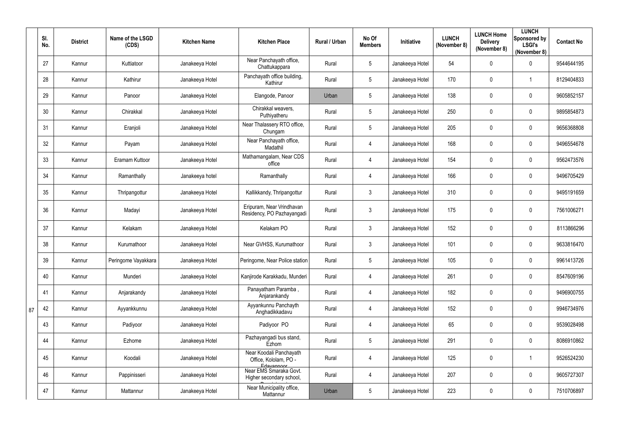|    | SI.<br>No. | <b>District</b> | Name of the LSGD<br>(CDS) | <b>Kitchen Name</b> | <b>Kitchen Place</b>                                           | Rural / Urban | No Of<br><b>Members</b> | Initiative      | <b>LUNCH</b><br>(November 8) | <b>LUNCH Home</b><br><b>Delivery</b><br>(November 8) | <b>LUNCH</b><br>Sponsored by<br><b>LSGI's</b><br>(November 8) | <b>Contact No</b> |
|----|------------|-----------------|---------------------------|---------------------|----------------------------------------------------------------|---------------|-------------------------|-----------------|------------------------------|------------------------------------------------------|---------------------------------------------------------------|-------------------|
|    | 27         | Kannur          | Kuttiatoor                | Janakeeya Hotel     | Near Panchayath office,<br>Chattukappara                       | Rural         | 5                       | Janakeeya Hotel | 54                           | 0                                                    | $\mathbf 0$                                                   | 9544644195        |
|    | 28         | Kannur          | Kathirur                  | Janakeeya Hotel     | Panchayath office building,<br>Kathirur                        | Rural         | 5                       | Janakeeya Hotel | 170                          | $\mathbf 0$                                          |                                                               | 8129404833        |
|    | 29         | Kannur          | Panoor                    | Janakeeya Hotel     | Elangode, Panoor                                               | Urban         | 5                       | Janakeeya Hotel | 138                          | 0                                                    | $\mathbf 0$                                                   | 9605852157        |
|    | 30         | Kannur          | Chirakkal                 | Janakeeya Hotel     | Chirakkal weavers,<br>Puthiyatheru                             | Rural         | 5                       | Janakeeya Hotel | 250                          | 0                                                    | $\overline{0}$                                                | 9895854873        |
|    | 31         | Kannur          | Eranjoli                  | Janakeeya Hotel     | Near Thalassery RTO office,<br>Chungam                         | Rural         | 5                       | Janakeeya Hotel | 205                          | $\boldsymbol{0}$                                     | $\mathbf 0$                                                   | 9656368808        |
|    | 32         | Kannur          | Payam                     | Janakeeya Hotel     | Near Panchayath office,<br>Madathil                            | Rural         | 4                       | Janakeeya Hotel | 168                          | 0                                                    | $\overline{0}$                                                | 9496554678        |
|    | 33         | Kannur          | Eramam Kuttoor            | Janakeeya Hotel     | Mathamangalam, Near CDS<br>office                              | Rural         | $\overline{4}$          | Janakeeya Hotel | 154                          | 0                                                    | $\mathbf 0$                                                   | 9562473576        |
|    | 34         | Kannur          | Ramanthally               | Janakeeya hotel     | Ramanthally                                                    | Rural         | 4                       | Janakeeya Hotel | 166                          | 0                                                    | $\overline{0}$                                                | 9496705429        |
|    | 35         | Kannur          | Thripangottur             | Janakeeya Hotel     | Kallikkandy, Thripangottur                                     | Rural         | $3\overline{3}$         | Janakeeya Hotel | 310                          | 0                                                    | $\mathbf 0$                                                   | 9495191659        |
|    | 36         | Kannur          | Madayi                    | Janakeeya Hotel     | Eripuram, Near Vrindhavan<br>Residency, PO Pazhayangadi        | Rural         | $\mathfrak{Z}$          | Janakeeya Hotel | 175                          | 0                                                    | $\mathbf 0$                                                   | 7561006271        |
|    | 37         | Kannur          | Kelakam                   | Janakeeya Hotel     | Kelakam PO                                                     | Rural         | $\mathbf{3}$            | Janakeeya Hotel | 152                          | 0                                                    | $\mathbf 0$                                                   | 8113866296        |
|    | 38         | Kannur          | Kurumathoor               | Janakeeya Hotel     | Near GVHSS, Kurumathoor                                        | Rural         | $\mathfrak{Z}$          | Janakeeya Hotel | 101                          | $\pmb{0}$                                            | $\mathbf 0$                                                   | 9633816470        |
|    | 39         | Kannur          | Peringome Vayakkara       | Janakeeya Hotel     | Peringome, Near Police station                                 | Rural         | 5                       | Janakeeya Hotel | 105                          | $\mathbf{0}$                                         | $\mathbf 0$                                                   | 9961413726        |
|    | 40         | Kannur          | Munderi                   | Janakeeya Hotel     | Kanjirode Karakkadu, Munderi                                   | Rural         | 4                       | Janakeeya Hotel | 261                          | $\pmb{0}$                                            | $\overline{0}$                                                | 8547609196        |
|    | 41         | Kannur          | Anjarakandy               | Janakeeya Hotel     | Panayatham Paramba,<br>Anjarankandy                            | Rural         | $\overline{4}$          | Janakeeya Hotel | 182                          | $\pmb{0}$                                            | $\overline{0}$                                                | 9496900755        |
| 87 | 42         | Kannur          | Ayyankkunnu               | Janakeeya Hotel     | Ayyankunnu Panchayth<br>Anghadikkadavu                         | Rural         | 4                       | Janakeeya Hotel | 152                          | $\pmb{0}$                                            | $\overline{0}$                                                | 9946734976        |
|    | 43         | Kannur          | Padiyoor                  | Janakeeya Hotel     | Padiyoor PO                                                    | Rural         | $\overline{4}$          | Janakeeya Hotel | 65                           | $\pmb{0}$                                            | $\overline{0}$                                                | 9539028498        |
|    | 44         | Kannur          | Ezhome                    | Janakeeya Hotel     | Pazhayangadi bus stand,<br>Ezhom                               | Rural         | 5                       | Janakeeya Hotel | 291                          | $\pmb{0}$                                            | $\overline{0}$                                                | 8086910862        |
|    | 45         | Kannur          | Koodali                   | Janakeeya Hotel     | Near Koodali Panchayath<br>Office, Kololam, PO -<br>Edayannoor | Rural         | 4                       | Janakeeya Hotel | 125                          | $\pmb{0}$                                            |                                                               | 9526524230        |
|    | 46         | Kannur          | Pappinisseri              | Janakeeya Hotel     | Near EMS Smaraka Govt.<br>Higher secondary school,             | Rural         | $\overline{4}$          | Janakeeya Hotel | 207                          | $\boldsymbol{0}$                                     | $\overline{0}$                                                | 9605727307        |
|    | 47         | Kannur          | Mattannur                 | Janakeeya Hotel     | Near Municipality office,<br>Mattannur                         | Urban         | 5                       | Janakeeya Hotel | 223                          | $\boldsymbol{0}$                                     | $\overline{0}$                                                | 7510706897        |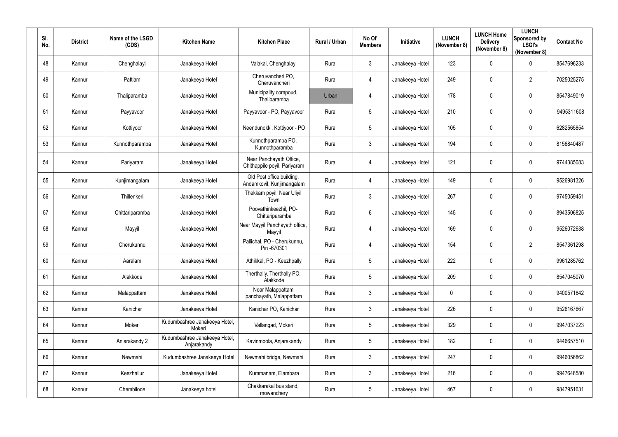| SI.<br>No. | <b>District</b> | Name of the LSGD<br>(CDS) | <b>Kitchen Name</b>                          | <b>Kitchen Place</b>                                    | Rural / Urban | No Of<br><b>Members</b> | Initiative      | <b>LUNCH</b><br>(November 8) | <b>LUNCH Home</b><br><b>Delivery</b><br>(November 8) | <b>LUNCH</b><br>Sponsored by<br><b>LSGI's</b><br>(November 8) | <b>Contact No</b> |
|------------|-----------------|---------------------------|----------------------------------------------|---------------------------------------------------------|---------------|-------------------------|-----------------|------------------------------|------------------------------------------------------|---------------------------------------------------------------|-------------------|
| 48         | Kannur          | Chenghalayi               | Janakeeya Hotel                              | Valakai, Chenghalayi                                    | Rural         | $\mathbf{3}$            | Janakeeya Hotel | 123                          | $\mathbf 0$                                          | $\mathbf 0$                                                   | 8547696233        |
| 49         | Kannur          | Pattiam                   | Janakeeya Hotel                              | Cheruvancheri PO,<br>Cheruvancheri                      | Rural         | $\overline{4}$          | Janakeeya Hotel | 249                          | $\mathbf 0$                                          | $\overline{2}$                                                | 7025025275        |
| 50         | Kannur          | Thaliparamba              | Janakeeya Hotel                              | Municipality compoud,<br>Thaliparamba                   | Urban         | $\overline{4}$          | Janakeeya Hotel | 178                          | $\mathbf 0$                                          | $\mathbf 0$                                                   | 8547849019        |
| 51         | Kannur          | Payyavoor                 | Janakeeya Hotel                              | Payyavoor - PO, Payyavoor                               | Rural         | $5\overline{)}$         | Janakeeya Hotel | 210                          | $\mathbf 0$                                          | $\mathbf 0$                                                   | 9495311608        |
| 52         | Kannur          | Kottiyoor                 | Janakeeya Hotel                              | Neendunokki, Kottiyoor - PO                             | Rural         | $5\phantom{.0}$         | Janakeeya Hotel | 105                          | $\mathbf 0$                                          | $\overline{0}$                                                | 6282565854        |
| 53         | Kannur          | Kunnothparamba            | Janakeeya Hotel                              | Kunnothparamba PO,<br>Kunnothparamba                    | Rural         | $\mathbf{3}$            | Janakeeya Hotel | 194                          | $\mathbf 0$                                          | $\boldsymbol{0}$                                              | 8156840487        |
| 54         | Kannur          | Pariyaram                 | Janakeeya Hotel                              | Near Panchayath Office,<br>Chithappile poyil, Pariyaram | Rural         | $\overline{4}$          | Janakeeya Hotel | 121                          | 0                                                    | $\overline{0}$                                                | 9744385083        |
| 55         | Kannur          | Kunjimangalam             | Janakeeya Hotel                              | Old Post office building,<br>Andamkovil, Kunjimangalam  | Rural         | 4                       | Janakeeya Hotel | 149                          | $\mathbf 0$                                          | $\mathbf 0$                                                   | 9526981326        |
| 56         | Kannur          | Thillenkeri               | Janakeeya Hotel                              | Thekkam poyil, Near Uliyil<br>Town                      | Rural         | $\mathbf{3}$            | Janakeeya Hotel | 267                          | $\mathbf 0$                                          | $\overline{0}$                                                | 9745059451        |
| 57         | Kannur          | Chittariparamba           | Janakeeya Hotel                              | Poovathinkeezhil, PO-<br>Chittariparamba                | Rural         | $6\phantom{.}$          | Janakeeya Hotel | 145                          | $\mathbf 0$                                          | $\overline{0}$                                                | 8943506825        |
| 58         | Kannur          | Mayyil                    | Janakeeya Hotel                              | Near Mayyil Panchayath office,<br>Mayyil                | Rural         | $\overline{4}$          | Janakeeya Hotel | 169                          | $\mathbf 0$                                          | $\mathbf 0$                                                   | 9526072638        |
| 59         | Kannur          | Cherukunnu                | Janakeeya Hotel                              | Pallichal, PO - Cherukunnu,<br>Pin -670301              | Rural         | $\overline{4}$          | Janakeeya Hotel | 154                          | $\mathbf 0$                                          | $\overline{2}$                                                | 8547361298        |
| 60         | Kannur          | Aaralam                   | Janakeeya Hotel                              | Athikkal, PO - Keezhpally                               | Rural         | $5\overline{)}$         | Janakeeya Hotel | 222                          | $\mathbf 0$                                          | $\mathbf 0$                                                   | 9961285762        |
| 61         | Kannur          | Alakkode                  | Janakeeya Hotel                              | Therthally, Therthally PO,<br>Alakkode                  | Rural         | $5\phantom{.0}$         | Janakeeya Hotel | 209                          | $\mathbf 0$                                          | $\mathbf 0$                                                   | 8547045070        |
| 62         | Kannur          | Malappattam               | Janakeeya Hotel                              | Near Malappattam<br>panchayath, Malappattam             | Rural         | $3\overline{3}$         | Janakeeya Hotel | $\mathbf 0$                  | $\mathbf 0$                                          | $\mathbf 0$                                                   | 9400571842        |
| 63         | Kannur          | Kanichar                  | Janakeeya Hotel                              | Kanichar PO, Kanichar                                   | Rural         | 3 <sup>1</sup>          | Janakeeya Hotel | 226                          | $\mathbf 0$                                          | $\boldsymbol{0}$                                              | 9526167667        |
| 64         | Kannur          | Mokeri                    | Kudumbashree Janakeeya Hotel,<br>Mokeri      | Vallangad, Mokeri                                       | Rural         | $5\phantom{.0}$         | Janakeeya Hotel | 329                          | $\pmb{0}$                                            | $\mathbf 0$                                                   | 9947037223        |
| 65         | Kannur          | Anjarakandy 2             | Kudumbashree Janakeeya Hotel,<br>Anjarakandy | Kavinmoola, Anjarakandy                                 | Rural         | $5\overline{)}$         | Janakeeya Hotel | 182                          | $\mathbf 0$                                          | $\mathbf 0$                                                   | 9446657510        |
| 66         | Kannur          | Newmahi                   | Kudumbashree Janakeeya Hotel                 | Newmahi bridge, Newmahi                                 | Rural         | $\mathfrak{Z}$          | Janakeeya Hotel | 247                          | $\mathbf 0$                                          | $\mathbf 0$                                                   | 9946056862        |
| 67         | Kannur          | Keezhallur                | Janakeeya Hotel                              | Kummanam, Elambara                                      | Rural         | $\mathfrak{Z}$          | Janakeeya Hotel | 216                          | $\mathbf 0$                                          | $\mathbf 0$                                                   | 9947648580        |
| 68         | Kannur          | Chembilode                | Janakeeya hotel                              | Chakkarakal bus stand,<br>mowanchery                    | Rural         | $5\overline{)}$         | Janakeeya Hotel | 467                          | $\mathbf 0$                                          | $\boldsymbol{0}$                                              | 9847951631        |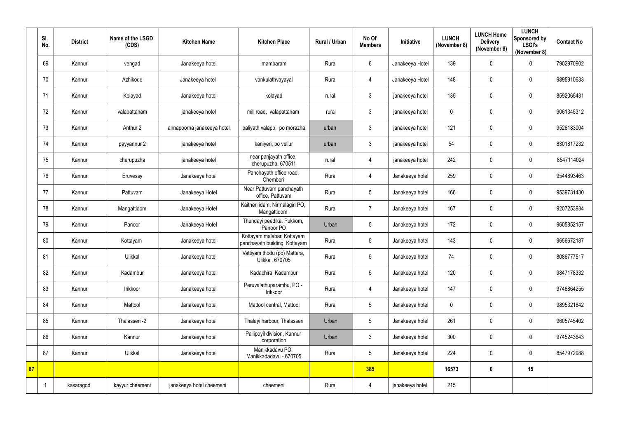|    | SI.<br>No. | <b>District</b> | Name of the LSGD<br>(CDS) | <b>Kitchen Name</b>        | <b>Kitchen Place</b>                                        | Rural / Urban | No Of<br><b>Members</b> | Initiative      | <b>LUNCH</b><br>(November 8) | <b>LUNCH Home</b><br><b>Delivery</b><br>(November 8) | <b>LUNCH</b><br><b>Sponsored by</b><br><b>LSGI's</b><br>(November 8) | <b>Contact No</b> |
|----|------------|-----------------|---------------------------|----------------------------|-------------------------------------------------------------|---------------|-------------------------|-----------------|------------------------------|------------------------------------------------------|----------------------------------------------------------------------|-------------------|
|    | 69         | Kannur          | vengad                    | Janakeeya hotel            | mambaram                                                    | Rural         | $6\phantom{.0}$         | Janakeeya Hotel | 139                          | 0                                                    | $\mathbf 0$                                                          | 7902970902        |
|    | 70         | Kannur          | Azhikode                  | Janakeeya hotel            | vankulathvayayal                                            | Rural         | $\overline{4}$          | Janakeeya Hotel | 148                          | 0                                                    | $\mathbf 0$                                                          | 9895910633        |
|    | 71         | Kannur          | Kolayad                   | Janakeeya hotel            | kolayad                                                     | rural         | $\mathbf{3}$            | janakeeya hotel | 135                          | 0                                                    | $\mathbf 0$                                                          | 8592065431        |
|    | 72         | Kannur          | valapattanam              | janakeeya hotel            | mill road, valapattanam                                     | rural         | $\mathfrak{Z}$          | janakeeya hotel | 0                            | $\pmb{0}$                                            | $\mathbf 0$                                                          | 9061345312        |
|    | 73         | Kannur          | Anthur 2                  | annapoorna janakeeya hotel | paliyath valapp, po morazha                                 | urban         | $\mathbf{3}$            | janakeeya hotel | 121                          | 0                                                    | $\mathbf 0$                                                          | 9526183004        |
|    | 74         | Kannur          | payyannur 2               | janakeeya hotel            | kaniyeri, po vellur                                         | urban         | $\mathfrak{Z}$          | janakeeya hotel | 54                           | 0                                                    | $\mathbf 0$                                                          | 8301817232        |
|    | 75         | Kannur          | cherupuzha                | janakeeya hotel            | near panjayath office,<br>cherupuzha, 670511                | rural         | $\overline{4}$          | janakeeya hotel | 242                          | 0                                                    | $\mathbf 0$                                                          | 8547114024        |
|    | 76         | Kannur          | Eruvessy                  | Janakeeya hotel            | Panchayath office road,<br>Chemberi                         | Rural         | $\overline{4}$          | Janakeeya hotel | 259                          | 0                                                    | $\mathbf 0$                                                          | 9544893463        |
|    | 77         | Kannur          | Pattuvam                  | Janakeeya Hotel            | Near Pattuvam panchayath<br>office, Pattuvam                | Rural         | $5\phantom{.0}$         | Janakeeya hotel | 166                          | $\pmb{0}$                                            | $\mathbf 0$                                                          | 9539731430        |
|    | 78         | Kannur          | Mangattidom               | Janakeeya Hotel            | Kaitheri idam, Nirmalagiri PO,<br>Mangattidom               | Rural         | $\overline{7}$          | Janakeeya hotel | 167                          | 0                                                    | $\mathbf 0$                                                          | 9207253934        |
|    | 79         | Kannur          | Panoor                    | Janakeeya Hotel            | Thundayi peedika, Pukkom,<br>Panoor PO                      | Urban         | 5                       | Janakeeya hotel | 172                          | 0                                                    | $\mathbf 0$                                                          | 9605852157        |
|    | 80         | Kannur          | Kottayam                  | Janakeeya hotel            | Kottayam malabar, Kottayam<br>panchayath building, Kottayam | Rural         | 5                       | Janakeeya hotel | 143                          | $\pmb{0}$                                            | $\mathbf 0$                                                          | 9656672187        |
|    | 81         | Kannur          | Ulikkal                   | Janakeeya hotel            | Vattiyam thodu (po) Mattara,<br>Ulikkal, 670705             | Rural         | 5                       | Janakeeya hotel | 74                           | $\mathbf 0$                                          | 0                                                                    | 8086777517        |
|    | 82         | Kannur          | Kadambur                  | Janakeeya hotel            | Kadachira, Kadambur                                         | Rural         | $5\phantom{.0}$         | Janakeeya hotel | 120                          | 0                                                    | $\mathbf 0$                                                          | 9847178332        |
|    | 83         | Kannur          | Irikkoor                  | Janakeeya hotel            | Peruvalathuparambu, PO -<br>Irikkoor                        | Rural         | $\overline{4}$          | Janakeeya hotel | 147                          | $\pmb{0}$                                            | $\mathbf 0$                                                          | 9746864255        |
|    | 84         | Kannur          | Mattool                   | Janakeeya hotel            | Mattool central, Mattool                                    | Rural         | $5\phantom{.0}$         | Janakeeya hotel | $\mathbf 0$                  | $\pmb{0}$                                            | $\mathbf 0$                                                          | 9895321842        |
|    | 85         | Kannur          | Thalasseri -2             | Janakeeya hotel            | Thalayi harbour, Thalasseri                                 | Urban         | 5                       | Janakeeya hotel | 261                          | $\pmb{0}$                                            | $\mathbf 0$                                                          | 9605745402        |
|    | 86         | Kannur          | Kannur                    | Janakeeya hotel            | Pallipoyil division, Kannur<br>corporation                  | Urban         | $\mathfrak{Z}$          | Janakeeya hotel | 300                          | 0                                                    | $\overline{0}$                                                       | 9745243643        |
|    | 87         | Kannur          | Ulikkal                   | Janakeeya hotel            | Manikkadavu PO,<br>Manikkadadavu - 670705                   | Rural         | $5\phantom{.0}$         | Janakeeya hotel | 224                          | $\pmb{0}$                                            | $\mathbf 0$                                                          | 8547972988        |
| 87 |            |                 |                           |                            |                                                             |               | 385                     |                 | 16573                        | $\boldsymbol{0}$                                     | 15                                                                   |                   |
|    |            | kasaragod       | kayyur cheemeni           | janakeeya hotel cheemeni   | cheemeni                                                    | Rural         | $\overline{4}$          | janakeeya hotel | 215                          |                                                      |                                                                      |                   |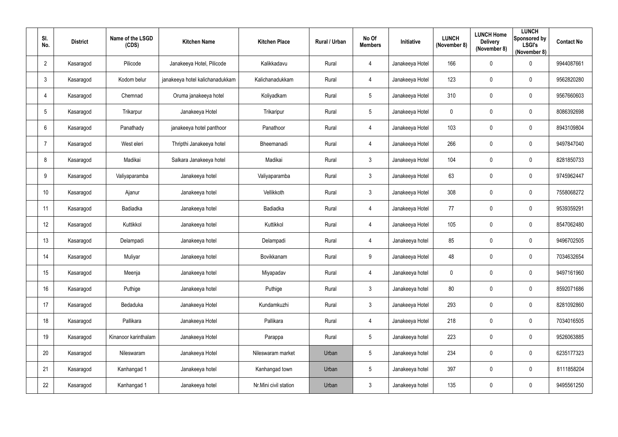| SI.<br>No.      | <b>District</b> | Name of the LSGD<br>(CDS) | <b>Kitchen Name</b>             | <b>Kitchen Place</b>  | Rural / Urban | No Of<br><b>Members</b> | Initiative      | <b>LUNCH</b><br>(November 8) | <b>LUNCH Home</b><br><b>Delivery</b><br>(November 8) | <b>LUNCH</b><br>Sponsored by<br><b>LSGI's</b><br>(November 8) | <b>Contact No</b> |
|-----------------|-----------------|---------------------------|---------------------------------|-----------------------|---------------|-------------------------|-----------------|------------------------------|------------------------------------------------------|---------------------------------------------------------------|-------------------|
| $\overline{2}$  | Kasaragod       | Pilicode                  | Janakeeya Hotel, Pilicode       | Kalikkadavu           | Rural         | $\overline{4}$          | Janakeeya Hotel | 166                          | 0                                                    | $\overline{0}$                                                | 9944087661        |
| $\mathbf{3}$    | Kasaragod       | Kodom belur               | janakeeya hotel kalichanadukkam | Kalichanadukkam       | Rural         | $\overline{4}$          | Janakeeya Hotel | 123                          | 0                                                    | $\mathbf 0$                                                   | 9562820280        |
| $\overline{4}$  | Kasaragod       | Chemnad                   | Oruma janakeeya hotel           | Koliyadkam            | Rural         | $5\phantom{.0}$         | Janakeeya Hotel | 310                          | 0                                                    | $\mathbf 0$                                                   | 9567660603        |
| $5\phantom{.0}$ | Kasaragod       | Trikarpur                 | Janakeeya Hotel                 | Trikaripur            | Rural         | $5\phantom{.0}$         | Janakeeya Hotel | 0                            | 0                                                    | $\mathbf 0$                                                   | 8086392698        |
| 6               | Kasaragod       | Panathady                 | janakeeya hotel panthoor        | Panathoor             | Rural         | $\overline{4}$          | Janakeeya Hotel | 103                          | 0                                                    | $\mathbf 0$                                                   | 8943109804        |
| 7               | Kasaragod       | West eleri                | Thripthi Janakeeya hotel        | Bheemanadi            | Rural         | $\overline{4}$          | Janakeeya Hotel | 266                          | 0                                                    | $\overline{0}$                                                | 9497847040        |
| 8               | Kasaragod       | Madikai                   | Salkara Janakeeya hotel         | Madikai               | Rural         | $\mathfrak{Z}$          | Janakeeya Hotel | 104                          | 0                                                    | $\mathbf 0$                                                   | 8281850733        |
| 9               | Kasaragod       | Valiyaparamba             | Janakeeya hotel                 | Valiyaparamba         | Rural         | $\mathbf{3}$            | Janakeeya Hotel | 63                           | 0                                                    | $\overline{0}$                                                | 9745962447        |
| 10              | Kasaragod       | Ajanur                    | Janakeeya hotel                 | Vellikkoth            | Rural         | $\mathfrak{Z}$          | Janakeeya Hotel | 308                          | 0                                                    | $\overline{0}$                                                | 7558068272        |
| 11              | Kasaragod       | Badiadka                  | Janakeeya hotel                 | Badiadka              | Rural         | $\overline{4}$          | Janakeeya Hotel | 77                           | 0                                                    | $\mathbf 0$                                                   | 9539359291        |
| 12              | Kasaragod       | Kuttikkol                 | Janakeeya hotel                 | Kuttikkol             | Rural         | $\overline{4}$          | Janakeeya Hotel | 105                          | 0                                                    | $\overline{0}$                                                | 8547062480        |
| 13              | Kasaragod       | Delampadi                 | Janakeeya hotel                 | Delampadi             | Rural         | $\overline{4}$          | Janakeeya hotel | 85                           | 0                                                    | $\mathbf 0$                                                   | 9496702505        |
| 14              | Kasaragod       | Muliyar                   | Janakeeya hotel                 | Bovikkanam            | Rural         | 9                       | Janakeeya Hotel | 48                           | $\mathbf 0$                                          | $\mathbf 0$                                                   | 7034632654        |
| 15              | Kasaragod       | Meenja                    | Janakeeya hotel                 | Miyapadav             | Rural         | $\overline{4}$          | Janakeeya hotel | $\mathbf 0$                  | 0                                                    | $\overline{0}$                                                | 9497161960        |
| 16              | Kasaragod       | Puthige                   | Janakeeya hotel                 | Puthige               | Rural         | $\mathfrak{Z}$          | Janakeeya hotel | 80                           | 0                                                    | $\overline{0}$                                                | 8592071686        |
| 17              | Kasaragod       | Bedaduka                  | Janakeeya Hotel                 | Kundamkuzhi           | Rural         | $\mathfrak{Z}$          | Janakeeya Hotel | 293                          | $\pmb{0}$                                            | $\overline{0}$                                                | 8281092860        |
| 18              | Kasaragod       | Pallikara                 | Janakeeya Hotel                 | Pallikara             | Rural         | $\overline{4}$          | Janakeeya Hotel | 218                          | $\pmb{0}$                                            | $\overline{0}$                                                | 7034016505        |
| 19              | Kasaragod       | Kinanoor karinthalam      | Janakeeya Hotel                 | Parappa               | Rural         | $5\phantom{.0}$         | Janakeeya hotel | 223                          | $\pmb{0}$                                            | $\overline{0}$                                                | 9526063885        |
| 20              | Kasaragod       | Nileswaram                | Janakeeya Hotel                 | Nileswaram market     | Urban         | $5\phantom{.0}$         | Janakeeya hotel | 234                          | $\pmb{0}$                                            | $\overline{0}$                                                | 6235177323        |
| 21              | Kasaragod       | Kanhangad 1               | Janakeeya hotel                 | Kanhangad town        | Urban         | $5\phantom{.0}$         | Janakeeya hotel | 397                          | $\pmb{0}$                                            | $\overline{0}$                                                | 8111858204        |
| 22              | Kasaragod       | Kanhangad 1               | Janakeeya hotel                 | Nr.Mini civil station | Urban         | $\mathfrak{Z}$          | Janakeeya hotel | 135                          | 0                                                    | $\overline{0}$                                                | 9495561250        |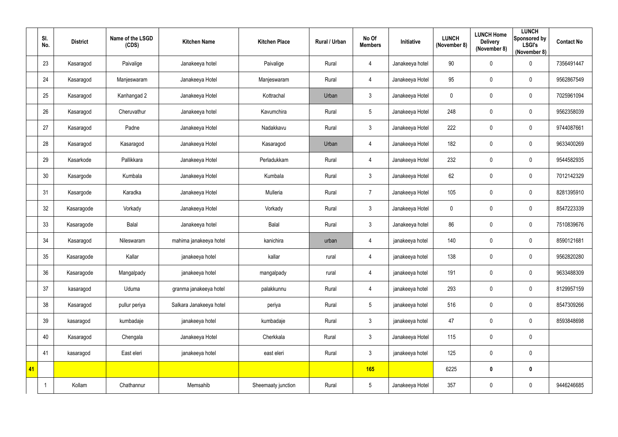|    | SI.<br>No. | <b>District</b> | Name of the LSGD<br>(CDS) | <b>Kitchen Name</b>     | <b>Kitchen Place</b> | <b>Rural / Urban</b> | No Of<br><b>Members</b> | Initiative      | <b>LUNCH</b><br>(November 8) | <b>LUNCH Home</b><br><b>Delivery</b><br>(November 8) | <b>LUNCH</b><br><b>Sponsored by</b><br><b>LSGI's</b><br>(November 8) | <b>Contact No</b> |
|----|------------|-----------------|---------------------------|-------------------------|----------------------|----------------------|-------------------------|-----------------|------------------------------|------------------------------------------------------|----------------------------------------------------------------------|-------------------|
|    | 23         | Kasaragod       | Paivalige                 | Janakeeya hotel         | Paivalige            | Rural                | $\overline{4}$          | Janakeeya hotel | $90\,$                       | 0                                                    | $\mathbf 0$                                                          | 7356491447        |
|    | 24         | Kasaragod       | Manjeswaram               | Janakeeya Hotel         | Manjeswaram          | Rural                | $\overline{4}$          | Janakeeya Hotel | 95                           | 0                                                    | $\mathbf 0$                                                          | 9562867549        |
|    | 25         | Kasaragod       | Kanhangad 2               | Janakeeya Hotel         | Kottrachal           | Urban                | $\mathbf{3}$            | Janakeeya Hotel | $\mathbf 0$                  | 0                                                    | $\overline{0}$                                                       | 7025961094        |
|    | 26         | Kasaragod       | Cheruvathur               | Janakeeya hotel         | Kavumchira           | Rural                | $5\phantom{.0}$         | Janakeeya Hotel | 248                          | 0                                                    | $\mathbf 0$                                                          | 9562358039        |
|    | 27         | Kasaragod       | Padne                     | Janakeeya Hotel         | Nadakkavu            | Rural                | $\mathfrak{Z}$          | Janakeeya Hotel | 222                          | 0                                                    | $\mathbf 0$                                                          | 9744087661        |
|    | 28         | Kasaragod       | Kasaragod                 | Janakeeya Hotel         | Kasaragod            | Urban                | $\overline{4}$          | Janakeeya Hotel | 182                          | $\pmb{0}$                                            | $\mathbf 0$                                                          | 9633400269        |
|    | 29         | Kasarkode       | Pallikkara                | Janakeeya Hotel         | Perladukkam          | Rural                | $\overline{4}$          | Janakeeya Hotel | 232                          | 0                                                    | $\pmb{0}$                                                            | 9544582935        |
|    | 30         | Kasargode       | Kumbala                   | Janakeeya Hotel         | Kumbala              | Rural                | $\mathfrak{Z}$          | Janakeeya Hotel | 62                           | 0                                                    | $\overline{0}$                                                       | 7012142329        |
|    | 31         | Kasargode       | Karadka                   | Janakeeya Hotel         | Mulleria             | Rural                | $\overline{7}$          | Janakeeya Hotel | 105                          | 0                                                    | $\mathbf 0$                                                          | 8281395910        |
|    | 32         | Kasaragode      | Vorkady                   | Janakeeya Hotel         | Vorkady              | Rural                | $\mathfrak{Z}$          | Janakeeya Hotel | 0                            | 0                                                    | $\overline{0}$                                                       | 8547223339        |
|    | 33         | Kasaragode      | <b>Balal</b>              | Janakeeya hotel         | Balal                | Rural                | $\mathfrak{Z}$          | Janakeeya hotel | 86                           | $\pmb{0}$                                            | $\overline{0}$                                                       | 7510839676        |
|    | 34         | Kasaragod       | Nileswaram                | mahima janakeeya hotel  | kanichira            | urban                | 4                       | janakeeya hotel | 140                          | $\pmb{0}$                                            | $\overline{0}$                                                       | 8590121681        |
|    | 35         | Kasaragode      | Kallar                    | janakeeya hotel         | kallar               | rural                | 4                       | janakeeya hotel | 138                          | 0                                                    | 0                                                                    | 9562820280        |
|    | 36         | Kasaragode      | Mangalpady                | janakeeya hotel         | mangalpady           | rural                | $\overline{4}$          | janakeeya hotel | 191                          | $\pmb{0}$                                            | $\mathbf 0$                                                          | 9633488309        |
|    | 37         | kasaragod       | Uduma                     | granma janakeeya hotel  | palakkunnu           | Rural                | $\overline{4}$          | janakeeya hotel | 293                          | $\pmb{0}$                                            | $\mathbf 0$                                                          | 8129957159        |
|    | 38         | Kasaragod       | pullur periya             | Salkara Janakeeya hotel | periya               | Rural                | $5\phantom{.0}$         | janakeeya hotel | 516                          | $\pmb{0}$                                            | $\overline{0}$                                                       | 8547309266        |
|    | 39         | kasaragod       | kumbadaje                 | janakeeya hotel         | kumbadaje            | Rural                | $\mathfrak{Z}$          | janakeeya hotel | 47                           | $\pmb{0}$                                            | $\mathbf 0$                                                          | 8593848698        |
|    | 40         | Kasaragod       | Chengala                  | Janakeeya Hotel         | Cherkkala            | Rural                | $\mathfrak{Z}$          | Janakeeya Hotel | 115                          | $\pmb{0}$                                            | $\overline{0}$                                                       |                   |
|    | 41         | kasaragod       | East eleri                | janakeeya hotel         | east eleri           | Rural                | $\mathfrak{Z}$          | janakeeya hotel | 125                          | $\pmb{0}$                                            | $\overline{0}$                                                       |                   |
| 41 |            |                 |                           |                         |                      |                      | 165                     |                 | 6225                         | $\boldsymbol{0}$                                     | $\boldsymbol{0}$                                                     |                   |
|    |            | Kollam          | Chathannur                | Memsahib                | Sheemaaty junction   | Rural                | $5\phantom{.0}$         | Janakeeya Hotel | 357                          | $\pmb{0}$                                            | $\overline{0}$                                                       | 9446246685        |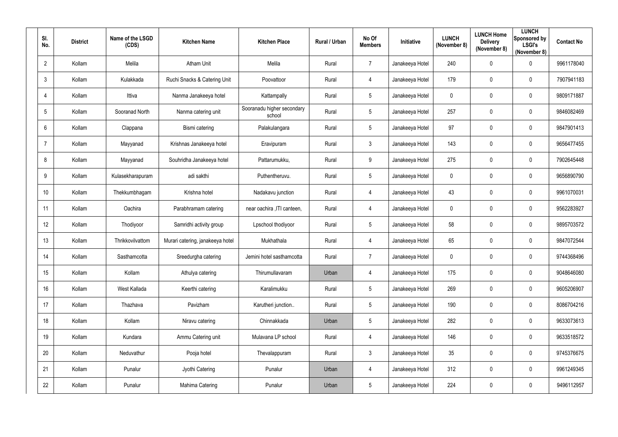| SI.<br>No.     | <b>District</b> | Name of the LSGD<br>(CDS) | <b>Kitchen Name</b>              | <b>Kitchen Place</b>                 | Rural / Urban | No Of<br><b>Members</b> | Initiative      | <b>LUNCH</b><br>(November 8) | <b>LUNCH Home</b><br><b>Delivery</b><br>(November 8) | <b>LUNCH</b><br>Sponsored by<br><b>LSGI's</b><br>(November 8) | <b>Contact No</b> |
|----------------|-----------------|---------------------------|----------------------------------|--------------------------------------|---------------|-------------------------|-----------------|------------------------------|------------------------------------------------------|---------------------------------------------------------------|-------------------|
| $\overline{2}$ | Kollam          | Melila                    | <b>Atham Unit</b>                | Melila                               | Rural         | $\overline{7}$          | Janakeeya Hotel | 240                          | $\mathbf 0$                                          | $\mathbf 0$                                                   | 9961178040        |
| 3              | Kollam          | Kulakkada                 | Ruchi Snacks & Catering Unit     | Poovattoor                           | Rural         | $\overline{4}$          | Janakeeya Hotel | 179                          | $\mathbf 0$                                          | $\mathbf 0$                                                   | 7907941183        |
|                | Kollam          | Ittiva                    | Nanma Janakeeya hotel            | Kattampally                          | Rural         | $5\overline{)}$         | Janakeeya Hotel | $\mathbf 0$                  | $\mathbf 0$                                          | $\mathbf 0$                                                   | 9809171887        |
| 5              | Kollam          | Sooranad North            | Nanma catering unit              | Sooranadu higher secondary<br>school | Rural         | $5\overline{)}$         | Janakeeya Hotel | 257                          | $\mathbf 0$                                          | $\mathbf 0$                                                   | 9846082469        |
| 6              | Kollam          | Clappana                  | Bismi catering                   | Palakulangara                        | Rural         | $5\phantom{.0}$         | Janakeeya Hotel | 97                           | 0                                                    | $\overline{0}$                                                | 9847901413        |
|                | Kollam          | Mayyanad                  | Krishnas Janakeeya hotel         | Eravipuram                           | Rural         | $\mathbf{3}$            | Janakeeya Hotel | 143                          | $\mathbf 0$                                          | $\boldsymbol{0}$                                              | 9656477455        |
| 8              | Kollam          | Mayyanad                  | Souhridha Janakeeya hotel        | Pattarumukku,                        | Rural         | $9\,$                   | Janakeeya Hotel | 275                          | 0                                                    | $\overline{0}$                                                | 7902645448        |
| 9              | Kollam          | Kulasekharapuram          | adi sakthi                       | Puthentheruvu.                       | Rural         | $5\phantom{.0}$         | Janakeeya Hotel | $\mathbf 0$                  | $\mathbf 0$                                          | $\mathbf 0$                                                   | 9656890790        |
| 10             | Kollam          | Thekkumbhagam             | Krishna hotel                    | Nadakavu junction                    | Rural         | $\overline{4}$          | Janakeeya Hotel | 43                           | $\mathbf 0$                                          | $\overline{0}$                                                | 9961070031        |
| 11             | Kollam          | Oachira                   | Parabhramam catering             | near oachira , ITI canteen,          | Rural         | $\overline{4}$          | Janakeeya Hotel | $\mathbf 0$                  | $\mathbf 0$                                          | $\mathbf 0$                                                   | 9562283927        |
| 12             | Kollam          | Thodiyoor                 | Samridhi activity group          | Lpschool thodiyoor                   | Rural         | $5\overline{)}$         | Janakeeya Hotel | 58                           | $\mathbf 0$                                          | $\overline{0}$                                                | 9895703572        |
| 13             | Kollam          | Thrikkovilvattom          | Murari catering, janakeeya hotel | Mukhathala                           | Rural         | $\overline{4}$          | Janakeeya Hotel | 65                           | $\mathbf 0$                                          | $\overline{0}$                                                | 9847072544        |
| 14             | Kollam          | Sasthamcotta              | Sreedurgha catering              | Jemini hotel sasthamcotta            | Rural         | 7                       | Janakeeya Hotel | $\mathbf 0$                  | $\mathbf 0$                                          | $\overline{0}$                                                | 9744368496        |
| 15             | Kollam          | Kollam                    | Athulya catering                 | Thirumullavaram                      | Urban         | $\overline{4}$          | Janakeeya Hotel | 175                          | $\mathbf 0$                                          | $\boldsymbol{0}$                                              | 9048646080        |
| 16             | Kollam          | West Kallada              | Keerthi catering                 | Karalimukku                          | Rural         | $5\phantom{.0}$         | Janakeeya Hotel | 269                          | $\mathbf 0$                                          | $\pmb{0}$                                                     | 9605206907        |
| 17             | Kollam          | Thazhava                  | Pavizham                         | Karutheri junction                   | Rural         | $5\phantom{.0}$         | Janakeeya Hotel | 190                          | $\mathbf 0$                                          | $\mathbf 0$                                                   | 8086704216        |
| 18             | Kollam          | Kollam                    | Niravu catering                  | Chinnakkada                          | Urban         | $5\phantom{.0}$         | Janakeeya Hotel | 282                          | $\mathbf 0$                                          | $\boldsymbol{0}$                                              | 9633073613        |
| 19             | Kollam          | Kundara                   | Ammu Catering unit               | Mulavana LP school                   | Rural         | $\overline{4}$          | Janakeeya Hotel | 146                          | $\mathbf 0$                                          | $\mathbf 0$                                                   | 9633518572        |
| 20             | Kollam          | Neduvathur                | Pooja hotel                      | Thevalappuram                        | Rural         | $\mathbf{3}$            | Janakeeya Hotel | 35                           | $\mathbf 0$                                          | $\mathbf 0$                                                   | 9745376675        |
| 21             | Kollam          | Punalur                   | Jyothi Catering                  | Punalur                              | Urban         | $\overline{4}$          | Janakeeya Hotel | 312                          | $\mathbf 0$                                          | $\pmb{0}$                                                     | 9961249345        |
| 22             | Kollam          | Punalur                   | <b>Mahima Catering</b>           | Punalur                              | Urban         | $5\phantom{.0}$         | Janakeeya Hotel | 224                          | $\mathbf 0$                                          | $\bm{0}$                                                      | 9496112957        |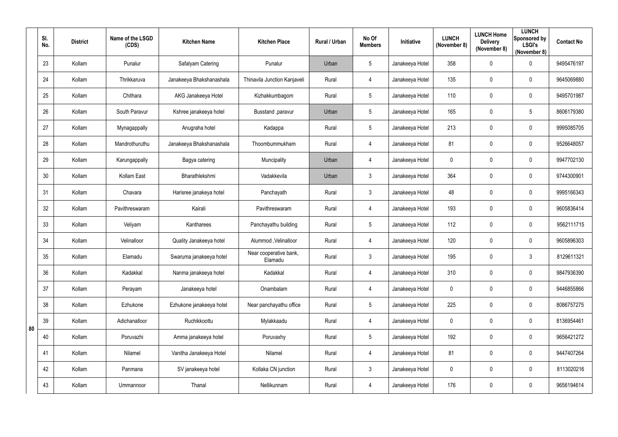|    | SI.<br>No. | <b>District</b> | Name of the LSGD<br>(CDS) | <b>Kitchen Name</b>      | <b>Kitchen Place</b>              | Rural / Urban | No Of<br><b>Members</b> | Initiative      | <b>LUNCH</b><br>(November 8) | <b>LUNCH Home</b><br><b>Delivery</b><br>(November 8) | <b>LUNCH</b><br>Sponsored by<br><b>LSGI's</b><br>(November 8) | <b>Contact No</b> |
|----|------------|-----------------|---------------------------|--------------------------|-----------------------------------|---------------|-------------------------|-----------------|------------------------------|------------------------------------------------------|---------------------------------------------------------------|-------------------|
|    | 23         | Kollam          | Punalur                   | Safalyam Catering        | Punalur                           | Urban         | 5                       | Janakeeya Hotel | 358                          | 0                                                    | $\mathbf 0$                                                   | 9495476197        |
|    | 24         | Kollam          | Thrikkaruva               | Janakeeya Bhakshanashala | Thinavila Junction Kanjaveli      | Rural         | 4                       | Janakeeya Hotel | 135                          | 0                                                    | $\mathbf 0$                                                   | 9645069880        |
|    | 25         | Kollam          | Chithara                  | AKG Janakeeya Hotel      | Kizhakkumbagom                    | Rural         | 5                       | Janakeeya Hotel | 110                          | 0                                                    | $\mathbf 0$                                                   | 9495701987        |
|    | 26         | Kollam          | South Paravur             | Kshree janakeeya hotel   | Busstand , paravur                | Urban         | 5                       | Janakeeya Hotel | 165                          | 0                                                    | $\overline{5}$                                                | 8606179380        |
|    | 27         | Kollam          | Mynagappally              | Anugraha hotel           | Kadappa                           | Rural         | 5                       | Janakeeya Hotel | 213                          | 0                                                    | $\mathbf 0$                                                   | 9995085705        |
|    | 28         | Kollam          | Mandrothuruthu            | Janakeeya Bhakshanashala | Thoombummukham                    | Rural         | $\overline{4}$          | Janakeeya Hotel | 81                           | 0                                                    | $\mathbf 0$                                                   | 9526648057        |
|    | 29         | Kollam          | Karungappally             | Bagya catering           | Muncipality                       | Urban         | $\overline{4}$          | Janakeeya Hotel | $\mathbf 0$                  | 0                                                    | $\mathbf 0$                                                   | 9947702130        |
|    | 30         | Kollam          | Kollam East               | Bharathlekshmi           | Vadakkevila                       | Urban         | $\mathfrak{Z}$          | Janakeeya Hotel | 364                          | 0                                                    | $\mathbf 0$                                                   | 9744300901        |
|    | 31         | Kollam          | Chavara                   | Harisree janakeya hotel  | Panchayath                        | Rural         | $\mathfrak{Z}$          | Janakeeya Hotel | 48                           | 0                                                    | $\mathbf 0$                                                   | 9995166343        |
|    | 32         | Kollam          | Pavithreswaram            | Kairali                  | Pavithreswaram                    | Rural         | $\overline{4}$          | Janakeeya Hotel | 193                          | 0                                                    | $\mathbf 0$                                                   | 9605836414        |
|    | 33         | Kollam          | Veliyam                   | Kantharees               | Panchayathu building              | Rural         | 5                       | Janakeeya Hotel | 112                          | 0                                                    | $\boldsymbol{0}$                                              | 9562111715        |
|    | 34         | Kollam          | Velinalloor               | Quality Janakeeya hotel  | Alummod , Velinalloor             | Rural         | 4                       | Janakeeya Hotel | 120                          | 0                                                    | $\mathbf 0$                                                   | 9605896303        |
|    | 35         | Kollam          | Elamadu                   | Swaruma janakeeya hotel  | Near cooperative bank,<br>Elamadu | Rural         | 3                       | Janakeeya Hotel | 195                          | 0                                                    | $\mathbf{3}$                                                  | 8129611321        |
|    | 36         | Kollam          | Kadakkal                  | Nanma janakeeya hotel    | Kadakkal                          | Rural         | $\overline{4}$          | Janakeeya Hotel | 310                          | 0                                                    | $\pmb{0}$                                                     | 9847936390        |
|    | 37         | Kollam          | Perayam                   | Janakeeya hotel          | Onambalam                         | Rural         | $\overline{4}$          | Janakeeya Hotel | $\mathbf 0$                  | 0                                                    | $\mathbf 0$                                                   | 9446855866        |
|    | 38         | Kollam          | Ezhukone                  | Ezhukone janakeeya hotel | Near panchayathu office           | Rural         | 5                       | Janakeeya Hotel | 225                          | 0                                                    | $\pmb{0}$                                                     | 8086757275        |
|    | 39         | Kollam          | Adichanalloor             | Ruchikkoottu             | Mylakkaadu                        | Rural         | $\overline{4}$          | Janakeeya Hotel | $\mathbf 0$                  | 0                                                    | $\pmb{0}$                                                     | 8136954461        |
| 80 | 40         | Kollam          | Poruvazhi                 | Amma janakeeya hotel     | Poruvaxhy                         | Rural         | $5\overline{)}$         | Janakeeya Hotel | 192                          | 0                                                    | $\mathbf 0$                                                   | 9656421272        |
|    | 41         | Kollam          | Nilamel                   | Vanitha Janakeeya Hotel  | Nilamel                           | Rural         | $\overline{4}$          | Janakeeya Hotel | 81                           | 0                                                    | $\pmb{0}$                                                     | 9447407264        |
|    | 42         | Kollam          | Panmana                   | SV janakeeya hotel       | Kollaka CN junction               | Rural         | 3 <sup>1</sup>          | Janakeeya Hotel | $\mathbf 0$                  | 0                                                    | $\mathbf 0$                                                   | 8113020216        |
|    | 43         | Kollam          | Ummannoor                 | Thanal                   | Nellikunnam                       | Rural         | $\overline{4}$          | Janakeeya Hotel | 176                          | 0                                                    | $\bm{0}$                                                      | 9656194614        |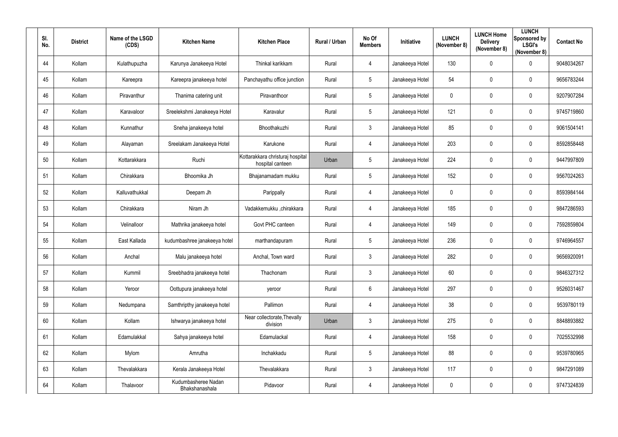| SI. | No. | <b>District</b> | Name of the LSGD<br>(CDS) | <b>Kitchen Name</b>                   | <b>Kitchen Place</b>                                 | Rural / Urban | No Of<br><b>Members</b> | Initiative      | <b>LUNCH</b><br>(November 8) | <b>LUNCH Home</b><br><b>Delivery</b><br>(November 8) | <b>LUNCH</b><br>Sponsored by<br><b>LSGI's</b><br>(November 8) | <b>Contact No</b> |
|-----|-----|-----------------|---------------------------|---------------------------------------|------------------------------------------------------|---------------|-------------------------|-----------------|------------------------------|------------------------------------------------------|---------------------------------------------------------------|-------------------|
|     | 44  | Kollam          | Kulathupuzha              | Karunya Janakeeya Hotel               | Thinkal karikkam                                     | Rural         | $\overline{4}$          | Janakeeya Hotel | 130                          | $\mathbf 0$                                          | $\mathbf 0$                                                   | 9048034267        |
|     | 45  | Kollam          | Kareepra                  | Kareepra janakeeya hotel              | Panchayathu office junction                          | Rural         | $5\overline{)}$         | Janakeeya Hotel | 54                           | $\mathbf 0$                                          | $\overline{0}$                                                | 9656783244        |
|     | 46  | Kollam          | Piravanthur               | Thanima catering unit                 | Piravanthoor                                         | Rural         | $5\phantom{.0}$         | Janakeeya Hotel | $\mathbf 0$                  | $\mathbf 0$                                          | $\overline{0}$                                                | 9207907284        |
|     | 47  | Kollam          | Karavaloor                | Sreelekshmi Janakeeya Hotel           | Karavalur                                            | Rural         | $5\overline{)}$         | Janakeeya Hotel | 121                          | $\overline{0}$                                       | $\mathbf 0$                                                   | 9745719860        |
|     | 48  | Kollam          | Kunnathur                 | Sneha janakeeya hotel                 | Bhoothakuzhi                                         | Rural         | 3                       | Janakeeya Hotel | 85                           | 0                                                    | $\overline{0}$                                                | 9061504141        |
|     | 49  | Kollam          | Alayaman                  | Sreelakam Janakeeya Hotel             | Karukone                                             | Rural         | 4                       | Janakeeya Hotel | 203                          | $\overline{0}$                                       | $\overline{0}$                                                | 8592858448        |
|     | 50  | Kollam          | Kottarakkara              | Ruchi                                 | Kottarakkara christuraj hospital<br>hospital canteen | Urban         | $5\phantom{.0}$         | Janakeeya Hotel | 224                          | 0                                                    | $\overline{0}$                                                | 9447997809        |
|     | 51  | Kollam          | Chirakkara                | Bhoomika Jh                           | Bhajanamadam mukku                                   | Rural         | $5\phantom{.0}$         | Janakeeya Hotel | 152                          | $\mathbf 0$                                          | $\overline{0}$                                                | 9567024263        |
|     | 52  | Kollam          | Kalluvathukkal            | Deepam Jh                             | Parippally                                           | Rural         | 4                       | Janakeeya Hotel | $\mathbf 0$                  | $\mathbf 0$                                          | $\overline{0}$                                                | 8593984144        |
|     | 53  | Kollam          | Chirakkara                | Niram Jh                              | Vadakkemukku ,chirakkara                             | Rural         | 4                       | Janakeeya Hotel | 185                          | $\mathbf 0$                                          | $\overline{0}$                                                | 9847286593        |
|     | 54  | Kollam          | Velinalloor               | Mathrika janakeeya hotel              | Govt PHC canteen                                     | Rural         | 4                       | Janakeeya Hotel | 149                          | $\mathbf 0$                                          | $\overline{0}$                                                | 7592859804        |
|     | 55  | Kollam          | East Kallada              | kudumbashree janakeeya hotel          | marthandapuram                                       | Rural         | $5\overline{)}$         | Janakeeya Hotel | 236                          | $\overline{0}$                                       | $\overline{0}$                                                | 9746964557        |
|     | 56  | Kollam          | Anchal                    | Malu janakeeya hotel                  | Anchal, Town ward                                    | Rural         | $\mathbf{3}$            | Janakeeya Hotel | 282                          | $\mathbf 0$                                          | $\overline{0}$                                                | 9656920091        |
|     | 57  | Kollam          | Kummil                    | Sreebhadra janakeeya hotel            | Thachonam                                            | Rural         | 3 <sup>1</sup>          | Janakeeya Hotel | 60                           | $\mathbf 0$                                          | $\mathbf 0$                                                   | 9846327312        |
|     | 58  | Kollam          | Yeroor                    | Oottupura janakeeya hotel             | yeroor                                               | Rural         | $6\overline{6}$         | Janakeeya Hotel | 297                          | $\mathbf 0$                                          | $\pmb{0}$                                                     | 9526031467        |
|     | 59  | Kollam          | Nedumpana                 | Samthripthy janakeeya hotel           | Pallimon                                             | Rural         | $\overline{4}$          | Janakeeya Hotel | 38                           | $\mathbf 0$                                          | $\mathbf 0$                                                   | 9539780119        |
|     | 60  | Kollam          | Kollam                    | Ishwarya janakeeya hotel              | Near collectorate, Thevally<br>division              | Urban         | 3 <sup>1</sup>          | Janakeeya Hotel | 275                          | $\mathbf 0$                                          | $\boldsymbol{0}$                                              | 8848893882        |
|     | 61  | Kollam          | Edamulakkal               | Sahya janakeeya hotel                 | Edamulackal                                          | Rural         | $\overline{4}$          | Janakeeya Hotel | 158                          | $\mathbf 0$                                          | $\mathbf 0$                                                   | 7025532998        |
|     | 62  | Kollam          | Mylom                     | Amrutha                               | Inchakkadu                                           | Rural         | $5\overline{)}$         | Janakeeya Hotel | 88                           | $\mathbf 0$                                          | $\pmb{0}$                                                     | 9539780965        |
|     | 63  | Kollam          | Thevalakkara              | Kerala Janakeeya Hotel                | Thevalakkara                                         | Rural         | $3\phantom{.0}$         | Janakeeya Hotel | 117                          | $\mathbf 0$                                          | $\pmb{0}$                                                     | 9847291089        |
|     | 64  | Kollam          | Thalavoor                 | Kudumbasheree Nadan<br>Bhakshanashala | Pidavoor                                             | Rural         | $\overline{4}$          | Janakeeya Hotel | $\pmb{0}$                    | $\mathbf 0$                                          | $\bm{0}$                                                      | 9747324839        |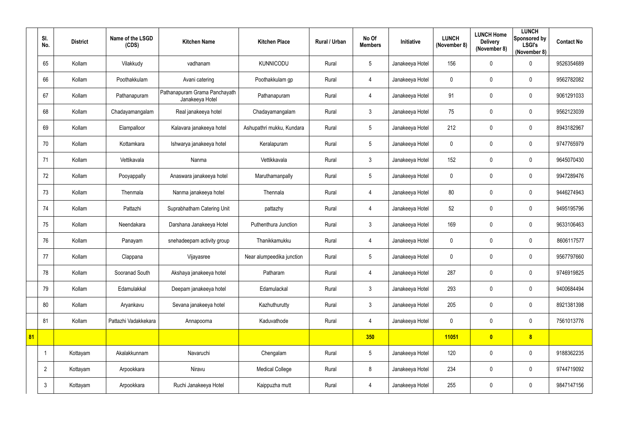|    | SI.<br>No.     | <b>District</b> | Name of the LSGD<br>(CDS) | <b>Kitchen Name</b>                              | <b>Kitchen Place</b>      | Rural / Urban | No Of<br><b>Members</b> | Initiative      | <b>LUNCH</b><br>(November 8) | <b>LUNCH Home</b><br><b>Delivery</b><br>(November 8) | <b>LUNCH</b><br>Sponsored by<br><b>LSGI's</b><br>(November 8) | <b>Contact No</b> |
|----|----------------|-----------------|---------------------------|--------------------------------------------------|---------------------------|---------------|-------------------------|-----------------|------------------------------|------------------------------------------------------|---------------------------------------------------------------|-------------------|
|    | 65             | Kollam          | Vilakkudy                 | vadhanam                                         | <b>KUNNICODU</b>          | Rural         | $5\phantom{.0}$         | Janakeeya Hotel | 156                          | $\mathbf 0$                                          | $\mathbf 0$                                                   | 9526354689        |
|    | 66             | Kollam          | Poothakkulam              | Avani catering                                   | Poothakkulam gp           | Rural         | 4                       | Janakeeya Hotel | $\mathbf 0$                  | 0                                                    | $\mathbf 0$                                                   | 9562782082        |
|    | 67             | Kollam          | Pathanapuram              | Pathanapuram Grama Panchayath<br>Janakeeya Hotel | Pathanapuram              | Rural         | 4                       | Janakeeya Hotel | 91                           | $\mathbf 0$                                          | $\mathbf 0$                                                   | 9061291033        |
|    | 68             | Kollam          | Chadayamangalam           | Real janakeeya hotel                             | Chadayamangalam           | Rural         | $\mathfrak{Z}$          | Janakeeya Hotel | 75                           | 0                                                    | $\mathbf 0$                                                   | 9562123039        |
|    | 69             | Kollam          | Elampalloor               | Kalavara janakeeya hotel                         | Ashupathri mukku, Kundara | Rural         | $5\overline{)}$         | Janakeeya Hotel | 212                          | $\boldsymbol{0}$                                     | $\mathbf 0$                                                   | 8943182967        |
|    | 70             | Kollam          | Kottamkara                | Ishwarya janakeeya hotel                         | Keralapuram               | Rural         | $5\phantom{.0}$         | Janakeeya Hotel | $\mathbf 0$                  | $\pmb{0}$                                            | $\overline{0}$                                                | 9747765979        |
|    | 71             | Kollam          | Vettikavala               | Nanma                                            | Vettikkavala              | Rural         | $\mathfrak{Z}$          | Janakeeya Hotel | 152                          | 0                                                    | $\mathbf 0$                                                   | 9645070430        |
|    | 72             | Kollam          | Pooyappally               | Anaswara janakeeya hotel                         | Maruthamanpally           | Rural         | $5\phantom{.0}$         | Janakeeya Hotel | $\mathbf 0$                  | 0                                                    | $\mathbf 0$                                                   | 9947289476        |
|    | 73             | Kollam          | Thenmala                  | Nanma janakeeya hotel                            | Thennala                  | Rural         | 4                       | Janakeeya Hotel | 80                           | 0                                                    | $\mathbf 0$                                                   | 9446274943        |
|    | 74             | Kollam          | Pattazhi                  | Suprabhatham Catering Unit                       | pattazhy                  | Rural         | 4                       | Janakeeya Hotel | 52                           | $\boldsymbol{0}$                                     | $\mathbf 0$                                                   | 9495195796        |
|    | 75             | Kollam          | Neendakara                | Darshana Janakeeya Hotel                         | Puthenthura Junction      | Rural         | $\mathfrak{Z}$          | Janakeeya Hotel | 169                          | 0                                                    | $\overline{0}$                                                | 9633106463        |
|    | 76             | Kollam          | Panayam                   | snehadeepam activity group                       | Thanikkamukku             | Rural         | 4                       | Janakeeya Hotel | 0                            | 0                                                    | $\mathbf 0$                                                   | 8606117577        |
|    | 77             | Kollam          | Clappana                  | Vijayasree                                       | Near alumpeedika junction | Rural         | $5\phantom{.0}$         | Janakeeya Hotel | 0                            | 0                                                    | $\mathbf 0$                                                   | 9567797660        |
|    | 78             | Kollam          | Sooranad South            | Akshaya janakeeya hotel                          | Patharam                  | Rural         | $\overline{4}$          | Janakeeya Hotel | 287                          | $\pmb{0}$                                            | $\overline{0}$                                                | 9746919825        |
|    | 79             | Kollam          | Edamulakkal               | Deepam janakeeya hotel                           | Edamulackal               | Rural         | $\mathfrak{Z}$          | Janakeeya Hotel | 293                          | $\pmb{0}$                                            | $\overline{0}$                                                | 9400684494        |
|    | 80             | Kollam          | Aryankavu                 | Sevana janakeeya hotel                           | Kazhuthurutty             | Rural         | $\mathfrak{Z}$          | Janakeeya Hotel | 205                          | $\pmb{0}$                                            | $\overline{0}$                                                | 8921381398        |
|    | 81             | Kollam          | Pattazhi Vadakkekara      | Annapoorna                                       | Kaduvathode               | Rural         | $\overline{4}$          | Janakeeya Hotel | $\mathbf 0$                  | 0                                                    | $\overline{0}$                                                | 7561013776        |
| 81 |                |                 |                           |                                                  |                           |               | 350                     |                 | 11051                        | $\bullet$                                            | 8 <sup>1</sup>                                                |                   |
|    | -1             | Kottayam        | Akalakkunnam              | Navaruchi                                        | Chengalam                 | Rural         | $5\phantom{.0}$         | Janakeeya Hotel | 120                          | $\pmb{0}$                                            | $\overline{0}$                                                | 9188362235        |
|    | $\overline{2}$ | Kottayam        | Arpookkara                | Niravu                                           | <b>Medical College</b>    | Rural         | $8\,$                   | Janakeeya Hotel | 234                          | $\pmb{0}$                                            | $\overline{0}$                                                | 9744719092        |
|    | $\mathfrak{Z}$ | Kottayam        | Arpookkara                | Ruchi Janakeeya Hotel                            | Kaippuzha mutt            | Rural         | $\overline{4}$          | Janakeeya Hotel | 255                          | $\pmb{0}$                                            | $\overline{0}$                                                | 9847147156        |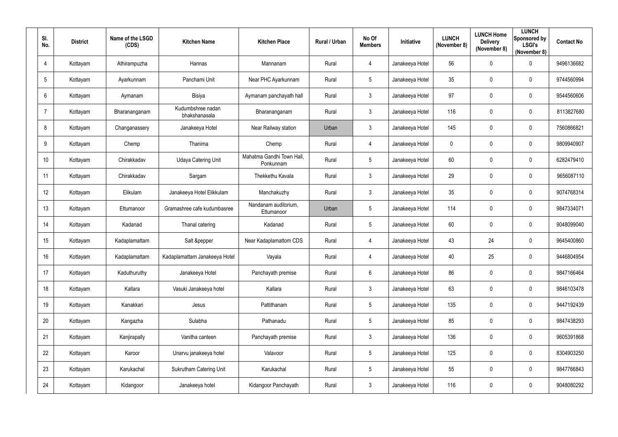| SI.<br>No.      | <b>District</b> | Name of the LSGD<br>(CDS) | <b>Kitchen Name</b>                | <b>Kitchen Place</b>                   | Rural / Urban | No Of<br><b>Members</b> | <b>Initiative</b> | <b>LUNCH</b><br>(November 8) | <b>LUNCH Home</b><br><b>Delivery</b><br>(November 8) | <b>LUNCH</b><br>Sponsored by<br><b>LSGI's</b><br>(November 8) | <b>Contact No</b> |
|-----------------|-----------------|---------------------------|------------------------------------|----------------------------------------|---------------|-------------------------|-------------------|------------------------------|------------------------------------------------------|---------------------------------------------------------------|-------------------|
| $\overline{4}$  | Kottayam        | Athirampuzha              | Hannas                             | Mannanam                               | Rural         | $\overline{4}$          | Janakeeya Hotel   | 56                           | $\mathbf 0$                                          | $\mathbf 0$                                                   | 9496136682        |
| $5\phantom{.0}$ | Kottayam        | Ayarkunnam                | Panchami Unit                      | Near PHC Ayarkunnam                    | Rural         | $5\overline{)}$         | Janakeeya Hotel   | 35                           | $\mathbf 0$                                          | $\mathbf 0$                                                   | 9744560994        |
| $6\phantom{.}6$ | Kottayam        | Aymanam                   | Bisiya                             | Aymanam panchayath hall                | Rural         | $\mathbf{3}$            | Janakeeya Hotel   | 97                           | $\mathbf 0$                                          | $\overline{0}$                                                | 9544560606        |
| $\overline{7}$  | Kottayam        | Bharananganam             | Kudumbshree nadan<br>bhakshanasala | Bharananganam                          | Rural         | 3 <sup>1</sup>          | Janakeeya Hotel   | 116                          | $\mathbf 0$                                          | $\mathbf 0$                                                   | 8113827680        |
| 8               | Kottayam        | Changanassery             | Janakeeya Hotel                    | Near Railway station                   | Urban         | 3                       | Janakeeya Hotel   | 145                          | 0                                                    | $\overline{0}$                                                | 7560866821        |
| 9               | Kottayam        | Chemp                     | Thanima                            | Chemp                                  | Rural         | $\overline{4}$          | Janakeeya Hotel   | $\mathbf 0$                  | $\overline{0}$                                       | $\boldsymbol{0}$                                              | 9809940907        |
| 10 <sup>°</sup> | Kottayam        | Chirakkadav               | <b>Udaya Catering Unit</b>         | Mahatma Gandhi Town Hall,<br>Ponkunnam | Rural         | $5\overline{)}$         | Janakeeya Hotel   | 60                           | 0                                                    | $\mathbf 0$                                                   | 6282479410        |
| 11              | Kottayam        | Chirakkadav               | Sargam                             | Thekkethu Kavala                       | Rural         | 3                       | Janakeeya Hotel   | 29                           | $\mathbf 0$                                          | $\mathbf 0$                                                   | 9656087110        |
| 12              | Kottayam        | Elikulam                  | Janakeeya Hotel Elikkulam          | Manchakuzhy                            | Rural         | $\mathbf{3}$            | Janakeeya Hotel   | 35                           | $\mathbf 0$                                          | $\overline{0}$                                                | 9074768314        |
| 13              | Kottayam        | Ettumanoor                | Gramashree cafe kudumbasree        | Nandanam auditorium,<br>Ettumanoor     | Urban         | $5\phantom{.0}$         | Janakeeya Hotel   | 114                          | $\overline{0}$                                       | $\mathbf 0$                                                   | 9847334071        |
| 14              | Kottayam        | Kadanad                   | Thanal catering                    | Kadanad                                | Rural         | $5\phantom{.0}$         | Janakeeya Hotel   | 60                           | $\mathbf 0$                                          | $\overline{0}$                                                | 9048099040        |
| 15              | Kottayam        | Kadaplamattam             | Salt &pepper                       | Near Kadaplamattom CDS                 | Rural         | 4                       | Janakeeya Hotel   | 43                           | 24                                                   | $\overline{0}$                                                | 9645400860        |
| 16              | Kottayam        | Kadaplamattam             | Kadaplamattam Janakeeya Hotel      | Vayala                                 | Rural         | 4                       | Janakeeya Hotel   | 40                           | 25                                                   | $\overline{0}$                                                | 9446804954        |
| 17              | Kottayam        | Kaduthuruthy              | Janakeeya Hotel                    | Panchayath premise                     | Rural         | $6\overline{6}$         | Janakeeya Hotel   | 86                           | $\mathbf 0$                                          | $\boldsymbol{0}$                                              | 9847166464        |
| 18              | Kottayam        | Kallara                   | Vasuki Janakeeya hotel             | Kallara                                | Rural         | 3 <sup>1</sup>          | Janakeeya Hotel   | 63                           | $\mathbf 0$                                          | $\pmb{0}$                                                     | 9846103478        |
| 19              | Kottayam        | Kanakkari                 | Jesus                              | Pattithanam                            | Rural         | $5\phantom{.0}$         | Janakeeya Hotel   | 135                          | $\mathbf 0$                                          | $\mathbf 0$                                                   | 9447192439        |
| 20              | Kottayam        | Kangazha                  | Sulabha                            | Pathanadu                              | Rural         | $5\overline{)}$         | Janakeeya Hotel   | 85                           | $\mathbf 0$                                          | $\boldsymbol{0}$                                              | 9847438293        |
| 21              | Kottayam        | Kanjirapally              | Vanitha canteen                    | Panchayath premise                     | Rural         | $3\phantom{.0}$         | Janakeeya Hotel   | 136                          | $\mathbf 0$                                          | $\mathbf 0$                                                   | 9605391868        |
| 22              | Kottayam        | Karoor                    | Unarvu janakeeya hotel             | Valavoor                               | Rural         | $5\overline{)}$         | Janakeeya Hotel   | 125                          | $\mathbf 0$                                          | $\pmb{0}$                                                     | 8304903250        |
| 23              | Kottayam        | Karukachal                | <b>Sukrutham Catering Unit</b>     | Karukachal                             | Rural         | $5\overline{)}$         | Janakeeya Hotel   | 55                           | $\mathbf 0$                                          | $\pmb{0}$                                                     | 9847766843        |
| 24              | Kottayam        | Kidangoor                 | Janakeeya hotel                    | Kidangoor Panchayath                   | Rural         | $\mathfrak{Z}$          | Janakeeya Hotel   | 116                          | $\mathbf 0$                                          | $\bm{0}$                                                      | 9048080292        |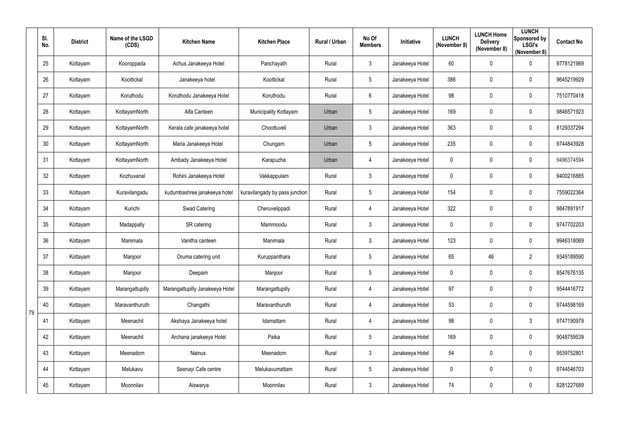|    | SI.<br>No. | <b>District</b> | Name of the LSGD<br>(CDS) | <b>Kitchen Name</b>             | <b>Kitchen Place</b>           | Rural / Urban | No Of<br><b>Members</b> | Initiative      | <b>LUNCH</b><br>(November 8) | <b>LUNCH Home</b><br><b>Delivery</b><br>(November 8) | <b>LUNCH</b><br>Sponsored by<br><b>LSGI's</b><br>(November 8) | <b>Contact No</b> |
|----|------------|-----------------|---------------------------|---------------------------------|--------------------------------|---------------|-------------------------|-----------------|------------------------------|------------------------------------------------------|---------------------------------------------------------------|-------------------|
|    | 25         | Kottayam        | Kooroppada                | Achus Janakeeya Hotel           | Panchayath                     | Rural         | $\mathfrak{Z}$          | Janakeeya Hotel | 60                           | 0                                                    | $\mathbf 0$                                                   | 9778121989        |
|    | 26         | Kottayam        | Koottickal                | Janakeeya hotel                 | Koottickal                     | Rural         | 5                       | Janakeeya Hotel | 386                          | 0                                                    | $\mathbf 0$                                                   | 9645219929        |
|    | 27         | Kottayam        | Koruthodu                 | Koruthodu Janakeeya Hotel       | Koruthodu                      | Rural         | $6\phantom{.}$          | Janakeeya Hotel | 98                           | 0                                                    | $\mathbf 0$                                                   | 7510770418        |
|    | 28         | Kottayam        | KottayamNorth             | Alfa Canteen                    | Municipality Kottayam          | Urban         | 5                       | Janakeeya Hotel | 169                          | 0                                                    | $\mathbf 0$                                                   | 9846571923        |
|    | 29         | Kottayam        | KottayamNorth             | Kerala cafe janakeeya hotel     | Choottuveli                    | Urban         | $\mathfrak{Z}$          | Janakeeya Hotel | 363                          | 0                                                    | $\mathbf 0$                                                   | 8129337294        |
|    | 30         | Kottayam        | KottayamNorth             | Maria Janakeeya Hotel           | Chungam                        | Urban         | 5                       | Janakeeya Hotel | 235                          | 0                                                    | $\mathbf 0$                                                   | 9744843928        |
|    | 31         | Kottayam        | KottayamNorth             | Ambady Janakeeya Hotel          | Karapuzha                      | Urban         | $\overline{4}$          | Janakeeya Hotel | $\mathbf 0$                  | 0                                                    | $\mathbf 0$                                                   | 9496374594        |
|    | 32         | Kottayam        | Kozhuvanal                | Rohini Janakeeya Hotel          | Vakkappulam                    | Rural         | $\mathfrak{Z}$          | Janakeeya Hotel | $\mathbf 0$                  | 0                                                    | $\mathbf 0$                                                   | 9400216885        |
|    | 33         | Kottayam        | Kuravilangadu             | kudumbashree janakeeya hotel    | kuravilangady by pass junction | Rural         | 5                       | Janakeeya Hotel | 154                          | 0                                                    | $\mathbf 0$                                                   | 7559022364        |
|    | 34         | Kottayam        | Kurichi                   | Swad Catering                   | Cheruvelippadi                 | Rural         | $\overline{4}$          | Janakeeya Hotel | 322                          | 0                                                    | $\mathbf 0$                                                   | 9847891917        |
|    | 35         | Kottayam        | Madappally                | SR catering                     | Mammoodu                       | Rural         | 3                       | Janakeeya Hotel | $\overline{0}$               | 0                                                    | $\boldsymbol{0}$                                              | 9747702203        |
|    | 36         | Kottayam        | Manimala                  | Vanitha canteen                 | Manimala                       | Rural         | $\mathfrak{Z}$          | Janakeeya Hotel | 123                          | 0                                                    | $\mathbf 0$                                                   | 9946318069        |
|    | 37         | Kottayam        | Manjoor                   | Oruma catering unit             | Kuruppanthara                  | Rural         | 5                       | Janakeeya Hotel | 65                           | 46                                                   | $\overline{2}$                                                | 9349189590        |
|    | 38         | Kottayam        | Manjoor                   | Deepam                          | Manjoor                        | Rural         | $5\overline{)}$         | Janakeeya Hotel | $\mathbf 0$                  | 0                                                    | $\pmb{0}$                                                     | 8547676135        |
|    | 39         | Kottayam        | Marangattupilly           | Marangattupilly Janakeeya Hotel | Marangattupilly                | Rural         | $\overline{4}$          | Janakeeya Hotel | 97                           | 0                                                    | $\mathbf 0$                                                   | 9544416772        |
| 79 | 40         | Kottayam        | Maravanthuruth            | Changathi                       | Maravanthuruth                 | Rural         | $\overline{4}$          | Janakeeya Hotel | 53                           | 0                                                    | $\pmb{0}$                                                     | 9744598169        |
|    | 41         | Kottayam        | Meenachil                 | Akshaya Janakeeya hotel         | Idamattam                      | Rural         | $\overline{4}$          | Janakeeya Hotel | 98                           | 0                                                    | $\mathbf{3}$                                                  | 9747190979        |
|    | 42         | Kottayam        | Meenachil                 | Archana janakeeya Hotel         | Paika                          | Rural         | $5\overline{)}$         | Janakeeya Hotel | 169                          | 0                                                    | $\mathbf 0$                                                   | 9048759539        |
|    | 43         | Kottayam        | Meenadom                  | Nainus                          | Meenadom                       | Rural         | $\mathfrak{Z}$          | Janakeeya Hotel | 54                           | $\pmb{0}$                                            | $\pmb{0}$                                                     | 9539752801        |
|    | 44         | Kottayam        | Melukavu                  | Seenayi Cafe centre             | Melukavumattam                 | Rural         | $5\overline{)}$         | Janakeeya Hotel | $\mathbf 0$                  | 0                                                    | $\mathbf 0$                                                   | 9744546703        |
|    | 45         | Kottayam        | Moonnilav                 | Aiswarya                        | Moonnilav                      | Rural         | 3 <sup>1</sup>          | Janakeeya Hotel | 74                           | 0                                                    | $\overline{0}$                                                | 8281227689        |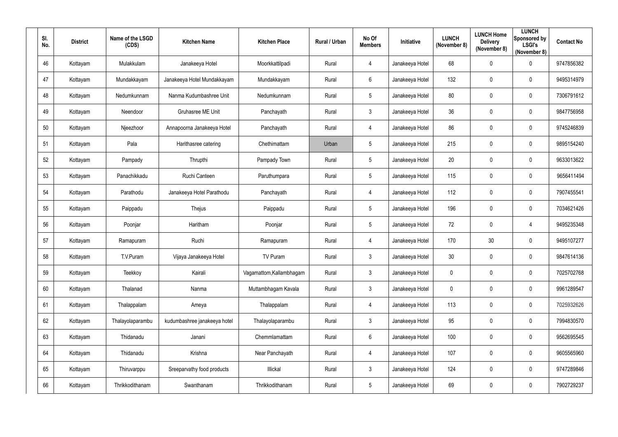| SI.<br>No. | <b>District</b> | Name of the LSGD<br>(CDS) | <b>Kitchen Name</b>          | <b>Kitchen Place</b>     | Rural / Urban | No Of<br><b>Members</b> | Initiative      | <b>LUNCH</b><br>(November 8) | <b>LUNCH Home</b><br><b>Delivery</b><br>(November 8) | <b>LUNCH</b><br>Sponsored by<br><b>LSGI's</b><br>(November 8) | <b>Contact No</b> |
|------------|-----------------|---------------------------|------------------------------|--------------------------|---------------|-------------------------|-----------------|------------------------------|------------------------------------------------------|---------------------------------------------------------------|-------------------|
| 46         | Kottayam        | Mulakkulam                | Janakeeya Hotel              | Moorkkattilpadi          | Rural         | $\overline{4}$          | Janakeeya Hotel | 68                           | $\mathbf 0$                                          | $\mathbf 0$                                                   | 9747856382        |
| 47         | Kottayam        | Mundakkayam               | Janakeeya Hotel Mundakkayam  | Mundakkayam              | Rural         | $6\overline{6}$         | Janakeeya Hotel | 132                          | $\mathbf 0$                                          | $\mathbf 0$                                                   | 9495314979        |
| 48         | Kottayam        | Nedumkunnam               | Nanma Kudumbashree Unit      | Nedumkunnam              | Rural         | $5\overline{)}$         | Janakeeya Hotel | 80                           | $\mathbf 0$                                          | $\mathbf 0$                                                   | 7306791612        |
| 49         | Kottayam        | Neendoor                  | Gruhasree ME Unit            | Panchayath               | Rural         | $3\overline{3}$         | Janakeeya Hotel | 36                           | $\mathbf 0$                                          | $\mathbf 0$                                                   | 9847756958        |
| 50         | Kottayam        | Njeezhoor                 | Annapoorna Janakeeya Hotel   | Panchayath               | Rural         | $\overline{4}$          | Janakeeya Hotel | 86                           | 0                                                    | $\overline{0}$                                                | 9745246839        |
| 51         | Kottayam        | Pala                      | Harithasree catering         | Chethimattam             | Urban         | $5\phantom{.0}$         | Janakeeya Hotel | 215                          | $\mathbf 0$                                          | $\boldsymbol{0}$                                              | 9895154240        |
| 52         | Kottayam        | Pampady                   | Thrupthi                     | Pampady Town             | Rural         | $5\overline{)}$         | Janakeeya Hotel | 20                           | 0                                                    | $\mathbf 0$                                                   | 9633013622        |
| 53         | Kottayam        | Panachikkadu              | Ruchi Canteen                | Paruthumpara             | Rural         | $5\overline{)}$         | Janakeeya Hotel | 115                          | $\mathbf 0$                                          | $\mathbf 0$                                                   | 9656411494        |
| 54         | Kottayam        | Parathodu                 | Janakeeya Hotel Parathodu    | Panchayath               | Rural         | $\overline{4}$          | Janakeeya Hotel | 112                          | $\mathbf 0$                                          | $\overline{0}$                                                | 7907455541        |
| 55         | Kottayam        | Paippadu                  | Thejus                       | Paippadu                 | Rural         | $5\overline{)}$         | Janakeeya Hotel | 196                          | $\overline{0}$                                       | $\mathbf 0$                                                   | 7034621426        |
| 56         | Kottayam        | Poonjar                   | Haritham                     | Poonjar                  | Rural         | $5\overline{)}$         | Janakeeya Hotel | 72                           | $\mathbf 0$                                          | $\overline{4}$                                                | 9495235348        |
| 57         | Kottayam        | Ramapuram                 | Ruchi                        | Ramapuram                | Rural         | $\overline{4}$          | Janakeeya Hotel | 170                          | 30                                                   | $\overline{0}$                                                | 9495107277        |
| 58         | Kottayam        | T.V.Puram                 | Vijaya Janakeeya Hotel       | TV Puram                 | Rural         | $\mathbf{3}$            | Janakeeya Hotel | 30                           | $\mathbf 0$                                          | $\overline{0}$                                                | 9847614136        |
| 59         | Kottayam        | Teekkoy                   | Kairali                      | Vagamattom, Kallambhagam | Rural         | $3\overline{3}$         | Janakeeya Hotel | $\pmb{0}$                    | $\mathbf 0$                                          | $\boldsymbol{0}$                                              | 7025702768        |
| 60         | Kottayam        | Thalanad                  | Nanma                        | Muttambhagam Kavala      | Rural         | $\mathbf{3}$            | Janakeeya Hotel | $\pmb{0}$                    | $\mathbf 0$                                          | $\pmb{0}$                                                     | 9961289547        |
| 61         | Kottayam        | Thalappalam               | Ameya                        | Thalappalam              | Rural         | $\overline{4}$          | Janakeeya Hotel | 113                          | $\mathbf 0$                                          | $\mathbf 0$                                                   | 7025932626        |
| 62         | Kottayam        | Thalayolaparambu          | kudumbashree janakeeya hotel | Thalayolaparambu         | Rural         | $\mathbf{3}$            | Janakeeya Hotel | 95                           | $\mathbf 0$                                          | $\boldsymbol{0}$                                              | 7994830570        |
| 63         | Kottayam        | Thidanadu                 | Janani                       | Chemmlamattam            | Rural         | $6\overline{6}$         | Janakeeya Hotel | 100                          | $\mathbf 0$                                          | $\mathbf 0$                                                   | 9562695545        |
| 64         | Kottayam        | Thidanadu                 | Krishna                      | Near Panchayath          | Rural         | $\overline{4}$          | Janakeeya Hotel | 107                          | $\mathbf 0$                                          | $\pmb{0}$                                                     | 9605565960        |
| 65         | Kottayam        | Thiruvarppu               | Sreeparvathy food products   | Illickal                 | Rural         | $\mathbf{3}$            | Janakeeya Hotel | 124                          | $\mathbf 0$                                          | $\pmb{0}$                                                     | 9747289846        |
| 66         | Kottayam        | Thrikkodithanam           | Swanthanam                   | Thrikkodithanam          | Rural         | $5\phantom{.0}$         | Janakeeya Hotel | 69                           | $\mathbf 0$                                          | $\bm{0}$                                                      | 7902729237        |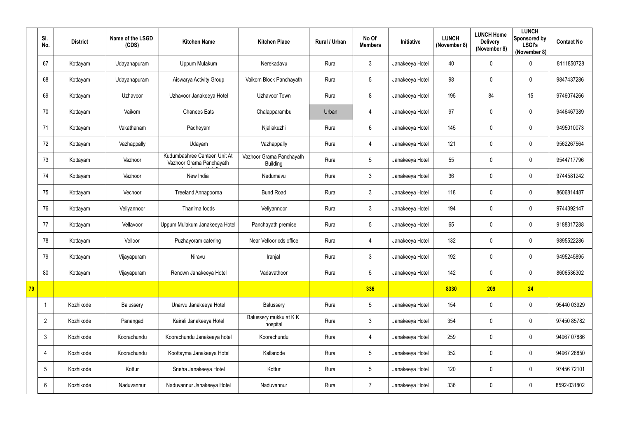|           | SI.<br>No.      | <b>District</b> | Name of the LSGD<br>(CDS) | <b>Kitchen Name</b>                                      | <b>Kitchen Place</b>                        | Rural / Urban | No Of<br><b>Members</b> | Initiative      | <b>LUNCH</b><br>(November 8) | <b>LUNCH Home</b><br><b>Delivery</b><br>(November 8) | <b>LUNCH</b><br>Sponsored by<br><b>LSGI's</b><br>(November 8) | <b>Contact No</b> |
|-----------|-----------------|-----------------|---------------------------|----------------------------------------------------------|---------------------------------------------|---------------|-------------------------|-----------------|------------------------------|------------------------------------------------------|---------------------------------------------------------------|-------------------|
|           | 67              | Kottayam        | Udayanapuram              | Uppum Mulakum                                            | Nerekadavu                                  | Rural         | $\mathfrak{Z}$          | Janakeeya Hotel | 40                           | 0                                                    | $\mathbf 0$                                                   | 8111850728        |
|           | 68              | Kottayam        | Udayanapuram              | Aiswarya Activity Group                                  | Vaikom Block Panchayath                     | Rural         | 5                       | Janakeeya Hotel | 98                           | 0                                                    | $\mathbf 0$                                                   | 9847437286        |
|           | 69              | Kottayam        | Uzhavoor                  | Uzhavoor Janakeeya Hotel                                 | <b>Uzhavoor Town</b>                        | Rural         | 8                       | Janakeeya Hotel | 195                          | 84                                                   | 15                                                            | 9746074266        |
|           | 70              | Kottayam        | Vaikom                    | <b>Chanees Eats</b>                                      | Chalapparambu                               | Urban         | $\overline{4}$          | Janakeeya Hotel | 97                           | 0                                                    | $\mathbf 0$                                                   | 9446467389        |
|           | 71              | Kottayam        | Vakathanam                | Padheyam                                                 | Njaliakuzhi                                 | Rural         | 6                       | Janakeeya Hotel | 145                          | 0                                                    | $\mathbf 0$                                                   | 9495010073        |
|           | 72              | Kottayam        | Vazhappally               | Udayam                                                   | Vazhappally                                 | Rural         | $\overline{4}$          | Janakeeya Hotel | 121                          | 0                                                    | $\mathbf 0$                                                   | 9562267564        |
|           | 73              | Kottayam        | Vazhoor                   | Kudumbashree Canteen Unit At<br>Vazhoor Grama Panchayath | Vazhoor Grama Panchayath<br><b>Building</b> | Rural         | 5                       | Janakeeya Hotel | 55                           | 0                                                    | $\mathbf 0$                                                   | 9544717796        |
|           | 74              | Kottayam        | Vazhoor                   | New India                                                | Nedumavu                                    | Rural         | $\mathfrak{Z}$          | Janakeeya Hotel | 36                           | 0                                                    | $\mathbf 0$                                                   | 9744581242        |
|           | 75              | Kottayam        | Vechoor                   | <b>Treeland Annapoorna</b>                               | <b>Bund Road</b>                            | Rural         | $\mathfrak{Z}$          | Janakeeya Hotel | 118                          | 0                                                    | $\mathbf 0$                                                   | 8606814487        |
|           | 76              | Kottayam        | Veliyannoor               | Thanima foods                                            | Veliyannoor                                 | Rural         | 3                       | Janakeeya Hotel | 194                          | 0                                                    | $\mathbf 0$                                                   | 9744392147        |
|           | 77              | Kottayam        | Vellavoor                 | Uppum Mulakum Janakeeya Hotel                            | Panchayath premise                          | Rural         | 5                       | Janakeeya Hotel | 65                           | 0                                                    | $\mathbf 0$                                                   | 9188317288        |
|           | 78              | Kottayam        | Velloor                   | Puzhayoram catering                                      | Near Velloor cds office                     | Rural         | $\overline{4}$          | Janakeeya Hotel | 132                          | 0                                                    | $\mathbf 0$                                                   | 9895522286        |
|           | 79              | Kottayam        | Vijayapuram               | Niravu                                                   | Iranjal                                     | Rural         | 3                       | Janakeeya Hotel | 192                          | 0                                                    | 0                                                             | 9495245895        |
|           | 80              | Kottayam        | Vijayapuram               | Renown Janakeeya Hotel                                   | Vadavathoor                                 | Rural         | $5\overline{)}$         | Janakeeya Hotel | 142                          | 0                                                    | $\overline{0}$                                                | 8606536302        |
| <b>79</b> |                 |                 |                           |                                                          |                                             |               | 336                     |                 | 8330                         | 209                                                  | 24                                                            |                   |
|           | $\mathbf 1$     | Kozhikode       | Balussery                 | Unarvu Janakeeya Hotel                                   | Balussery                                   | Rural         | 5                       | Janakeeya Hotel | 154                          | 0                                                    | $\overline{0}$                                                | 95440 03929       |
|           | $\overline{2}$  | Kozhikode       | Panangad                  | Kairali Janakeeya Hotel                                  | Balussery mukku at KK<br>hospital           | Rural         | $\mathfrak{Z}$          | Janakeeya Hotel | 354                          | 0                                                    | $\mathbf 0$                                                   | 97450 85782       |
|           | $\mathfrak{Z}$  | Kozhikode       | Koorachundu               | Koorachundu Janakeeya hotel                              | Koorachundu                                 | Rural         | $\overline{4}$          | Janakeeya Hotel | 259                          | 0                                                    | $\overline{0}$                                                | 94967 07886       |
|           | 4               | Kozhikode       | Koorachundu               | Koottayma Janakeeya Hotel                                | Kallanode                                   | Rural         | 5                       | Janakeeya Hotel | 352                          | 0                                                    | $\overline{0}$                                                | 94967 26850       |
|           | $5\overline{)}$ | Kozhikode       | Kottur                    | Sneha Janakeeya Hotel                                    | Kottur                                      | Rural         | $5\overline{)}$         | Janakeeya Hotel | 120                          | 0                                                    | $\overline{0}$                                                | 97456 72101       |
|           | $6\phantom{.}$  | Kozhikode       | Naduvannur                | Naduvannur Janakeeya Hotel                               | Naduvannur                                  | Rural         | $\overline{7}$          | Janakeeya Hotel | 336                          | 0                                                    | $\mathbf 0$                                                   | 8592-031802       |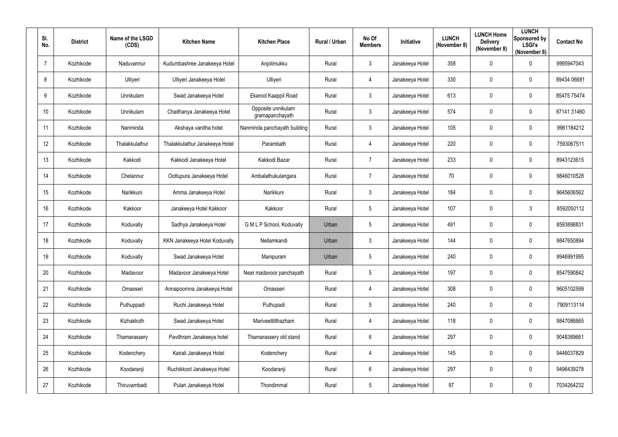| SI.<br>No.     | <b>District</b> | Name of the LSGD<br>(CDS) | <b>Kitchen Name</b>            | <b>Kitchen Place</b>                  | Rural / Urban | No Of<br><b>Members</b> | Initiative      | <b>LUNCH</b><br>(November 8) | <b>LUNCH Home</b><br><b>Delivery</b><br>(November 8) | <b>LUNCH</b><br>Sponsored by<br><b>LSGI's</b><br>(November 8) | <b>Contact No</b> |
|----------------|-----------------|---------------------------|--------------------------------|---------------------------------------|---------------|-------------------------|-----------------|------------------------------|------------------------------------------------------|---------------------------------------------------------------|-------------------|
| $\overline{7}$ | Kozhikode       | Naduvannur                | Kudumbashree Janakeeya Hotel   | Anjolimukku                           | Rural         | $\mathbf{3}$            | Janakeeya Hotel | 358                          | $\mathbf 0$                                          | $\overline{0}$                                                | 9995947043        |
| 8              | Kozhikode       | Ulliyeri                  | Ulliyeri Janakeeya Hotel       | Ulliyeri                              | Rural         | $\overline{4}$          | Janakeeya Hotel | 330                          | 0                                                    | $\overline{0}$                                                | 89434 06681       |
| 9              | Kozhikode       | Unnikulam                 | Swad Janakeeya Hotel           | Ekarool Kaappil Road                  | Rural         | $\mathbf{3}$            | Janakeeya Hotel | 613                          | $\mathbf 0$                                          | $\boldsymbol{0}$                                              | 85475 75474       |
| 10             | Kozhikode       | Unnikulam                 | Chaithanya Janakeeya Hotel     | Opposite unnikulam<br>gramapanchayath | Rural         | 3                       | Janakeeya Hotel | 574                          | $\mathbf 0$                                          | $\overline{0}$                                                | 87141 31460       |
| 11             | Kozhikode       | Nanminda                  | Akshaya vanitha hotel          | Nanminda panchayath building          | Rural         | $\mathbf{3}$            | Janakeeya Hotel | 105                          | 0                                                    | $\overline{0}$                                                | 9961184212        |
| 12             | Kozhikode       | Thalakkulathur            | Thalakkulathur Janakeeya Hotel | Parambath                             | Rural         | $\overline{4}$          | Janakeeya Hotel | 220                          | $\mathbf 0$                                          | $\boldsymbol{0}$                                              | 7593067511        |
| 13             | Kozhikode       | Kakkodi                   | Kakkodi Janakeeya Hotel        | Kakkodi Bazar                         | Rural         | $\overline{7}$          | Janakeeya Hotel | 233                          | 0                                                    | $\overline{0}$                                                | 8943123615        |
| 14             | Kozhikode       | Chelannur                 | Oottupura Janakeeya Hotel      | Ambalathukulangara                    | Rural         | $\overline{7}$          | Janakeeya Hotel | 70                           | $\mathbf 0$                                          | $\overline{0}$                                                | 9846010528        |
| 15             | Kozhikode       | Narikkuni                 | Amma Janakeeya Hotel           | Narikkuni                             | Rural         | $\mathbf{3}$            | Janakeeya Hotel | 184                          | $\mathbf 0$                                          | $\overline{0}$                                                | 9645606562        |
| 16             | Kozhikode       | Kakkoor                   | Janakeeya Hotel Kakkoor        | Kakkoor                               | Rural         | $5\phantom{.0}$         | Janakeeya Hotel | 107                          | $\mathbf 0$                                          | $\mathbf{3}$                                                  | 8592050112        |
| 17             | Kozhikode       | Koduvally                 | Sadhya Janakeeya Hotel         | G M L P School, Koduvally             | Urban         | $5\phantom{.0}$         | Janakeeya Hotel | 491                          | $\mathbf 0$                                          | $\overline{0}$                                                | 8593898831        |
| 18             | Kozhikode       | Koduvally                 | KKN Janakeeya Hotel Koduvally  | Nellamkandi                           | Urban         | $\mathbf{3}$            | Janakeeya Hotel | 144                          | $\mathbf 0$                                          | $\overline{0}$                                                | 9847650894        |
| 19             | Kozhikode       | Koduvally                 | Swad Janakeeya Hotel           | Manipuram                             | Urban         | 5                       | Janakeeya Hotel | 240                          | 0                                                    | 0                                                             | 9946991995        |
| 20             | Kozhikode       | Madavoor                  | Madavoor Janakeeya Hotel       | Near madavoor panchayath              | Rural         | $5\phantom{.0}$         | Janakeeya Hotel | 197                          | $\mathbf 0$                                          | $\mathbf 0$                                                   | 8547590842        |
| 21             | Kozhikode       | Omasseri                  | Annapoornna Janakeeya Hotel    | Omasseri                              | Rural         | $\overline{4}$          | Janakeeya Hotel | 308                          | $\mathbf 0$                                          | $\mathbf 0$                                                   | 9605102599        |
| 22             | Kozhikode       | Puthuppadi                | Ruchi Janakeeya Hotel          | Puthupadi                             | Rural         | $5\phantom{.0}$         | Janakeeya Hotel | 240                          | $\pmb{0}$                                            | $\mathbf 0$                                                   | 7909113114        |
| 23             | Kozhikode       | Kizhakkoth                | Swad Janakeeya Hotel           | Mariveettilthazham                    | Rural         | $\overline{4}$          | Janakeeya Hotel | 118                          | $\mathbf 0$                                          | $\mathbf 0$                                                   | 9847086665        |
| 24             | Kozhikode       | Thamarassery              | Pavithram Janakeeya hotel      | Thamarassery old stand                | Rural         | $6\phantom{.}6$         | Janakeeya Hotel | 297                          | $\mathbf 0$                                          | $\mathbf 0$                                                   | 9048389661        |
| 25             | Kozhikode       | Kodenchery                | Kairali Janakeeya Hotel        | Kodenchery                            | Rural         | $\overline{4}$          | Janakeeya Hotel | 145                          | $\mathbf 0$                                          | $\mathbf 0$                                                   | 9446037829        |
| 26             | Kozhikode       | Koodaranji                | Ruchikkoot Janakeeya Hotel     | Koodaranji                            | Rural         | $6\overline{6}$         | Janakeeya Hotel | 297                          | $\mathbf 0$                                          | $\mathbf 0$                                                   | 9496439278        |
| 27             | Kozhikode       | Thiruvambadi              | Pulari Janakeeya Hotel         | Thondimmal                            | Rural         | $5\phantom{.0}$         | Janakeeya Hotel | 97                           | $\mathbf 0$                                          | $\bm{0}$                                                      | 7034264232        |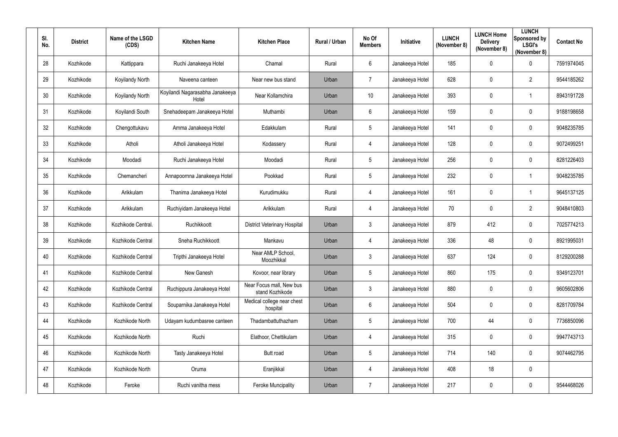| SI.<br>No. | <b>District</b> | Name of the LSGD<br>(CDS) | <b>Kitchen Name</b>                      | <b>Kitchen Place</b>                        | Rural / Urban | No Of<br><b>Members</b> | Initiative      | <b>LUNCH</b><br>(November 8) | <b>LUNCH Home</b><br><b>Delivery</b><br>(November 8) | <b>LUNCH</b><br>Sponsored by<br><b>LSGI's</b><br>(November 8) | <b>Contact No</b> |
|------------|-----------------|---------------------------|------------------------------------------|---------------------------------------------|---------------|-------------------------|-----------------|------------------------------|------------------------------------------------------|---------------------------------------------------------------|-------------------|
| 28         | Kozhikode       | Kattippara                | Ruchi Janakeeya Hotel                    | Chamal                                      | Rural         | $6^{\circ}$             | Janakeeya Hotel | 185                          | $\mathbf 0$                                          | $\overline{0}$                                                | 7591974045        |
| 29         | Kozhikode       | Koyilandy North           | Naveena canteen                          | Near new bus stand                          | Urban         | $\overline{7}$          | Janakeeya Hotel | 628                          | 0                                                    | $\overline{2}$                                                | 9544185262        |
| 30         | Kozhikode       | Koyilandy North           | Koyilandi Nagarasabha Janakeeya<br>Hotel | Near Kollamchira                            | Urban         | 10                      | Janakeeya Hotel | 393                          | $\mathbf 0$                                          | $\overline{1}$                                                | 8943191728        |
| 31         | Kozhikode       | Koyilandi South           | Snehadeepam Janakeeya Hotel              | Muthambi                                    | Urban         | $6\phantom{.}$          | Janakeeya Hotel | 159                          | 0                                                    | $\overline{0}$                                                | 9188198658        |
| 32         | Kozhikode       | Chengottukavu             | Amma Janakeeya Hotel                     | Edakkulam                                   | Rural         | $5\overline{)}$         | Janakeeya Hotel | 141                          | $\overline{0}$                                       | $\overline{0}$                                                | 9048235785        |
| 33         | Kozhikode       | Atholi                    | Atholi Janakeeya Hotel                   | Kodassery                                   | Rural         | $\overline{4}$          | Janakeeya Hotel | 128                          | $\mathbf 0$                                          | $\boldsymbol{0}$                                              | 9072499251        |
| 34         | Kozhikode       | Moodadi                   | Ruchi Janakeeya Hotel                    | Moodadi                                     | Rural         | $5\overline{)}$         | Janakeeya Hotel | 256                          | 0                                                    | $\mathbf 0$                                                   | 8281226403        |
| 35         | Kozhikode       | Chemancheri               | Annapoornna Janakeeya Hotel              | Pookkad                                     | Rural         | $5\overline{)}$         | Janakeeya Hotel | 232                          | $\mathbf 0$                                          | $\overline{1}$                                                | 9048235785        |
| 36         | Kozhikode       | Arikkulam                 | Thanima Janakeeya Hotel                  | Kurudimukku                                 | Rural         | $\overline{4}$          | Janakeeya Hotel | 161                          | $\overline{0}$                                       | -1                                                            | 9645137125        |
| 37         | Kozhikode       | Arikkulam                 | Ruchiyidam Janakeeya Hotel               | Arikkulam                                   | Rural         | 4                       | Janakeeya Hotel | 70                           | $\mathbf 0$                                          | $\overline{2}$                                                | 9048410803        |
| 38         | Kozhikode       | Kozhikode Central.        | Ruchikkoott                              | <b>District Veterinary Hospital</b>         | Urban         | 3                       | Janakeeya Hotel | 879                          | 412                                                  | $\boldsymbol{0}$                                              | 7025774213        |
| 39         | Kozhikode       | Kozhikode Central         | Sneha Ruchikkoott                        | Mankavu                                     | Urban         | $\overline{4}$          | Janakeeya Hotel | 336                          | 48                                                   | $\boldsymbol{0}$                                              | 8921995031        |
| 40         | Kozhikode       | Kozhikode Central         | Tripthi Janakeeya Hotel                  | Near AMLP School,<br>Moozhikkal             | Urban         | 3                       | Janakeeya Hotel | 637                          | 124                                                  | 0                                                             | 8129200288        |
| 41         | Kozhikode       | Kozhikode Central         | New Ganesh                               | Kovoor, near library                        | Urban         | $5\overline{)}$         | Janakeeya Hotel | 860                          | 175                                                  | $\mathbf 0$                                                   | 9349123701        |
| 42         | Kozhikode       | Kozhikode Central         | Ruchippura Janakeeya Hotel               | Near Focus mall, New bus<br>stand Kozhikode | Urban         | $3\phantom{.0}$         | Janakeeya Hotel | 880                          | $\mathbf 0$                                          | $\mathbf 0$                                                   | 9605602806        |
| 43         | Kozhikode       | Kozhikode Central         | Souparnika Janakeeya Hotel               | Medical college near chest<br>hospital      | Urban         | $6\phantom{.0}$         | Janakeeya Hotel | 504                          | $\overline{0}$                                       | $\boldsymbol{0}$                                              | 8281709784        |
| 44         | Kozhikode       | Kozhikode North           | Udayam kudumbasree canteen               | Thadambattuthazham                          | Urban         | $5\overline{)}$         | Janakeeya Hotel | 700                          | 44                                                   | $\mathbf 0$                                                   | 7736850096        |
| 45         | Kozhikode       | Kozhikode North           | Ruchi                                    | Elathoor, Chettikulam                       | Urban         | $\overline{4}$          | Janakeeya Hotel | 315                          | $\mathbf 0$                                          | $\mathbf 0$                                                   | 9947743713        |
| 46         | Kozhikode       | Kozhikode North           | Tasty Janakeeya Hotel                    | Butt road                                   | Urban         | $5\overline{)}$         | Janakeeya Hotel | 714                          | 140                                                  | $\mathbf 0$                                                   | 9074462795        |
| 47         | Kozhikode       | Kozhikode North           | Oruma                                    | Eranjikkal                                  | Urban         | $\overline{4}$          | Janakeeya Hotel | 408                          | 18                                                   | $\boldsymbol{0}$                                              |                   |
| 48         | Kozhikode       | Feroke                    | Ruchi vanitha mess                       | <b>Feroke Muncipality</b>                   | Urban         | $\overline{7}$          | Janakeeya Hotel | 217                          | $\boldsymbol{0}$                                     | $\boldsymbol{0}$                                              | 9544468026        |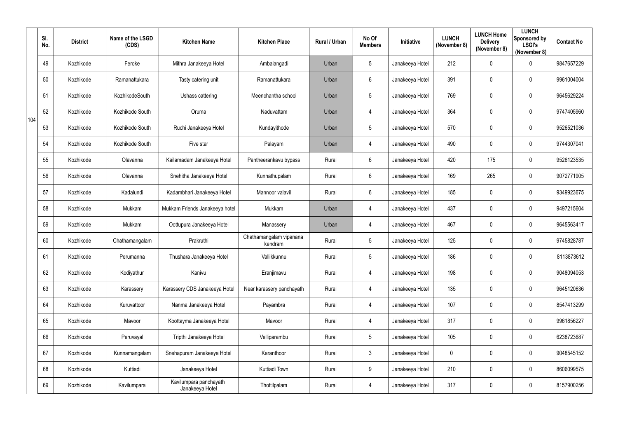|     | SI.<br>No. | <b>District</b> | Name of the LSGD<br>(CDS) | <b>Kitchen Name</b>                       | <b>Kitchen Place</b>               | Rural / Urban | No Of<br><b>Members</b> | Initiative      | <b>LUNCH</b><br>(November 8) | <b>LUNCH Home</b><br><b>Delivery</b><br>(November 8) | <b>LUNCH</b><br>Sponsored by<br><b>LSGI's</b><br>(November 8) | <b>Contact No</b> |
|-----|------------|-----------------|---------------------------|-------------------------------------------|------------------------------------|---------------|-------------------------|-----------------|------------------------------|------------------------------------------------------|---------------------------------------------------------------|-------------------|
|     | 49         | Kozhikode       | Feroke                    | Mithra Janakeeya Hotel                    | Ambalangadi                        | Urban         | 5                       | Janakeeya Hotel | 212                          | 0                                                    | $\overline{0}$                                                | 9847657229        |
|     | 50         | Kozhikode       | Ramanattukara             | Tasty catering unit                       | Ramanattukara                      | Urban         | $6\phantom{.0}$         | Janakeeya Hotel | 391                          | 0                                                    | $\overline{0}$                                                | 9961004004        |
|     | 51         | Kozhikode       | KozhikodeSouth            | Ushass cattering                          | Meenchantha school                 | Urban         | 5                       | Janakeeya Hotel | 769                          | 0                                                    | $\overline{0}$                                                | 9645629224        |
| 104 | 52         | Kozhikode       | Kozhikode South           | Oruma                                     | Naduvattam                         | Urban         | $\overline{4}$          | Janakeeya Hotel | 364                          | 0                                                    | $\overline{0}$                                                | 9747405960        |
|     | 53         | Kozhikode       | Kozhikode South           | Ruchi Janakeeya Hotel                     | Kundayithode                       | Urban         | 5                       | Janakeeya Hotel | 570                          | 0                                                    | $\overline{0}$                                                | 9526521036        |
|     | 54         | Kozhikode       | Kozhikode South           | Five star                                 | Palayam                            | Urban         | $\overline{4}$          | Janakeeya Hotel | 490                          | 0                                                    | $\overline{0}$                                                | 9744307041        |
|     | 55         | Kozhikode       | Olavanna                  | Kailamadam Janakeeya Hotel                | Pantheerankavu bypass              | Rural         | $6\phantom{.0}$         | Janakeeya Hotel | 420                          | 175                                                  | $\overline{0}$                                                | 9526123535        |
|     | 56         | Kozhikode       | Olavanna                  | Snehitha Janakeeya Hotel                  | Kunnathupalam                      | Rural         | $6\phantom{.0}$         | Janakeeya Hotel | 169                          | 265                                                  | $\mathbf 0$                                                   | 9072771905        |
|     | 57         | Kozhikode       | Kadalundi                 | Kadambhari Janakeeya Hotel                | Mannoor valavil                    | Rural         | $6\phantom{.0}$         | Janakeeya Hotel | 185                          | 0                                                    | $\overline{0}$                                                | 9349923675        |
|     | 58         | Kozhikode       | Mukkam                    | Mukkam Friends Janakeeya hotel            | Mukkam                             | Urban         | $\overline{4}$          | Janakeeya Hotel | 437                          | 0                                                    | $\overline{0}$                                                | 9497215604        |
|     | 59         | Kozhikode       | Mukkam                    | Oottupura Janakeeya Hotel                 | Manassery                          | Urban         | 4                       | Janakeeya Hotel | 467                          | 0                                                    | $\overline{0}$                                                | 9645563417        |
|     | 60         | Kozhikode       | Chathamangalam            | Prakruthi                                 | Chathamangalam vipanana<br>kendram | Rural         | $5\phantom{.0}$         | Janakeeya Hotel | 125                          | 0                                                    | $\overline{0}$                                                | 9745828787        |
|     | 61         | Kozhikode       | Perumanna                 | Thushara Janakeeya Hotel                  | Vallikkunnu                        | Rural         | 5                       | Janakeeya Hotel | 186                          |                                                      | $\mathbf 0$                                                   | 8113873612        |
|     | 62         | Kozhikode       | Kodiyathur                | Kanivu                                    | Eranjimavu                         | Rural         | $\overline{4}$          | Janakeeya Hotel | 198                          | 0                                                    | $\mathbf 0$                                                   | 9048094053        |
|     | 63         | Kozhikode       | Karassery                 | Karassery CDS Janakeeya Hotel             | Near karassery panchayath          | Rural         | $\overline{4}$          | Janakeeya Hotel | 135                          | $\pmb{0}$                                            | $\mathbf 0$                                                   | 9645120636        |
|     | 64         | Kozhikode       | Kuruvattoor               | Nanma Janakeeya Hotel                     | Payambra                           | Rural         | $\overline{4}$          | Janakeeya Hotel | 107                          | $\pmb{0}$                                            | $\mathbf 0$                                                   | 8547413299        |
|     | 65         | Kozhikode       | Mavoor                    | Koottayma Janakeeya Hotel                 | Mavoor                             | Rural         | $\overline{4}$          | Janakeeya Hotel | 317                          | 0                                                    | $\mathbf 0$                                                   | 9961856227        |
|     | 66         | Kozhikode       | Peruvayal                 | Tripthi Janakeeya Hotel                   | Velliparambu                       | Rural         | $5\phantom{.0}$         | Janakeeya Hotel | 105                          | $\pmb{0}$                                            | $\mathbf 0$                                                   | 6238723687        |
|     | 67         | Kozhikode       | Kunnamangalam             | Snehapuram Janakeeya Hotel                | Karanthoor                         | Rural         | $\mathfrak{Z}$          | Janakeeya Hotel | $\mathbf 0$                  | 0                                                    | $\mathbf 0$                                                   | 9048545152        |
|     | 68         | Kozhikode       | Kuttiadi                  | Janakeeya Hotel                           | Kuttiadi Town                      | Rural         | 9                       | Janakeeya Hotel | 210                          | 0                                                    | $\mathbf 0$                                                   | 8606099575        |
|     | 69         | Kozhikode       | Kavilumpara               | Kavilumpara panchayath<br>Janakeeya Hotel | Thottilpalam                       | Rural         | $\overline{4}$          | Janakeeya Hotel | 317                          | 0                                                    | $\mathbf 0$                                                   | 8157900256        |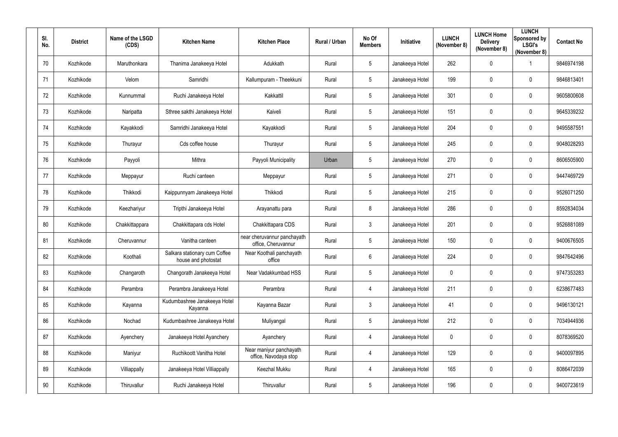| SI.<br>No.      | <b>District</b> | Name of the LSGD<br>(CDS) | <b>Kitchen Name</b>                                  | <b>Kitchen Place</b>                               | Rural / Urban | No Of<br><b>Members</b> | Initiative      | <b>LUNCH</b><br>(November 8) | <b>LUNCH Home</b><br><b>Delivery</b><br>(November 8) | <b>LUNCH</b><br>Sponsored by<br><b>LSGI's</b><br>(November 8) | <b>Contact No</b> |
|-----------------|-----------------|---------------------------|------------------------------------------------------|----------------------------------------------------|---------------|-------------------------|-----------------|------------------------------|------------------------------------------------------|---------------------------------------------------------------|-------------------|
| 70              | Kozhikode       | Maruthonkara              | Thanima Janakeeya Hotel                              | Adukkath                                           | Rural         | $5\phantom{.0}$         | Janakeeya Hotel | 262                          | $\mathbf 0$                                          | -1                                                            | 9846974198        |
| 71              | Kozhikode       | Velom                     | Samridhi                                             | Kallumpuram - Theekkuni                            | Rural         | 5 <sub>5</sub>          | Janakeeya Hotel | 199                          | 0                                                    | $\overline{0}$                                                | 9846813401        |
| 72              | Kozhikode       | Kunnummal                 | Ruchi Janakeeya Hotel                                | Kakkattil                                          | Rural         | $5\phantom{.0}$         | Janakeeya Hotel | 301                          | $\mathbf 0$                                          | $\boldsymbol{0}$                                              | 9605800608        |
| 73              | Kozhikode       | Naripatta                 | Sthree sakthi Janakeeya Hotel                        | Kaiveli                                            | Rural         | $5\phantom{.0}$         | Janakeeya Hotel | 151                          | $\boldsymbol{0}$                                     | $\mathbf 0$                                                   | 9645339232        |
| 74              | Kozhikode       | Kayakkodi                 | Samridhi Janakeeya Hotel                             | Kayakkodi                                          | Rural         | $5\phantom{.0}$         | Janakeeya Hotel | 204                          | $\mathbf 0$                                          | $\overline{0}$                                                | 9495587551        |
| 75              | Kozhikode       | Thurayur                  | Cds coffee house                                     | Thurayur                                           | Rural         | $5\phantom{.0}$         | Janakeeya Hotel | 245                          | $\overline{0}$                                       | $\boldsymbol{0}$                                              | 9048028293        |
| 76              | Kozhikode       | Payyoli                   | Mithra                                               | Payyoli Municipality                               | Urban         | $5\phantom{.0}$         | Janakeeya Hotel | 270                          | $\mathbf 0$                                          | $\overline{0}$                                                | 8606505900        |
| 77              | Kozhikode       | Meppayur                  | Ruchi canteen                                        | Meppayur                                           | Rural         | $5\phantom{.0}$         | Janakeeya Hotel | 271                          | $\mathbf 0$                                          | $\overline{0}$                                                | 9447469729        |
| 78              | Kozhikode       | Thikkodi                  | Kaippunnyam Janakeeya Hotel                          | Thikkodi                                           | Rural         | $5\phantom{.0}$         | Janakeeya Hotel | 215                          | $\overline{0}$                                       | $\overline{0}$                                                | 9526071250        |
| 79              | Kozhikode       | Keezhariyur               | Tripthi Janakeeya Hotel                              | Arayanattu para                                    | Rural         | 8                       | Janakeeya Hotel | 286                          | $\mathbf 0$                                          | $\overline{0}$                                                | 8592834034        |
| 80              | Kozhikode       | Chakkittappara            | Chakkittapara cds Hotel                              | Chakkittapara CDS                                  | Rural         | $\mathbf{3}$            | Janakeeya Hotel | 201                          | $\boldsymbol{0}$                                     | $\overline{0}$                                                | 9526881089        |
| 81              | Kozhikode       | Cheruvannur               | Vanitha canteen                                      | near cheruvannur panchayath<br>office, Cheruvannur | Rural         | 5 <sub>5</sub>          | Janakeeya Hotel | 150                          | $\overline{0}$                                       | $\overline{0}$                                                | 9400676505        |
| 82              | Kozhikode       | Koothali                  | Salkara stationary cum Coffee<br>house and photostat | Near Koothali panchayath<br>office                 | Rural         | $6\phantom{.}$          | Janakeeya Hotel | 224                          | $\mathbf 0$                                          | $\overline{0}$                                                | 9847642496        |
| 83              | Kozhikode       | Changaroth                | Changorath Janakeeya Hotel                           | Near Vadakkumbad HSS                               | Rural         | $5\phantom{.0}$         | Janakeeya Hotel | $\mathbf 0$                  | $\mathbf 0$                                          | $\mathbf 0$                                                   | 9747353283        |
| 84              | Kozhikode       | Perambra                  | Perambra Janakeeya Hotel                             | Perambra                                           | Rural         | $\overline{4}$          | Janakeeya Hotel | 211                          | $\overline{0}$                                       | $\mathbf 0$                                                   | 6238677483        |
| 85              | Kozhikode       | Kayanna                   | Kudumbashree Janakeeya Hotel<br>Kayanna              | Kayanna Bazar                                      | Rural         | 3 <sup>1</sup>          | Janakeeya Hotel | 41                           | $\mathbf 0$                                          | $\mathbf 0$                                                   | 9496130121        |
| 86              | Kozhikode       | Nochad                    | Kudumbashree Janakeeya Hotel                         | Muliyangal                                         | Rural         | $5\phantom{.0}$         | Janakeeya Hotel | 212                          | $\mathbf 0$                                          | $\mathbf 0$                                                   | 7034944936        |
| 87              | Kozhikode       | Ayenchery                 | Janakeeya Hotel Ayanchery                            | Ayanchery                                          | Rural         | 4                       | Janakeeya Hotel | $\mathbf 0$                  | $\mathbf 0$                                          | $\mathbf 0$                                                   | 8078369520        |
| 88              | Kozhikode       | Maniyur                   | Ruchikoott Vanitha Hotel                             | Near maniyur panchayath<br>office, Navodaya stop   | Rural         | $\overline{4}$          | Janakeeya Hotel | 129                          | $\mathbf 0$                                          | $\mathbf 0$                                                   | 9400097895        |
| 89              | Kozhikode       | Villiappally              | Janakeeya Hotel Villiappally                         | Keezhal Mukku                                      | Rural         | $\overline{4}$          | Janakeeya Hotel | 165                          | $\mathbf 0$                                          | $\mathbf 0$                                                   | 8086472039        |
| 90 <sup>°</sup> | Kozhikode       | Thiruvallur               | Ruchi Janakeeya Hotel                                | Thiruvallur                                        | Rural         | $5\phantom{.0}$         | Janakeeya Hotel | 196                          | $\boldsymbol{0}$                                     | $\bm{0}$                                                      | 9400723619        |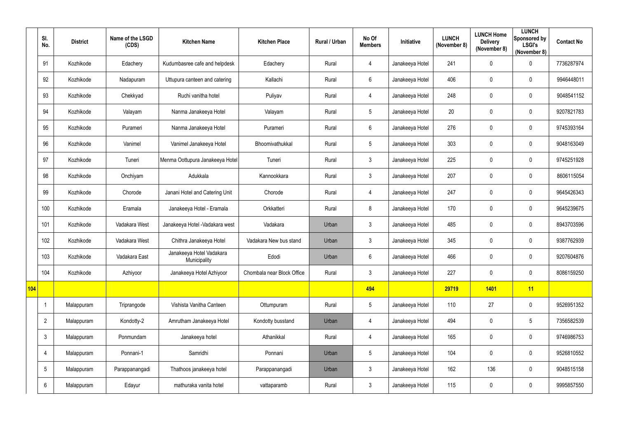|     | SI.<br>No.      | <b>District</b> | Name of the LSGD<br>(CDS) | <b>Kitchen Name</b>                      | <b>Kitchen Place</b>       | Rural / Urban | No Of<br><b>Members</b> | Initiative      | <b>LUNCH</b><br>(November 8) | <b>LUNCH Home</b><br><b>Delivery</b><br>(November 8) | <b>LUNCH</b><br>Sponsored by<br><b>LSGI's</b><br>(November 8) | <b>Contact No</b> |
|-----|-----------------|-----------------|---------------------------|------------------------------------------|----------------------------|---------------|-------------------------|-----------------|------------------------------|------------------------------------------------------|---------------------------------------------------------------|-------------------|
|     | 91              | Kozhikode       | Edachery                  | Kudumbasree cafe and helpdesk            | Edachery                   | Rural         | 4                       | Janakeeya Hotel | 241                          | 0                                                    | $\mathbf 0$                                                   | 7736287974        |
|     | 92              | Kozhikode       | Nadapuram                 | Uttupura canteen and catering            | Kallachi                   | Rural         | 6                       | Janakeeya Hotel | 406                          | 0                                                    | $\mathbf 0$                                                   | 9946448011        |
|     | 93              | Kozhikode       | Chekkyad                  | Ruchi vanitha hotel                      | Puliyav                    | Rural         | 4                       | Janakeeya Hotel | 248                          | 0                                                    | $\mathbf 0$                                                   | 9048541152        |
|     | 94              | Kozhikode       | Valayam                   | Nanma Janakeeya Hotel                    | Valayam                    | Rural         | $5\phantom{.0}$         | Janakeeya Hotel | 20                           | 0                                                    | $\mathbf 0$                                                   | 9207821783        |
|     | 95              | Kozhikode       | Purameri                  | Nanma Janakeeya Hotel                    | Purameri                   | Rural         | 6                       | Janakeeya Hotel | 276                          | 0                                                    | $\mathbf 0$                                                   | 9745393164        |
|     | 96              | Kozhikode       | Vanimel                   | Vanimel Janakeeya Hotel                  | Bhoomivathukkal            | Rural         | $\sqrt{5}$              | Janakeeya Hotel | 303                          | $\pmb{0}$                                            | $\mathbf 0$                                                   | 9048163049        |
|     | 97              | Kozhikode       | Tuneri                    | Menma Oottupura Janakeeya Hotel          | Tuneri                     | Rural         | $\mathfrak{Z}$          | Janakeeya Hotel | 225                          | 0                                                    | $\mathbf 0$                                                   | 9745251928        |
|     | 98              | Kozhikode       | Onchiyam                  | Adukkala                                 | Kannookkara                | Rural         | $\mathfrak{Z}$          | Janakeeya Hotel | 207                          | 0                                                    | $\mathbf 0$                                                   | 8606115054        |
|     | 99              | Kozhikode       | Chorode                   | Janani Hotel and Catering Unit           | Chorode                    | Rural         | 4                       | Janakeeya Hotel | 247                          | 0                                                    | $\mathbf 0$                                                   | 9645426343        |
|     | 100             | Kozhikode       | Eramala                   | Janakeeya Hotel - Eramala                | Orkkatteri                 | Rural         | 8                       | Janakeeya Hotel | 170                          | 0                                                    | $\mathbf 0$                                                   | 9645239675        |
|     | 101             | Kozhikode       | Vadakara West             | Janakeeya Hotel - Vadakara west          | Vadakara                   | Urban         | $\mathfrak{Z}$          | Janakeeya Hotel | 485                          | 0                                                    | $\mathbf 0$                                                   | 8943703596        |
|     | 102             | Kozhikode       | Vadakara West             | Chithra Janakeeya Hotel                  | Vadakara New bus stand     | Urban         | $\mathfrak{Z}$          | Janakeeya Hotel | 345                          | $\pmb{0}$                                            | $\mathbf 0$                                                   | 9387762939        |
|     | 103             | Kozhikode       | Vadakara East             | Janakeeya Hotel Vadakara<br>Municipality | Edodi                      | Urban         | 6                       | Janakeeya Hotel | 466                          | 0                                                    | $\mathbf 0$                                                   | 9207604876        |
|     | 104             | Kozhikode       | Azhiyoor                  | Janakeeya Hotel Azhiyoor                 | Chombala near Block Office | Rural         | $\mathfrak{S}$          | Janakeeya Hotel | 227                          | 0                                                    | $\overline{0}$                                                | 8086159250        |
| 104 |                 |                 |                           |                                          |                            |               | 494                     |                 | 29719                        | 1401                                                 | 11                                                            |                   |
|     |                 | Malappuram      | Triprangode               | Vishista Vanitha Canteen                 | Ottumpuram                 | Rural         | $5\phantom{.0}$         | Janakeeya Hotel | 110                          | 27                                                   | $\overline{0}$                                                | 9526951352        |
|     | $\overline{2}$  | Malappuram      | Kondotty-2                | Amrutham Janakeeya Hotel                 | Kondotty busstand          | Urban         | 4                       | Janakeeya Hotel | 494                          | $\pmb{0}$                                            | $5\phantom{.0}$                                               | 7356582539        |
|     | $\mathbf{3}$    | Malappuram      | Ponmundam                 | Janakeeya hotel                          | Athanikkal                 | Rural         | $\overline{4}$          | Janakeeya Hotel | 165                          | $\pmb{0}$                                            | $\overline{0}$                                                | 9746986753        |
|     | 4               | Malappuram      | Ponnani-1                 | Samridhi                                 | Ponnani                    | Urban         | $5\phantom{.0}$         | Janakeeya Hotel | 104                          | $\pmb{0}$                                            | $\overline{0}$                                                | 9526810552        |
|     | $5\phantom{.0}$ | Malappuram      | Parappanangadi            | Thathoos janakeeya hotel                 | Parappanangadi             | Urban         | $\mathfrak{Z}$          | Janakeeya Hotel | 162                          | 136                                                  | $\overline{0}$                                                | 9048515158        |
|     | $6\phantom{.}6$ | Malappuram      | Edayur                    | mathuraka vanita hotel                   | vattaparamb                | Rural         | $\mathfrak{Z}$          | Janakeeya Hotel | 115                          | 0                                                    | $\overline{0}$                                                | 9995857550        |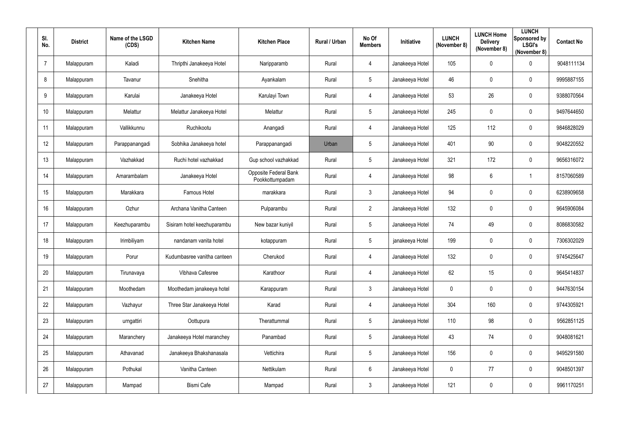| SI.<br>No.      | <b>District</b> | Name of the LSGD<br>(CDS) | <b>Kitchen Name</b>         | <b>Kitchen Place</b>                     | Rural / Urban | No Of<br><b>Members</b> | Initiative      | <b>LUNCH</b><br>(November 8) | <b>LUNCH Home</b><br><b>Delivery</b><br>(November 8) | <b>LUNCH</b><br>Sponsored by<br><b>LSGI's</b><br>(November 8) | <b>Contact No</b> |
|-----------------|-----------------|---------------------------|-----------------------------|------------------------------------------|---------------|-------------------------|-----------------|------------------------------|------------------------------------------------------|---------------------------------------------------------------|-------------------|
| $\overline{7}$  | Malappuram      | Kaladi                    | Thripthi Janakeeya Hotel    | Naripparamb                              | Rural         | 4                       | Janakeeya Hotel | 105                          | $\mathbf 0$                                          | $\mathbf 0$                                                   | 9048111134        |
| 8               | Malappuram      | Tavanur                   | Snehitha                    | Ayankalam                                | Rural         | $5\overline{)}$         | Janakeeya Hotel | 46                           | 0                                                    | $\overline{0}$                                                | 9995887155        |
| 9               | Malappuram      | Karulai                   | Janakeeya Hotel             | Karulayi Town                            | Rural         | 4                       | Janakeeya Hotel | 53                           | 26                                                   | $\mathbf 0$                                                   | 9388070564        |
| 10 <sup>°</sup> | Malappuram      | Melattur                  | Melattur Janakeeya Hotel    | Melattur                                 | Rural         | $5\phantom{.0}$         | Janakeeya Hotel | 245                          | $\overline{0}$                                       | $\overline{0}$                                                | 9497644650        |
| 11              | Malappuram      | Vallikkunnu               | Ruchikootu                  | Anangadi                                 | Rural         | 4                       | Janakeeya Hotel | 125                          | 112                                                  | $\overline{0}$                                                | 9846828029        |
| 12              | Malappuram      | Parappanangadi            | Sobhika Janakeeya hotel     | Parappanangadi                           | Urban         | $5\phantom{.0}$         | Janakeeya Hotel | 401                          | 90                                                   | $\overline{0}$                                                | 9048220552        |
| 13              | Malappuram      | Vazhakkad                 | Ruchi hotel vazhakkad       | Gup school vazhakkad                     | Rural         | $5\overline{)}$         | Janakeeya Hotel | 321                          | 172                                                  | $\mathbf 0$                                                   | 9656316072        |
| 14              | Malappuram      | Amarambalam               | Janakeeya Hotel             | Opposite Federal Bank<br>Pookkottumpadam | Rural         | 4                       | Janakeeya Hotel | 98                           | $6\phantom{.}6$                                      | $\overline{1}$                                                | 8157060589        |
| 15              | Malappuram      | Marakkara                 | Famous Hotel                | marakkara                                | Rural         | $\mathbf{3}$            | Janakeeya Hotel | 94                           | $\overline{0}$                                       | $\overline{0}$                                                | 6238909658        |
| 16              | Malappuram      | Ozhur                     | Archana Vanitha Canteen     | Pulparambu                               | Rural         | $\overline{2}$          | Janakeeya Hotel | 132                          | $\mathbf 0$                                          | $\overline{0}$                                                | 9645906084        |
| 17              | Malappuram      | Keezhuparambu             | Sisiram hotel keezhuparambu | New bazar kuniyil                        | Rural         | $5\phantom{.0}$         | Janakeeya Hotel | 74                           | 49                                                   | $\boldsymbol{0}$                                              | 8086830582        |
| 18              | Malappuram      | Irimbiliyam               | nandanam vanita hotel       | kotappuram                               | Rural         | $5\overline{)}$         | janakeeya Hotel | 199                          | $\overline{0}$                                       | $\overline{0}$                                                | 7306302029        |
| 19              | Malappuram      | Porur                     | Kudumbasree vanitha canteen | Cherukod                                 | Rural         | 4                       | Janakeeya Hotel | 132                          | 0                                                    | $\mathbf 0$                                                   | 9745425647        |
| $20\,$          | Malappuram      | Tirunavaya                | Vibhava Cafesree            | Karathoor                                | Rural         | $\overline{4}$          | Janakeeya Hotel | 62                           | 15                                                   | $\pmb{0}$                                                     | 9645414837        |
| 21              | Malappuram      | Moothedam                 | Moothedam janakeeya hotel   | Karappuram                               | Rural         | $3\phantom{.0}$         | Janakeeya Hotel | $\pmb{0}$                    | $\mathbf 0$                                          | $\mathbf 0$                                                   | 9447630154        |
| 22              | Malappuram      | Vazhayur                  | Three Star Janakeeya Hotel  | Karad                                    | Rural         | $\overline{4}$          | Janakeeya Hotel | 304                          | 160                                                  | $\mathbf 0$                                                   | 9744305921        |
| 23              | Malappuram      | urngattiri                | Oottupura                   | Therattummal                             | Rural         | $5\overline{)}$         | Janakeeya Hotel | 110                          | 98                                                   | $\mathbf 0$                                                   | 9562851125        |
| 24              | Malappuram      | Maranchery                | Janakeeya Hotel maranchey   | Panambad                                 | Rural         | $5\overline{)}$         | Janakeeya Hotel | 43                           | 74                                                   | $\mathbf 0$                                                   | 9048081621        |
| 25              | Malappuram      | Athavanad                 | Janakeeya Bhakshanasala     | Vettichira                               | Rural         | $5\overline{)}$         | Janakeeya Hotel | 156                          | $\mathbf 0$                                          | $\pmb{0}$                                                     | 9495291580        |
| 26              | Malappuram      | Pothukal                  | Vanitha Canteen             | Nettikulam                               | Rural         | $6\overline{6}$         | Janakeeya Hotel | $\overline{0}$               | 77                                                   | $\mathbf 0$                                                   | 9048501397        |
| 27              | Malappuram      | Mampad                    | <b>Bismi Cafe</b>           | Mampad                                   | Rural         | $3\phantom{.0}$         | Janakeeya Hotel | 121                          | $\mathbf 0$                                          | $\bm{0}$                                                      | 9961170251        |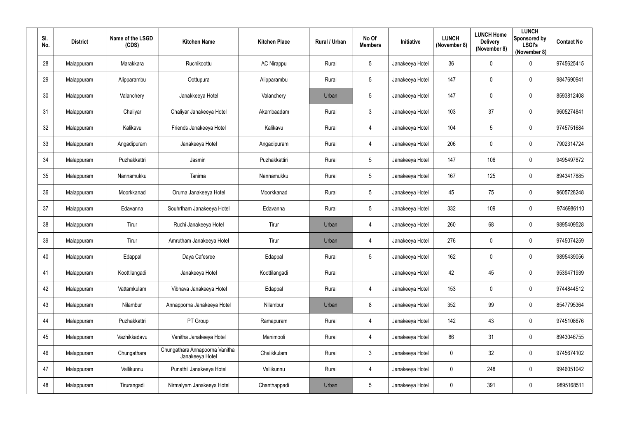| SI.<br>No.      | <b>District</b> | Name of the LSGD<br>(CDS) | <b>Kitchen Name</b>                               | <b>Kitchen Place</b> | Rural / Urban | No Of<br><b>Members</b> | Initiative      | <b>LUNCH</b><br>(November 8) | <b>LUNCH Home</b><br><b>Delivery</b><br>(November 8) | <b>LUNCH</b><br>Sponsored by<br><b>LSGI's</b><br>(November 8) | <b>Contact No</b> |
|-----------------|-----------------|---------------------------|---------------------------------------------------|----------------------|---------------|-------------------------|-----------------|------------------------------|------------------------------------------------------|---------------------------------------------------------------|-------------------|
| 28              | Malappuram      | Marakkara                 | Ruchikoottu                                       | <b>AC Nirappu</b>    | Rural         | 5 <sup>5</sup>          | Janakeeya Hotel | 36                           | $\overline{0}$                                       | $\mathbf 0$                                                   | 9745625415        |
| 29              | Malappuram      | Alipparambu               | Oottupura                                         | Alipparambu          | Rural         | $5\overline{)}$         | Janakeeya Hotel | 147                          | 0                                                    | $\overline{0}$                                                | 9847690941        |
| 30 <sub>2</sub> | Malappuram      | Valanchery                | Janakkeeya Hotel                                  | Valanchery           | Urban         | $5\phantom{.0}$         | Janakeeya Hotel | 147                          | $\overline{0}$                                       | $\boldsymbol{0}$                                              | 8593812408        |
| 31              | Malappuram      | Chaliyar                  | Chaliyar Janakeeya Hotel                          | Akambaadam           | Rural         | 3 <sup>1</sup>          | Janakeeya Hotel | 103                          | 37                                                   | $\mathbf 0$                                                   | 9605274841        |
| 32              | Malappuram      | Kalikavu                  | Friends Janakeeya Hotel                           | Kalikavu             | Rural         | $\overline{4}$          | Janakeeya Hotel | 104                          | 5                                                    | $\overline{0}$                                                | 9745751684        |
| 33              | Malappuram      | Angadipuram               | Janakeeya Hotel                                   | Angadipuram          | Rural         | 4                       | Janakeeya Hotel | 206                          | $\overline{0}$                                       | $\boldsymbol{0}$                                              | 7902314724        |
| 34              | Malappuram      | Puzhakkattri              | Jasmin                                            | Puzhakkattiri        | Rural         | $5\overline{)}$         | Janakeeya Hotel | 147                          | 106                                                  | $\overline{0}$                                                | 9495497872        |
| 35              | Malappuram      | Nannamukku                | Tanima                                            | Nannamukku           | Rural         | $5\phantom{.0}$         | Janakeeya Hotel | 167                          | 125                                                  | $\mathbf 0$                                                   | 8943417885        |
| 36              | Malappuram      | Moorkkanad                | Oruma Janakeeya Hotel                             | Moorkkanad           | Rural         | $5\phantom{.0}$         | Janakeeya Hotel | 45                           | 75                                                   | $\overline{0}$                                                | 9605728248        |
| 37              | Malappuram      | Edavanna                  | Souhrtham Janakeeya Hotel                         | Edavanna             | Rural         | $5\phantom{.0}$         | Janakeeya Hotel | 332                          | 109                                                  | $\mathbf 0$                                                   | 9746986110        |
| 38              | Malappuram      | Tirur                     | Ruchi Janakeeya Hotel                             | Tirur                | Urban         | 4                       | Janakeeya Hotel | 260                          | 68                                                   | $\overline{0}$                                                | 9895409528        |
| 39              | Malappuram      | Tirur                     | Amrutham Janakeeya Hotel                          | Tirur                | Urban         | 4                       | Janakeeya Hotel | 276                          | $\boldsymbol{0}$                                     | $\overline{0}$                                                | 9745074259        |
| 40              | Malappuram      | Edappal                   | Daya Cafesree                                     | Edappal              | Rural         | $5\overline{)}$         | Janakeeya Hotel | 162                          | 0                                                    | $\overline{0}$                                                | 9895439056        |
| 41              | Malappuram      | Koottilangadi             | Janakeeya Hotel                                   | Koottilangadi        | Rural         |                         | Janakeeya Hotel | 42                           | 45                                                   | $\boldsymbol{0}$                                              | 9539471939        |
| 42              | Malappuram      | Vattamkulam               | Vibhava Janakeeya Hotel                           | Edappal              | Rural         | $\overline{4}$          | Janakeeya Hotel | 153                          | $\boldsymbol{0}$                                     | $\pmb{0}$                                                     | 9744844512        |
| 43              | Malappuram      | Nilambur                  | Annapporna Janakeeya Hotel                        | Nilambur             | Urban         | 8                       | Janakeeya Hotel | 352                          | 99                                                   | $\mathbf 0$                                                   | 8547795364        |
| 44              | Malappuram      | Puzhakkattri              | PT Group                                          | Ramapuram            | Rural         | $\overline{4}$          | Janakeeya Hotel | 142                          | 43                                                   | $\boldsymbol{0}$                                              | 9745108676        |
| 45              | Malappuram      | Vazhikkadavu              | Vanitha Janakeeya Hotel                           | Manimooli            | Rural         | $\overline{4}$          | Janakeeya Hotel | 86                           | 31                                                   | $\mathbf 0$                                                   | 8943046755        |
| 46              | Malappuram      | Chungathara               | Chungathara Annapoorna Vanitha<br>Janakeeya Hotel | Chalikkulam          | Rural         | $3\phantom{.0}$         | Janakeeya Hotel | $\mathbf 0$                  | 32                                                   | $\pmb{0}$                                                     | 9745674102        |
| 47              | Malappuram      | Vallikunnu                | Punathil Janakeeya Hotel                          | Vallikunnu           | Rural         | $\overline{4}$          | Janakeeya Hotel | $\boldsymbol{0}$             | 248                                                  | $\mathbf 0$                                                   | 9946051042        |
| 48              | Malappuram      | Tirurangadi               | Nirmalyam Janakeeya Hotel                         | Chanthappadi         | Urban         | $5\phantom{.0}$         | Janakeeya Hotel | $\boldsymbol{0}$             | 391                                                  | $\pmb{0}$                                                     | 9895168511        |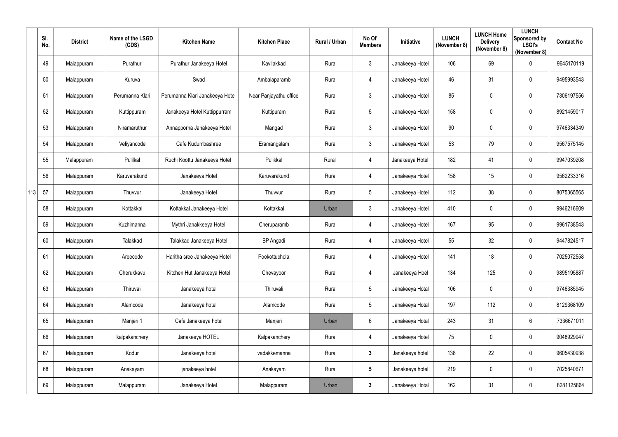|     | SI.<br>No. | <b>District</b> | Name of the LSGD<br>(CDS) | <b>Kitchen Name</b>             | <b>Kitchen Place</b>   | Rural / Urban | No Of<br><b>Members</b> | Initiative      | <b>LUNCH</b><br>(November 8) | <b>LUNCH Home</b><br><b>Delivery</b><br>(November 8) | <b>LUNCH</b><br>Sponsored by<br><b>LSGI's</b><br>(November 8) | <b>Contact No</b> |
|-----|------------|-----------------|---------------------------|---------------------------------|------------------------|---------------|-------------------------|-----------------|------------------------------|------------------------------------------------------|---------------------------------------------------------------|-------------------|
|     | 49         | Malappuram      | Purathur                  | Purathur Janakeeya Hotel        | Kavilakkad             | Rural         | $\mathfrak{Z}$          | Janakeeya Hotel | 106                          | 69                                                   | $\overline{0}$                                                | 9645170119        |
|     | 50         | Malappuram      | Kuruva                    | Swad                            | Ambalaparamb           | Rural         | 4                       | Janakeeya Hotel | 46                           | 31                                                   | $\overline{0}$                                                | 9495993543        |
|     | 51         | Malappuram      | Perumanna Klari           | Perumanna Klari Janakeeya Hotel | Near Panjayathu office | Rural         | $\mathfrak{Z}$          | Janakeeya Hotel | 85                           | 0                                                    | $\overline{0}$                                                | 7306197556        |
|     | 52         | Malappuram      | Kuttippuram               | Janakeeya Hotel Kuttippurram    | Kuttipuram             | Rural         | $5\phantom{.0}$         | Janakeeya Hotel | 158                          | 0                                                    | $\mathbf 0$                                                   | 8921459017        |
|     | 53         | Malappuram      | Niramaruthur              | Annapporna Janakeeya Hotel      | Mangad                 | Rural         | $\mathfrak{Z}$          | Janakeeya Hotel | 90                           | $\boldsymbol{0}$                                     | $\overline{0}$                                                | 9746334349        |
|     | 54         | Malappuram      | Veliyancode               | Cafe Kudumbashree               | Eramangalam            | Rural         | $\mathfrak{Z}$          | Janakeeya Hotel | 53                           | 79                                                   | $\overline{0}$                                                | 9567575145        |
|     | 55         | Malappuram      | Pulilkal                  | Ruchi Koottu Janakeeya Hotel    | Pulikkal               | Rural         | 4                       | Janakeeya Hotel | 182                          | 41                                                   | $\overline{0}$                                                | 9947039208        |
|     | 56         | Malappuram      | Karuvarakund              | Janakeeya Hotel                 | Karuvarakund           | Rural         | 4                       | Janakeeya Hotel | 158                          | 15                                                   | $\overline{0}$                                                | 9562233316        |
| 113 | 57         | Malappuram      | Thuvvur                   | Janakeeya Hotel                 | Thuvvur                | Rural         | $5\phantom{.0}$         | Janakeeya Hotel | 112                          | 38                                                   | $\overline{0}$                                                | 8075365565        |
|     | 58         | Malappuram      | Kottakkal                 | Kottakkal Janakeeya Hotel       | Kottakkal              | Urban         | $\mathfrak{Z}$          | Janakeeya Hotel | 410                          | 0                                                    | $\mathbf 0$                                                   | 9946216609        |
|     | 59         | Malappuram      | Kuzhimanna                | Mythri Janakkeeya Hotel         | Cheruparamb            | Rural         | 4                       | Janakeeya Hotel | 167                          | 95                                                   | $\overline{0}$                                                | 9961738543        |
|     | 60         | Malappuram      | Talakkad                  | Talakkad Janakeeya Hotel        | <b>BP</b> Angadi       | Rural         | 4                       | Janakeeya Hotel | 55                           | 32                                                   | $\mathbf 0$                                                   | 9447824517        |
|     | 61         | Malappuram      | Areecode                  | Haritha sree Janakeeya Hotel    | Pookottuchola          | Rural         | 4                       | Janakeeya Hotel | 141                          | 18                                                   | $\mathbf 0$                                                   | 7025072558        |
|     | 62         | Malappuram      | Cherukkavu                | Kitchen Hut Janakeeya Hotel     | Chevayoor              | Rural         | $\overline{4}$          | Janakeeya Hoel  | 134                          | 125                                                  | $\overline{0}$                                                | 9895195887        |
|     | 63         | Malappuram      | Thiruvali                 | Janakeeya hotel                 | Thiruvali              | Rural         | $5\phantom{.0}$         | Janakeeya Hotal | 106                          | 0                                                    | $\overline{0}$                                                | 9746385945        |
|     | 64         | Malappuram      | Alamcode                  | Janakeeya hotel                 | Alamcode               | Rural         | $5\phantom{.0}$         | Janakeeya Hotal | 197                          | 112                                                  | $\overline{0}$                                                | 8129368109        |
|     | 65         | Malappuram      | Manjeri 1                 | Cafe Janakeeya hotel            | Manjeri                | Urban         | $6\phantom{.0}$         | Janakeeya Hotal | 243                          | 31                                                   | $6\phantom{.}6$                                               | 7336671011        |
|     | 66         | Malappuram      | kalpakanchery             | Janakeeya HOTEL                 | Kalpakanchery          | Rural         | $\overline{4}$          | Janakeeya Hotel | 75                           | $\pmb{0}$                                            | $\overline{0}$                                                | 9048929947        |
|     | 67         | Malappuram      | Kodur                     | Janakeeya hotel                 | vadakkemanna           | Rural         | $\mathbf{3}$            | Janakeeya hotel | 138                          | 22                                                   | $\overline{0}$                                                | 9605430938        |
|     | 68         | Malappuram      | Anakayam                  | janakeeya hotel                 | Anakayam               | Rural         | $5\phantom{.0}$         | Janakeeya hotel | 219                          | $\pmb{0}$                                            | $\mathbf 0$                                                   | 7025840671        |
|     | 69         | Malappuram      | Malappuram                | Janakeeya Hotel                 | Malappuram             | Urban         | $\mathbf{3}$            | Janakeeya Hotal | 162                          | 31                                                   | $\overline{0}$                                                | 8281125864        |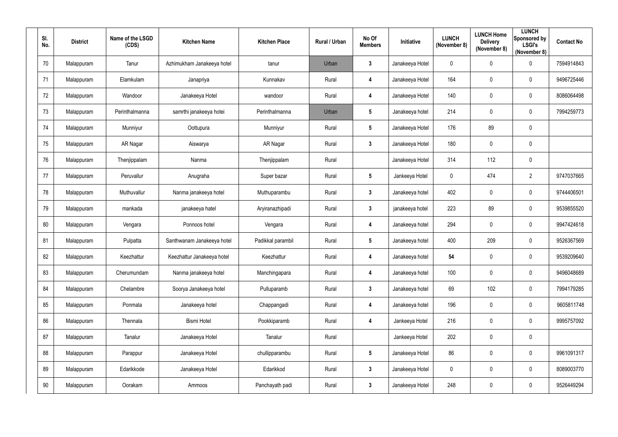| SI. | No.    | <b>District</b> | Name of the LSGD<br>(CDS) | <b>Kitchen Name</b>        | <b>Kitchen Place</b> | Rural / Urban | No Of<br><b>Members</b> | Initiative      | <b>LUNCH</b><br>(November 8) | <b>LUNCH Home</b><br><b>Delivery</b><br>(November 8) | <b>LUNCH</b><br>Sponsored by<br><b>LSGI's</b><br>(November 8) | <b>Contact No</b> |
|-----|--------|-----------------|---------------------------|----------------------------|----------------------|---------------|-------------------------|-----------------|------------------------------|------------------------------------------------------|---------------------------------------------------------------|-------------------|
|     | 70     | Malappuram      | Tanur                     | Azhimukham Janakeeya hotel | tanur                | Urban         | $3\phantom{a}$          | Janakeeya Hotel | $\mathbf 0$                  | 0                                                    | $\mathbf 0$                                                   | 7594914843        |
| 71  |        | Malappuram      | Elamkulam                 | Janapriya                  | Kunnakav             | Rural         | 4                       | Janakeeya Hotel | 164                          | 0                                                    | $\mathbf 0$                                                   | 9496725446        |
|     | 72     | Malappuram      | Wandoor                   | Janakeeya Hotel            | wandoor              | Rural         | 4                       | Janakeeya Hotel | 140                          | 0                                                    | $\overline{0}$                                                | 8086064498        |
|     | 73     | Malappuram      | Perinthalmanna            | samrthi janakeeya hotei    | Perinthalmanna       | Urban         | $5\phantom{.0}$         | Janakeeya hotel | 214                          | 0                                                    | $\mathbf 0$                                                   | 7994259773        |
|     | 74     | Malappuram      | Munniyur                  | Oottupura                  | Munniyur             | Rural         | $5\phantom{.0}$         | Janakeeya Hotel | 176                          | 89                                                   | $\mathbf 0$                                                   |                   |
|     | 75     | Malappuram      | AR Nagar                  | Aiswarya                   | AR Nagar             | Rural         | $3\phantom{a}$          | Janakeeya Hotel | 180                          | 0                                                    | $\mathbf 0$                                                   |                   |
|     | 76     | Malappuram      | Thenjippalam              | Nanma                      | Thenjippalam         | Rural         |                         | Janakeeya Hotel | 314                          | 112                                                  | $\mathbf 0$                                                   |                   |
|     | 77     | Malappuram      | Peruvallur                | Anugraha                   | Super bazar          | Rural         | $5\phantom{.0}$         | Jankeeya Hotel  | $\overline{0}$               | 474                                                  | $\overline{2}$                                                | 9747037665        |
|     | 78     | Malappuram      | Muthuvallur               | Nanma janakeeya hotel      | Muthuparambu         | Rural         | $\mathbf{3}$            | Janakeeya hotel | 402                          | 0                                                    | $\mathbf 0$                                                   | 9744406501        |
|     | 79     | Malappuram      | mankada                   | janakeeya hatel            | Aryiranazhipadi      | Rural         | $\mathbf{3}$            | janakeeya hotel | 223                          | 89                                                   | $\mathbf 0$                                                   | 9539855520        |
|     | 80     | Malappuram      | Vengara                   | Ponnoos hotel              | Vengara              | Rural         | $\overline{\mathbf{4}}$ | Janakeeya hotel | 294                          | 0                                                    | $\mathbf 0$                                                   | 9947424618        |
|     | 81     | Malappuram      | Pulpatta                  | Santhwanam Janakeeya hotel | Padikkal parambil    | Rural         | $5\phantom{.0}$         | Janakeeya hotel | 400                          | 209                                                  | $\mathbf 0$                                                   | 9526367569        |
|     | 82     | Malappuram      | Keezhattur                | Keezhattur Janakeeya hotel | Keezhattur           | Rural         | 4                       | Janakeeya hotel | 54                           | 0                                                    | $\mathbf 0$                                                   | 9539209640        |
|     | 83     | Malappuram      | Cherumundam               | Nanma janakeeya hotel      | Manchingapara        | Rural         | $\overline{\mathbf{4}}$ | Janakeeya hotel | 100                          | 0                                                    | $\overline{0}$                                                | 9496048689        |
|     | 84     | Malappuram      | Chelambre                 | Soorya Janakeeya hotel     | Pulluparamb          | Rural         | $3\phantom{a}$          | Janakeeya hotel | 69                           | 102                                                  | $\overline{0}$                                                | 7994179285        |
|     | 85     | Malappuram      | Ponmala                   | Janakeeya hotel            | Chappangadi          | Rural         | $\overline{\mathbf{4}}$ | Janakeeya hotel | 196                          | $\pmb{0}$                                            | $\overline{0}$                                                | 9605811748        |
|     | 86     | Malappuram      | Thennala                  | <b>Bismi Hotel</b>         | Pookkiparamb         | Rural         | 4                       | Jankeeya Hotel  | 216                          | 0                                                    | $\overline{0}$                                                | 9995757092        |
|     | 87     | Malappuram      | Tanalur                   | Janakeeya Hotel            | Tanalur              | Rural         |                         | Jankeeya Hotel  | 202                          | 0                                                    | $\overline{0}$                                                |                   |
|     | 88     | Malappuram      | Parappur                  | Janakeeya Hotel            | chullipparambu       | Rural         | $5\phantom{.0}$         | Janakeeya Hotel | 86                           | $\mathbf 0$                                          | $\overline{0}$                                                | 9961091317        |
|     | 89     | Malappuram      | Edarikkode                | Janakeeya Hotel            | Edarikkod            | Rural         | $3\phantom{a}$          | Janakeeya Hotel | $\mathbf 0$                  | 0                                                    | $\overline{0}$                                                | 8089003770        |
|     | $90\,$ | Malappuram      | Oorakam                   | Ammoos                     | Panchayath padi      | Rural         | $\mathbf{3}$            | Janakeeya Hotel | 248                          | 0                                                    | $\overline{0}$                                                | 9526449294        |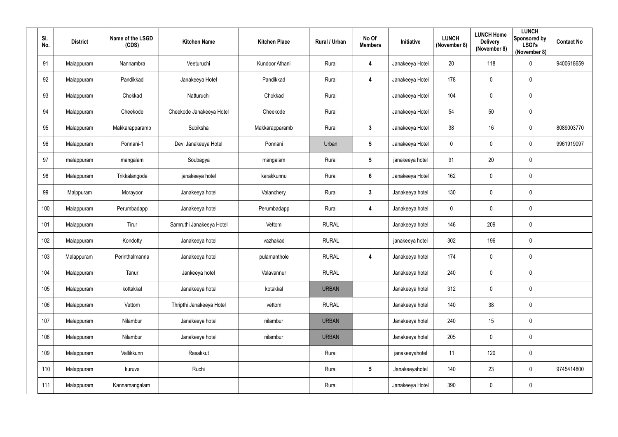| SI.<br>No. | <b>District</b> | Name of the LSGD<br>(CDS) | <b>Kitchen Name</b>      | <b>Kitchen Place</b> | Rural / Urban | No Of<br><b>Members</b> | Initiative      | <b>LUNCH</b><br>(November 8) | <b>LUNCH Home</b><br><b>Delivery</b><br>(November 8) | <b>LUNCH</b><br>Sponsored by<br><b>LSGI's</b><br>(November 8) | <b>Contact No</b> |
|------------|-----------------|---------------------------|--------------------------|----------------------|---------------|-------------------------|-----------------|------------------------------|------------------------------------------------------|---------------------------------------------------------------|-------------------|
| 91         | Malappuram      | Nannambra                 | Veeturuchi               | Kundoor Athani       | Rural         | $\overline{\mathbf{4}}$ | Janakeeya Hotel | 20                           | 118                                                  | $\mathbf 0$                                                   | 9400618659        |
| 92         | Malappuram      | Pandikkad                 | Janakeeya Hotel          | Pandikkad            | Rural         | 4                       | Janakeeya Hotel | 178                          | $\overline{0}$                                       | $\mathbf 0$                                                   |                   |
| 93         | Malappuram      | Chokkad                   | Natturuchi               | Chokkad              | Rural         |                         | Janakeeya Hotel | 104                          | $\overline{0}$                                       | $\mathbf 0$                                                   |                   |
| 94         | Malappuram      | Cheekode                  | Cheekode Janakeeya Hotel | Cheekode             | Rural         |                         | Janakeeya Hotel | 54                           | 50                                                   | $\mathbf 0$                                                   |                   |
| 95         | Malappuram      | Makkarapparamb            | Subiksha                 | Makkarapparamb       | Rural         | $3\phantom{.0}$         | Janakeeya Hotel | 38                           | 16                                                   | $\boldsymbol{0}$                                              | 8089003770        |
| 96         | Malappuram      | Ponnani-1                 | Devi Janakeeya Hotel     | Ponnani              | Urban         | $5\phantom{.0}$         | Janakeeya Hotel | $\pmb{0}$                    | $\overline{0}$                                       | $\boldsymbol{0}$                                              | 9961919097        |
| 97         | malappuram      | mangalam                  | Soubagya                 | mangalam             | Rural         | $5\phantom{.0}$         | janakeeya hotel | 91                           | 20                                                   | $\mathbf 0$                                                   |                   |
| 98         | Malappuram      | Trikkalangode             | janakeeya hotel          | karakkunnu           | Rural         | $6\phantom{1}$          | Janakeeya Hotel | 162                          | $\mathbf 0$                                          | $\mathbf 0$                                                   |                   |
| 99         | Malppuram       | Morayoor                  | Janakeeya hotel          | Valanchery           | Rural         | $\mathbf{3}$            | Janakeeya hotel | 130                          | $\overline{0}$                                       | $\mathbf 0$                                                   |                   |
| 100        | Malappuram      | Perumbadapp               | Janakeeya hotel          | Perumbadapp          | Rural         | $\overline{\mathbf{4}}$ | Janakeeya hotel | $\mathbf 0$                  | $\pmb{0}$                                            | $\mathbf 0$                                                   |                   |
| 101        | Malappuram      | Tirur                     | Samruthi Janakeeya Hotel | Vettom               | <b>RURAL</b>  |                         | Janakeeya hotel | 146                          | 209                                                  | $\mathbf 0$                                                   |                   |
| 102        | Malappuram      | Kondotty                  | Janakeeya hotel          | vazhakad             | <b>RURAL</b>  |                         | janakeeya hotel | 302                          | 196                                                  | $\mathbf 0$                                                   |                   |
| 103        | Malappuram      | Perinthalmanna            | Janakeeya hotel          | pulamanthole         | <b>RURAL</b>  | 4                       | Janakeeya hotel | 174                          | 0                                                    | $\overline{0}$                                                |                   |
| 104        | Malappuram      | Tanur                     | Jankeeya hotel           | Valavannur           | <b>RURAL</b>  |                         | Janakeeya hotel | 240                          | $\mathbf 0$                                          | $\pmb{0}$                                                     |                   |
| 105        | Malappuram      | kottakkal                 | Janakeeya hotel          | kotakkal             | <b>URBAN</b>  |                         | Janakeeya hotel | 312                          | $\mathbf 0$                                          | $\pmb{0}$                                                     |                   |
| 106        | Malappuram      | Vettom                    | Thripthi Janakeeya Hotel | vettom               | <b>RURAL</b>  |                         | Janakeeya hotel | 140                          | 38                                                   | $\pmb{0}$                                                     |                   |
| 107        | Malappuram      | Nilambur                  | Janakeeya hotel          | nilambur             | <b>URBAN</b>  |                         | Janakeeya hotel | 240                          | 15                                                   | $\pmb{0}$                                                     |                   |
| 108        | Malappuram      | Nilambur                  | Janakeeya hotel          | nilambur             | <b>URBAN</b>  |                         | Janakeeya hotel | 205                          | $\mathbf 0$                                          | $\pmb{0}$                                                     |                   |
| 109        | Malappuram      | Vallikkunn                | Rasakkut                 |                      | Rural         |                         | janakeeyahotel  | 11                           | 120                                                  | $\pmb{0}$                                                     |                   |
| 110        | Malappuram      | kuruva                    | Ruchi                    |                      | Rural         | $5\phantom{.0}$         | Janakeeyahotel  | 140                          | 23                                                   | $\pmb{0}$                                                     | 9745414800        |
| 111        | Malappuram      | Kannamangalam             |                          |                      | Rural         |                         | Janakeeya Hotel | 390                          | $\overline{0}$                                       | $\pmb{0}$                                                     |                   |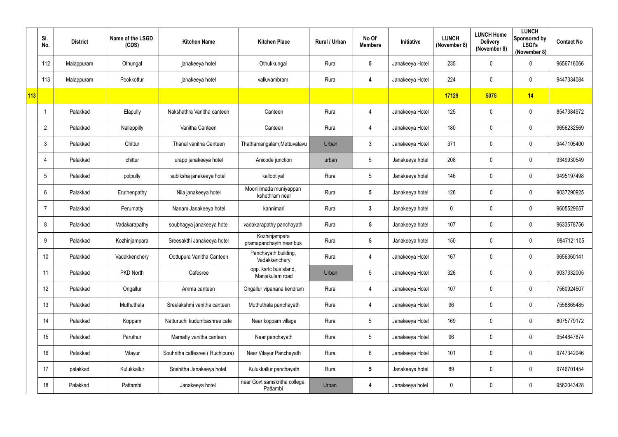|     | SI.<br>No.      | <b>District</b> | Name of the LSGD<br>(CDS) | <b>Kitchen Name</b>             | <b>Kitchen Place</b>                      | Rural / Urban | No Of<br><b>Members</b> | Initiative      | <b>LUNCH</b><br>(November 8) | <b>LUNCH Home</b><br><b>Delivery</b><br>(November 8) | <b>LUNCH</b><br>Sponsored by<br><b>LSGI's</b><br>(November 8) | <b>Contact No</b> |
|-----|-----------------|-----------------|---------------------------|---------------------------------|-------------------------------------------|---------------|-------------------------|-----------------|------------------------------|------------------------------------------------------|---------------------------------------------------------------|-------------------|
|     | 112             | Malappuram      | Othungal                  | janakeeya hotel                 | Othukkungal                               | Rural         | $5\phantom{.0}$         | Janakeeya Hotel | 235                          | 0                                                    | $\overline{0}$                                                | 9656716066        |
|     | 113             | Malappuram      | Pookkottur                | janakeeya hotel                 | valluvambram                              | Rural         | 4                       | Janakeeya Hotel | 224                          | 0                                                    | $\overline{0}$                                                | 9447334084        |
| 113 |                 |                 |                           |                                 |                                           |               |                         |                 | 17129                        | 5075                                                 | 14                                                            |                   |
|     |                 | Palakkad        | Elapully                  | Nakshathra Vanitha canteen      | Canteen                                   | Rural         | $\overline{4}$          | Janakeeya Hotel | 125                          | 0                                                    | $\overline{0}$                                                | 8547384972        |
|     | $\overline{2}$  | Palakkad        | Nalleppilly               | Vanitha Canteen                 | Canteen                                   | Rural         | $\overline{4}$          | Janakeeya Hotel | 180                          | 0                                                    | $\overline{0}$                                                | 9656232569        |
|     | 3               | Palakkad        | Chittur                   | Thanal vanitha Canteen          | Thathamangalam, Mettuvalavu               | Urban         | $\mathfrak{Z}$          | Janakeeya Hotel | 371                          | 0                                                    | $\overline{0}$                                                | 9447105400        |
|     | 4               | Palakkad        | chittur                   | urapp janakeeya hotel           | Anicode junction                          | urban         | 5                       | Janakeeya hotel | 208                          | 0                                                    | $\overline{0}$                                                | 9349930549        |
|     | $5\phantom{.0}$ | Palakkad        | polpully                  | subiksha janakeeya hotel        | kallootiyal                               | Rural         | 5                       | Janakeeya hotel | 146                          | 0                                                    | $\overline{0}$                                                | 9495197498        |
|     | 6               | Palakkad        | Eruthenpathy              | Nila janakeeya hotel            | Mooniilmada muniyappan<br>kshethram near  | Rural         | $5\phantom{.0}$         | Janakeeya hotel | 126                          | 0                                                    | $\overline{0}$                                                | 9037290925        |
|     |                 | Palakkad        | Perumatty                 | Nanam Janakeeya hotel           | kannimari                                 | Rural         | $\mathbf{3}$            | Janakeeya hotel | $\mathbf 0$                  | 0                                                    | $\overline{0}$                                                | 9605529657        |
|     | 8               | Palakkad        | Vadakarapathy             | soubhagya janakeeya hotel       | vadakarapathy panchayath                  | Rural         | $5\phantom{.0}$         | Janakeeya hotel | 107                          | 0                                                    | $\overline{0}$                                                | 9633578756        |
|     | 9               | Palakkad        | Kozhinjampara             | Sreesakthi Janakeeya hotel      | Kozhinjampara<br>gramapanchayth, near bus | Rural         | $5\phantom{.0}$         | Janakeeya hotel | 150                          | 0                                                    | $\overline{0}$                                                | 9847121105        |
|     | 10 <sup>°</sup> | Palakkad        | Vadakkenchery             | Oottupura Vanitha Canteen       | Panchayath building,<br>Vadakkenchery     | Rural         | 4                       | Janakeeya Hotel | 167                          | $\mathbf 0$                                          | $\mathbf 0$                                                   | 9656360141        |
|     | 11              | Palakkad        | PKD North                 | Cafesree                        | opp. ksrtc bus stand,<br>Manjakulam road  | Urban         | $5\phantom{.0}$         | Janakeeya Hotel | 326                          | 0                                                    | $\mathbf 0$                                                   | 9037332005        |
|     | 12 <sup>°</sup> | Palakkad        | Ongallur                  | Amma canteen                    | Ongallur vipanana kendram                 | Rural         | $\overline{4}$          | Janakeeya Hotel | 107                          | 0                                                    | $\mathbf 0$                                                   | 7560924507        |
|     | 13              | Palakkad        | Muthuthala                | Sreelakshmi vanitha canteen     | Muthuthala panchayath                     | Rural         | $\overline{4}$          | Janakeeya Hotel | 96                           | $\pmb{0}$                                            | $\mathbf 0$                                                   | 7558865485        |
|     | 14              | Palakkad        | Koppam                    | Natturuchi kudumbashree cafe    | Near koppam village                       | Rural         | $5\phantom{.0}$         | Janakeeya Hotel | 169                          | 0                                                    | $\mathbf 0$                                                   | 8075779172        |
|     | 15              | Palakkad        | Paruthur                  | Mamatty vanitha canteen         | Near panchayath                           | Rural         | $5\phantom{.0}$         | Janakeeya Hotel | 96                           | 0                                                    | $\overline{0}$                                                | 9544847874        |
|     | 16 <sup>°</sup> | Palakkad        | Vilayur                   | Souhritha caffesree (Ruchipura) | Near Vilayur Panchayath                   | Rural         | $6\phantom{.0}$         | Janakeeya Hotel | 101                          | 0                                                    | $\mathbf 0$                                                   | 9747342046        |
|     | 17              | palakkad        | Kulukkallur               | Snehitha Janakeeya hotel        | Kulukkallur panchayath                    | Rural         | $5\phantom{.0}$         | Janakeeya hotel | 89                           | 0                                                    | $\mathbf 0$                                                   | 9746701454        |
|     | 18              | Palakkad        | Pattambi                  | Janakeeya hotel                 | near Govt samskritha college,<br>Pattambi | Urban         | 4                       | Janakeeya hotel | $\mathbf 0$                  | 0                                                    | $\overline{0}$                                                | 9562043428        |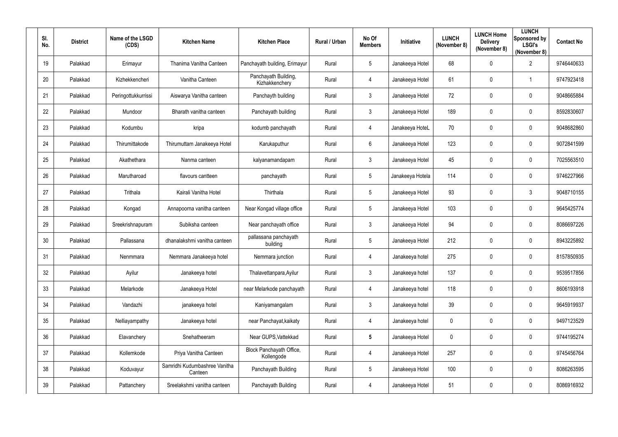| SI.<br>No. | <b>District</b> | Name of the LSGD<br>(CDS) | <b>Kitchen Name</b>                      | <b>Kitchen Place</b>                   | Rural / Urban | No Of<br><b>Members</b> | Initiative       | <b>LUNCH</b><br>(November 8) | <b>LUNCH Home</b><br><b>Delivery</b><br>(November 8) | <b>LUNCH</b><br>Sponsored by<br><b>LSGI's</b><br>(November 8) | <b>Contact No</b> |
|------------|-----------------|---------------------------|------------------------------------------|----------------------------------------|---------------|-------------------------|------------------|------------------------------|------------------------------------------------------|---------------------------------------------------------------|-------------------|
| 19         | Palakkad        | Erimayur                  | Thanima Vanitha Canteen                  | Panchayath building, Erimayur          | Rural         | $5\overline{)}$         | Janakeeya Hotel  | 68                           | $\mathbf 0$                                          | $\overline{2}$                                                | 9746440633        |
| 20         | Palakkad        | Kizhekkencheri            | Vanitha Canteen                          | Panchayath Building,<br>Kizhakkenchery | Rural         | $\overline{4}$          | Janakeeya Hotel  | 61                           | $\mathbf 0$                                          | -1                                                            | 9747923418        |
| 21         | Palakkad        | Peringottukkurrissi       | Aiswarya Vanitha canteen                 | Panchayth building                     | Rural         | $\mathbf{3}$            | Janakeeya Hotel  | 72                           | $\mathbf 0$                                          | $\overline{0}$                                                | 9048665884        |
| 22         | Palakkad        | Mundoor                   | Bharath vanitha canteen                  | Panchayath building                    | Rural         | $3\overline{3}$         | Janakeeya Hotel  | 189                          | $\mathbf 0$                                          | $\mathbf 0$                                                   | 8592830607        |
| 23         | Palakkad        | Kodumbu                   | kripa                                    | kodumb panchayath                      | Rural         | $\overline{4}$          | Janakeeya HoteL  | 70                           | 0                                                    | $\overline{0}$                                                | 9048682860        |
| 24         | Palakkad        | Thirumittakode            | Thirumuttam Janakeeya Hotel              | Karukaputhur                           | Rural         | $6\phantom{.}$          | Janakeeya Hotel  | 123                          | $\mathbf 0$                                          | $\boldsymbol{0}$                                              | 9072841599        |
| 25         | Palakkad        | Akathethara               | Nanma canteen                            | kalyanamandapam                        | Rural         | $\mathbf{3}$            | Janakeeya Hotel  | 45                           | 0                                                    | $\overline{0}$                                                | 7025563510        |
| 26         | Palakkad        | Marutharoad               | flavours cantteen                        | panchayath                             | Rural         | $5\phantom{.0}$         | Janakeeya Hotela | 114                          | $\mathbf 0$                                          | $\mathbf 0$                                                   | 9746227966        |
| 27         | Palakkad        | Trithala                  | Kairali Vanitha Hotel                    | Thirthala                              | Rural         | $5\overline{)}$         | Janakeeya Hotel  | 93                           | $\mathbf 0$                                          | $\mathbf{3}$                                                  | 9048710155        |
| 28         | Palakkad        | Kongad                    | Annapoorna vanitha canteen               | Near Kongad village office             | Rural         | $5\phantom{.0}$         | Janakeeya Hotel  | 103                          | $\mathbf 0$                                          | $\mathbf 0$                                                   | 9645425774        |
| 29         | Palakkad        | Sreekrishnapuram          | Subiksha canteen                         | Near panchayath office                 | Rural         | $\mathbf{3}$            | Janakeeya Hotel  | 94                           | $\mathbf 0$                                          | $\overline{0}$                                                | 8086697226        |
| 30         | Palakkad        | Pallassana                | dhanalakshmi vanitha canteen             | pallassana panchayath<br>building      | Rural         | $5\overline{)}$         | Janakeeya Hotel  | 212                          | $\mathbf 0$                                          | $\overline{0}$                                                | 8943225892        |
| 31         | Palakkad        | Nenmmara                  | Nemmara Janakeeya hotel                  | Nemmara junction                       | Rural         | 4                       | Janakeeya hotel  | 275                          | $\mathbf 0$                                          | $\mathbf 0$                                                   | 8157850935        |
| 32         | Palakkad        | Ayilur                    | Janakeeya hotel                          | Thalavettanpara, Ayilur                | Rural         | $\mathbf{3}$            | Janakeeya hotel  | 137                          | $\mathbf 0$                                          | $\mathbf 0$                                                   | 9539517856        |
| 33         | Palakkad        | Melarkode                 | Janakeeya Hotel                          | near Melarkode panchayath              | Rural         | $\overline{4}$          | Janakeeya hotel  | 118                          | $\mathbf 0$                                          | $\mathbf 0$                                                   | 8606193918        |
| 34         | Palakkad        | Vandazhi                  | janakeeya hotel                          | Kaniyamangalam                         | Rural         | $\mathbf{3}$            | Janakeeya hotel  | 39                           | $\mathbf 0$                                          | $\mathbf 0$                                                   | 9645919937        |
| 35         | Palakkad        | Nelliayampathy            | Janakeeya hotel                          | near Panchayat, kaikaty                | Rural         | $\overline{4}$          | Janakeeya hotel  | $\boldsymbol{0}$             | $\mathbf 0$                                          | $\mathbf 0$                                                   | 9497123529        |
| 36         | Palakkad        | Elavanchery               | Snehatheeram                             | Near GUPS, Vattekkad                   | Rural         | $5\phantom{.0}$         | Janakeeya Hotel  | $\mathbf 0$                  | $\mathbf 0$                                          | $\mathbf 0$                                                   | 9744195274        |
| 37         | Palakkad        | Kollemkode                | Priya Vanitha Canteen                    | Block Panchayath Office,<br>Kollengode | Rural         | $\overline{4}$          | Janakeeya Hotel  | 257                          | $\mathbf 0$                                          | $\mathbf 0$                                                   | 9745456764        |
| 38         | Palakkad        | Koduvayur                 | Samridhi Kudumbashree Vanitha<br>Canteen | Panchayath Building                    | Rural         | $5\phantom{.0}$         | Janakeeya Hotel  | 100                          | $\mathbf 0$                                          | $\mathbf 0$                                                   | 8086263595        |
| 39         | Palakkad        | Pattanchery               | Sreelakshmi vanitha canteen              | Panchayath Building                    | Rural         | $\overline{4}$          | Janakeeya Hotel  | 51                           | $\mathbf 0$                                          | $\bm{0}$                                                      | 8086916932        |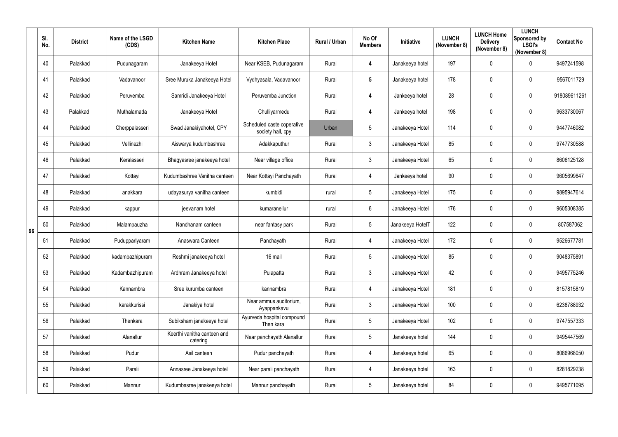|    | SI.<br>No. | <b>District</b> | Name of the LSGD<br>(CDS) | <b>Kitchen Name</b>                     | <b>Kitchen Place</b>                            | Rural / Urban | No Of<br><b>Members</b> | Initiative       | <b>LUNCH</b><br>(November 8) | <b>LUNCH Home</b><br><b>Delivery</b><br>(November 8) | <b>LUNCH</b><br>Sponsored by<br><b>LSGI's</b><br>(November 8) | <b>Contact No</b> |
|----|------------|-----------------|---------------------------|-----------------------------------------|-------------------------------------------------|---------------|-------------------------|------------------|------------------------------|------------------------------------------------------|---------------------------------------------------------------|-------------------|
|    | 40         | Palakkad        | Pudunagaram               | Janakeeya Hotel                         | Near KSEB, Pudunagaram                          | Rural         | 4                       | Janakeeya hotel  | 197                          | $\mathbf 0$                                          | $\mathbf 0$                                                   | 9497241598        |
|    | 41         | Palakkad        | Vadavanoor                | Sree Muruka Janakeeya Hotel             | Vydhyasala, Vadavanoor                          | Rural         | $5\phantom{.0}$         | Janakeeya hotel  | 178                          | 0                                                    | $\mathbf 0$                                                   | 9567011729        |
|    | 42         | Palakkad        | Peruvemba                 | Samridi Janakeeya Hotel                 | Peruvemba Junction                              | Rural         | 4                       | Jankeeya hotel   | 28                           | $\mathbf 0$                                          | $\mathbf 0$                                                   | 918089611261      |
|    | 43         | Palakkad        | Muthalamada               | Janakeeya Hotel                         | Chulliyarmedu                                   | Rural         | 4                       | Jankeeya hotel   | 198                          | $\mathbf 0$                                          | $\mathbf 0$                                                   | 9633730067        |
|    | 44         | Palakkad        | Cherppalasseri            | Swad Janakiyahotel, CPY                 | Scheduled caste coperative<br>society hall, cpy | Urban         | $5\phantom{.0}$         | Janakeeya Hotel  | 114                          | $\mathbf 0$                                          | $\overline{0}$                                                | 9447746082        |
|    | 45         | Palakkad        | Vellinezhi                | Aiswarya kudumbashree                   | Adakkaputhur                                    | Rural         | $\mathbf{3}$            | Janakeeya Hotel  | 85                           | $\mathbf 0$                                          | $\boldsymbol{0}$                                              | 9747730588        |
|    | 46         | Palakkad        | Keralasseri               | Bhagyasree janakeeya hotel              | Near village office                             | Rural         | 3                       | Janakeeya Hotel  | 65                           | 0                                                    | $\overline{0}$                                                | 8606125128        |
|    | 47         | Palakkad        | Kottayi                   | Kudumbashree Vanitha canteen            | Near Kottayi Panchayath                         | Rural         | $\overline{4}$          | Jankeeya hotel   | 90                           | $\mathbf 0$                                          | $\mathbf 0$                                                   | 9605699847        |
|    | 48         | Palakkad        | anakkara                  | udayasurya vanitha canteen              | kumbidi                                         | rural         | $5\overline{)}$         | Janakeeya Hotel  | 175                          | $\mathbf 0$                                          | $\overline{0}$                                                | 9895947614        |
|    | 49         | Palakkad        | kappur                    | jeevanam hotel                          | kumaranellur                                    | rural         | $6\overline{6}$         | Janakeeya Hotel  | 176                          | $\mathbf 0$                                          | $\mathbf 0$                                                   | 9605308385        |
| 96 | 50         | Palakkad        | Malampauzha               | Nandhanam canteen                       | near fantasy park                               | Rural         | $5\overline{)}$         | Janakeeya HotelT | 122                          | $\mathbf 0$                                          | $\overline{0}$                                                | 807587062         |
|    | 51         | Palakkad        | Puduppariyaram            | Anaswara Canteen                        | Panchayath                                      | Rural         | $\overline{4}$          | Janakeeya Hotel  | 172                          | $\mathbf 0$                                          | $\overline{0}$                                                | 9526677781        |
|    | 52         | Palakkad        | kadambazhipuram           | Reshmi janakeeya hotel                  | 16 mail                                         | Rural         | $5\phantom{.0}$         | Janakeeya Hotel  | 85                           | 0                                                    | 0                                                             | 9048375891        |
|    | 53         | Palakkad        | Kadambazhipuram           | Ardhram Janakeeya hotel                 | Pulapatta                                       | Rural         | $\mathbf{3}$            | Janakeeya Hotel  | 42                           | $\mathbf 0$                                          | $\mathbf 0$                                                   | 9495775246        |
|    | 54         | Palakkad        | Kannambra                 | Sree kurumba canteen                    | kannambra                                       | Rural         | $\overline{4}$          | Janakeeya Hotel  | 181                          | $\mathbf 0$                                          | $\mathbf 0$                                                   | 8157815819        |
|    | 55         | Palakkad        | karakkurissi              | Janakiya hotel                          | Near ammus auditorium,<br>Ayappankavu           | Rural         | $\mathbf{3}$            | Janakeeya Hotel  | 100                          | $\mathbf 0$                                          | $\mathbf 0$                                                   | 6238788932        |
|    | 56         | Palakkad        | Thenkara                  | Subiksham janakeeya hotel               | Ayurveda hospital compound<br>Then kara         | Rural         | $5\phantom{.0}$         | Janakeeya Hotel  | 102                          | $\mathbf 0$                                          | $\boldsymbol{0}$                                              | 9747557333        |
|    | 57         | Palakkad        | Alanallur                 | Keerthi vanitha canteen and<br>catering | Near panchayath Alanallur                       | Rural         | $5\phantom{.0}$         | Janakeeya hotel  | 144                          | $\mathbf 0$                                          | $\mathbf 0$                                                   | 9495447569        |
|    | 58         | Palakkad        | Pudur                     | Asil canteen                            | Pudur panchayath                                | Rural         | $\overline{4}$          | Janakeeya hotel  | 65                           | $\mathbf 0$                                          | $\mathbf 0$                                                   | 8086968050        |
|    | 59         | Palakkad        | Parali                    | Annasree Janakeeya hotel                | Near parali panchayath                          | Rural         | $\overline{4}$          | Janakeeya hotel  | 163                          | $\mathbf 0$                                          | $\pmb{0}$                                                     | 8281829238        |
|    | 60         | Palakkad        | Mannur                    | Kudumbasree janakeeya hotel             | Mannur panchayath                               | Rural         | $5\phantom{.0}$         | Janakeeya hotel  | 84                           | $\mathbf 0$                                          | $\bm{0}$                                                      | 9495771095        |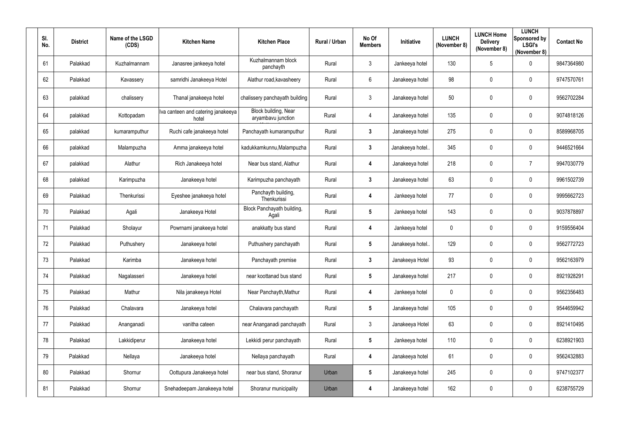| SI.<br>No. | <b>District</b> | Name of the LSGD<br>(CDS) | <b>Kitchen Name</b>                         | <b>Kitchen Place</b>                       | Rural / Urban | No Of<br><b>Members</b> | Initiative       | <b>LUNCH</b><br>(November 8) | <b>LUNCH Home</b><br><b>Delivery</b><br>(November 8) | <b>LUNCH</b><br>Sponsored by<br><b>LSGI's</b><br>(November 8) | <b>Contact No</b> |
|------------|-----------------|---------------------------|---------------------------------------------|--------------------------------------------|---------------|-------------------------|------------------|------------------------------|------------------------------------------------------|---------------------------------------------------------------|-------------------|
| 61         | Palakkad        | Kuzhalmannam              | Janasree jankeeya hotel                     | Kuzhalmannam block<br>panchayth            | Rural         | $\mathbf{3}$            | Jankeeya hotel   | 130                          | 5                                                    | $\overline{0}$                                                | 9847364980        |
| 62         | Palakkad        | Kavassery                 | samridhi Janakeeya Hotel                    | Alathur road, kavasheery                   | Rural         | $6^{\circ}$             | Janakeeya hotel  | 98                           | $\mathbf 0$                                          | $\overline{0}$                                                | 9747570761        |
| 63         | palakkad        | chalissery                | Thanal janakeeya hotel                      | chalissery panchayath building             | Rural         | $\mathbf{3}$            | Janakeeya hotel  | 50                           | $\mathbf 0$                                          | $\overline{0}$                                                | 9562702284        |
| 64         | palakkad        | Kottopadam                | Iva canteen and catering janakeeya<br>hotel | Block building, Near<br>aryambavu junction | Rural         | $\overline{4}$          | Janakeeya hotel  | 135                          | $\mathbf 0$                                          | $\overline{0}$                                                | 9074818126        |
| 65         | palakkad        | kumaramputhur             | Ruchi cafe janakeeya hotel                  | Panchayath kumaramputhur                   | Rural         | $\mathbf{3}$            | Janakeeya hotel  | 275                          | $\overline{0}$                                       | $\overline{0}$                                                | 8589968705        |
| 66         | palakkad        | Malampuzha                | Amma janakeeya hotel                        | kadukkamkunnu, Malampuzha                  | Rural         | $3\phantom{a}$          | Janakeeya hotel. | 345                          | $\mathbf 0$                                          | $\mathbf 0$                                                   | 9446521664        |
| 67         | palakkad        | Alathur                   | Rich Janakeeya hotel                        | Near bus stand, Alathur                    | Rural         | 4                       | Janakeeya hotel  | 218                          | $\mathbf 0$                                          | $\overline{7}$                                                | 9947030779        |
| 68         | palakkad        | Karimpuzha                | Janakeeya hotel                             | Karimpuzha panchayath                      | Rural         | $\mathbf{3}$            | Janakeeya hotel  | 63                           | $\overline{0}$                                       | $\overline{0}$                                                | 9961502739        |
| 69         | Palakkad        | Thenkurissi               | Eyeshee janakeeya hotel                     | Panchayth building,<br>Thenkurissi         | Rural         | $\overline{\mathbf{4}}$ | Jankeeya hotel   | 77                           | $\mathbf 0$                                          | $\overline{0}$                                                | 9995662723        |
| 70         | Palakkad        | Agali                     | Janakeeya Hotel                             | Block Panchayath building,<br>Agali        | Rural         | $5\phantom{.0}$         | Jankeeya hotel   | 143                          | $\mathbf 0$                                          | $\overline{0}$                                                | 9037878897        |
| 71         | Palakkad        | Sholayur                  | Powrnami janakeeya hotel                    | anakkatty bus stand                        | Rural         | 4                       | Jankeeya hotel   | $\mathbf 0$                  | $\overline{0}$                                       | $\overline{0}$                                                | 9159556404        |
| 72         | Palakkad        | Puthushery                | Janakeeya hotel                             | Puthushery panchayath                      | Rural         | $5\phantom{.0}$         | Janakeeya hotel. | 129                          | $\mathbf 0$                                          | $\mathbf 0$                                                   | 9562772723        |
| 73         | Palakkad        | Karimba                   | Janakeeya hotel                             | Panchayath premise                         | Rural         | $\mathbf{3}$            | Janakeeya Hotel  | 93                           | $\mathbf 0$                                          | $\boldsymbol{0}$                                              | 9562163979        |
| 74         | Palakkad        | Nagalasseri               | Janakeeya hotel                             | near koottanad bus stand                   | Rural         | $5\phantom{.0}$         | Janakeeya hotel  | 217                          | $\mathbf 0$                                          | $\mathbf 0$                                                   | 8921928291        |
| 75         | Palakkad        | Mathur                    | Nila janakeeya Hotel                        | Near Panchayth, Mathur                     | Rural         | 4                       | Jankeeya hotel   | $\pmb{0}$                    | $\overline{0}$                                       | $\mathbf 0$                                                   | 9562356483        |
| 76         | Palakkad        | Chalavara                 | Janakeeya hotel                             | Chalavara panchayath                       | Rural         | $5\overline{)}$         | Janakeeya hotel  | 105                          | $\mathbf 0$                                          | $\mathbf 0$                                                   | 9544659942        |
| 77         | Palakkad        | Ananganadi                | vanitha cateen                              | near Ananganadi panchayath                 | Rural         | $\mathbf{3}$            | Janakeeya Hotel  | 63                           | $\mathbf 0$                                          | $\mathbf 0$                                                   | 8921410495        |
| 78         | Palakkad        | Lakkidiperur              | Janakeeya hotel                             | Lekkidi perur panchayath                   | Rural         | $5\phantom{.0}$         | Jankeeya hotel   | 110                          | $\mathbf 0$                                          | $\mathbf 0$                                                   | 6238921903        |
| 79         | Palakkad        | Nellaya                   | Janakeeya hotel                             | Nellaya panchayath                         | Rural         | $\overline{\mathbf{4}}$ | Janakeeya hotel  | 61                           | $\mathbf 0$                                          | $\mathbf 0$                                                   | 9562432883        |
| 80         | Palakkad        | Shornur                   | Oottupura Janakeeya hotel                   | near bus stand, Shoranur                   | Urban         | $5\phantom{.0}$         | Janakeeya hotel  | 245                          | $\mathbf 0$                                          | $\mathbf 0$                                                   | 9747102377        |
| 81         | Palakkad        | Shornur                   | Snehadeepam Janakeeya hotel                 | Shoranur municipality                      | Urban         | 4                       | Janakeeya hotel  | 162                          | $\mathbf 0$                                          | $\boldsymbol{0}$                                              | 6238755729        |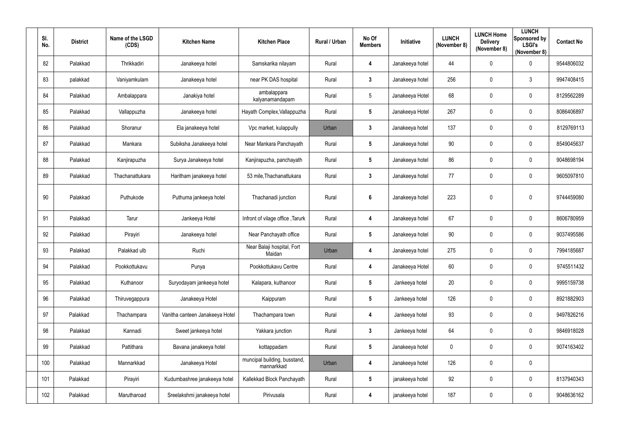| SI.<br>No. | <b>District</b> | Name of the LSGD<br>(CDS) | <b>Kitchen Name</b>             | <b>Kitchen Place</b>                       | Rural / Urban | No Of<br><b>Members</b> | <b>Initiative</b> | <b>LUNCH</b><br>(November 8) | <b>LUNCH Home</b><br><b>Delivery</b><br>(November 8) | <b>LUNCH</b><br><b>Sponsored by</b><br><b>LSGI's</b><br>(November 8) | <b>Contact No</b> |
|------------|-----------------|---------------------------|---------------------------------|--------------------------------------------|---------------|-------------------------|-------------------|------------------------------|------------------------------------------------------|----------------------------------------------------------------------|-------------------|
| 82         | Palakkad        | Thrikkadiri               | Janakeeya hotel                 | Samskarika nilayam                         | Rural         | 4                       | Janakeeya hotel   | 44                           | $\mathbf 0$                                          | $\mathbf 0$                                                          | 9544806032        |
| 83         | palakkad        | Vaniyamkulam              | Janakeeya hotel                 | near PK DAS hospital                       | Rural         | $3\phantom{a}$          | Janakeeya hotel   | 256                          | $\mathbf 0$                                          | $\mathbf{3}$                                                         | 9947408415        |
| 84         | Palakkad        | Ambalappara               | Janakiya hotel                  | ambalappara<br>kalyanamandapam             | Rural         | $5\phantom{.0}$         | Janakeeya Hotel   | 68                           | $\mathbf 0$                                          | $\mathbf 0$                                                          | 8129562289        |
| 85         | Palakkad        | Vallappuzha               | Janakeeya hotel                 | Hayath Complex, Vallappuzha                | Rural         | $5\phantom{.0}$         | Janakeeya Hotel   | 267                          | $\mathbf 0$                                          | $\mathbf 0$                                                          | 8086406897        |
| 86         | Palakkad        | Shoranur                  | Ela janakeeya hotel             | Vpc market, kulappully                     | Urban         | $\mathbf{3}$            | Janakeeya hotel   | 137                          | $\mathbf 0$                                          | $\mathbf 0$                                                          | 8129769113        |
| 87         | Palakkad        | Mankara                   | Subiksha Janakeeya hotel        | Near Mankara Panchayath                    | Rural         | $5\phantom{.0}$         | Janakeeya hotel   | 90                           | 0                                                    | $\mathbf 0$                                                          | 8549045637        |
| 88         | Palakkad        | Kanjirapuzha              | Surya Janakeeya hotel           | Kanjirapuzha, panchayath                   | Rural         | $5\phantom{.0}$         | Janakeeya hotel   | 86                           | 0                                                    | $\mathbf 0$                                                          | 9048698194        |
| 89         | Palakkad        | Thachanattukara           | Haritham janakeeya hotel        | 53 mile, Thachanattukara                   | Rural         | $\mathbf{3}$            | Janakeeya hotel   | 77                           | $\mathbf 0$                                          | $\mathbf 0$                                                          | 9605097810        |
| 90         | Palakkad        | Puthukode                 | Puthuma jankeeya hotel          | Thachanadi junction                        | Rural         | $6\phantom{a}$          | Janakeeya hotel   | 223                          | $\pmb{0}$                                            | $\mathbf 0$                                                          | 9744459080        |
| 91         | Palakkad        | Tarur                     | Jankeeya Hotel                  | Infront of vilage office, Tarurk           | Rural         | 4                       | Janakeeya hotel   | 67                           | $\mathbf 0$                                          | $\mathbf 0$                                                          | 8606780959        |
| 92         | Palakkad        | Pirayiri                  | Janakeeya hotel                 | Near Panchayath office                     | Rural         | $5\phantom{.0}$         | Janakeeya hotel   | 90                           | 0                                                    | $\mathbf 0$                                                          | 9037495586        |
| 93         | Palakkad        | Palakkad ulb              | Ruchi                           | Near Balaji hospital, Fort<br>Maidan       | Urban         | 4                       | Janakeeya hotel   | 275                          | $\mathbf 0$                                          | $\mathbf 0$                                                          | 7994185687        |
| 94         | Palakkad        | Pookkottukavu             | Punya                           | Pookkottukavu Centre                       | Rural         | 4                       | Janakeeya Hotel   | 60                           | 0                                                    | $\mathbf 0$                                                          | 9745511432        |
| 95         | Palakkad        | Kuthanoor                 | Suryodayam jankeeya hotel       | Kalapara, kuthanoor                        | Rural         | $5\phantom{.0}$         | Jankeeya hotel    | 20                           | $\pmb{0}$                                            | $\overline{0}$                                                       | 9995159738        |
| 96         | Palakkad        | Thiruvegappura            | Janakeeya Hotel                 | Kaippuram                                  | Rural         | $5\phantom{.0}$         | Jankeeya hotel    | 126                          | 0                                                    | $\overline{0}$                                                       | 8921882903        |
| 97         | Palakkad        | Thachampara               | Vanitha canteen Janakeeya Hotel | Thachampara town                           | Rural         | 4                       | Jankeeya hotel    | 93                           | $\pmb{0}$                                            | $\overline{0}$                                                       | 9497826216        |
| 98         | Palakkad        | Kannadi                   | Sweet jankeeya hotel            | Yakkara junction                           | Rural         | $\mathbf{3}$            | Jankeeya hotel    | 64                           | $\pmb{0}$                                            | $\overline{0}$                                                       | 9846918028        |
| 99         | Palakkad        | Pattithara                | Bavana janakeeya hotel          | kottappadam                                | Rural         | $5\phantom{.0}$         | Janakeeya hotel   | $\pmb{0}$                    | $\pmb{0}$                                            | $\overline{0}$                                                       | 9074163402        |
| 100        | Palakkad        | Mannarkkad                | Janakeeya Hotel                 | muncipal building, busstand,<br>mannarkkad | Urban         | 4                       | Janakeeya hotel   | 126                          | $\pmb{0}$                                            | $\mathbf 0$                                                          |                   |
| 101        | Palakkad        | Pirayiri                  | Kudumbashree janakeeya hotel    | Kallekkad Block Panchayath                 | Rural         | $5\phantom{.0}$         | janakeeya hotel   | 92                           | $\pmb{0}$                                            | $\mathbf 0$                                                          | 8137940343        |
| 102        | Palakkad        | Marutharoad               | Sreelakshmi janakeeya hotel     | Pirivusala                                 | Rural         | 4                       | janakeeya hotel   | 187                          | $\pmb{0}$                                            | $\overline{0}$                                                       | 9048636162        |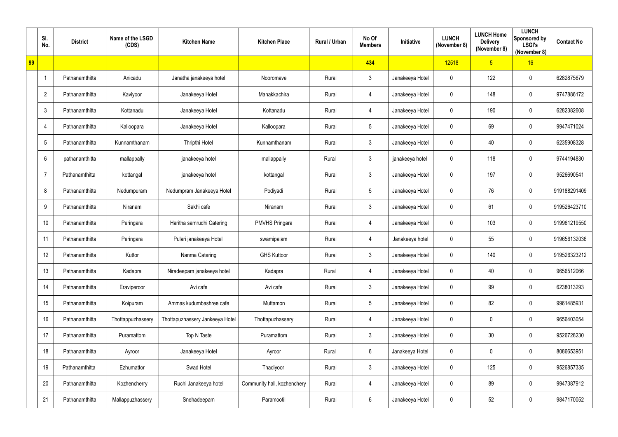|    | SI.<br>No.        | <b>District</b> | Name of the LSGD<br>(CDS) | <b>Kitchen Name</b>             | <b>Kitchen Place</b>        | Rural / Urban | No Of<br><b>Members</b> | <b>Initiative</b> | <b>LUNCH</b><br>(November 8) | <b>LUNCH Home</b><br><b>Delivery</b><br>(November 8) | <b>LUNCH</b><br>Sponsored by<br><b>LSGI's</b><br>(November 8) | <b>Contact No</b> |
|----|-------------------|-----------------|---------------------------|---------------------------------|-----------------------------|---------------|-------------------------|-------------------|------------------------------|------------------------------------------------------|---------------------------------------------------------------|-------------------|
| 99 |                   |                 |                           |                                 |                             |               | 434                     |                   | 12518                        | 5 <sub>5</sub>                                       | 16                                                            |                   |
|    | $\mathbf{1}$      | Pathanamthitta  | Anicadu                   | Janatha janakeeya hotel         | Nooromave                   | Rural         | $\mathbf{3}$            | Janakeeya Hotel   | $\mathbf 0$                  | 122                                                  | $\mathbf 0$                                                   | 6282875679        |
|    | $\overline{2}$    | Pathanamthitta  | Kaviyoor                  | Janakeeya Hotel                 | Manakkachira                | Rural         | 4                       | Janakeeya Hotel   | $\mathbf 0$                  | 148                                                  | $\mathbf 0$                                                   | 9747886172        |
|    | $\mathfrak{Z}$    | Pathanamthitta  | Kottanadu                 | Janakeeya Hotel                 | Kottanadu                   | Rural         | 4                       | Janakeeya Hotel   | $\mathbf 0$                  | 190                                                  | $\mathbf 0$                                                   | 6282382608        |
|    | 4                 | Pathanamthitta  | Kalloopara                | Janakeeya Hotel                 | Kalloopara                  | Rural         | $5\phantom{.0}$         | Janakeeya Hotel   | $\mathbf 0$                  | 69                                                   | $\mathbf 0$                                                   | 9947471024        |
|    | 5                 | Pathanamthitta  | Kunnamthanam              | <b>Thripthi Hotel</b>           | Kunnamthanam                | Rural         | $\mathbf{3}$            | Janakeeya Hotel   | $\boldsymbol{0}$             | 40                                                   | $\mathbf 0$                                                   | 6235908328        |
|    | $6\phantom{.}$    | pathanamthitta  | mallappally               | janakeeya hotel                 | mallappally                 | Rural         | $\mathbf{3}$            | janakeeya hotel   | $\mathbf 0$                  | 118                                                  | $\mathbf 0$                                                   | 9744194830        |
|    | $\overline{7}$    | Pathanamthitta  | kottangal                 | janakeeya hotel                 | kottangal                   | Rural         | 3                       | Janakeeya Hotel   | $\mathbf 0$                  | 197                                                  | $\mathbf 0$                                                   | 9526690541        |
|    | 8                 | Pathanamthitta  | Nedumpuram                | Nedumpram Janakeeya Hotel       | Podiyadi                    | Rural         | $5\overline{)}$         | Janakeeya Hotel   | $\mathbf 0$                  | 76                                                   | $\mathbf 0$                                                   | 919188291409      |
|    | 9                 | Pathanamthitta  | Niranam                   | Sakhi cafe                      | Niranam                     | Rural         | $\mathbf{3}$            | Janakeeya Hotel   | $\mathbf 0$                  | 61                                                   | $\mathbf 0$                                                   | 919526423710      |
|    | 10                | Pathanamthitta  | Peringara                 | Haritha samrudhi Catering       | <b>PMVHS Pringara</b>       | Rural         | 4                       | Janakeeya Hotel   | $\mathbf 0$                  | 103                                                  | $\mathbf 0$                                                   | 919961219550      |
|    | 11                | Pathanamthitta  | Peringara                 | Pulari janakeeya Hotel          | swamipalam                  | Rural         | 4                       | Janakeeya hotel   | $\mathbf 0$                  | 55                                                   | $\mathbf 0$                                                   | 919656132036      |
|    | $12 \overline{ }$ | Pathanamthitta  | Kuttor                    | Nanma Catering                  | <b>GHS Kuttoor</b>          | Rural         | $\mathfrak{Z}$          | Janakeeya Hotel   | $\boldsymbol{0}$             | 140                                                  | $\mathbf 0$                                                   | 919526323212      |
|    | 13                | Pathanamthitta  | Kadapra                   | Niradeepam janakeeya hotel      | Kadapra                     | Rural         | $\overline{4}$          | Janakeeya Hotel   | $\mathbf 0$                  | 40                                                   | $\mathbf 0$                                                   | 9656512066        |
|    | 14                | Pathanamthitta  | Eraviperoor               | Avi cafe                        | Avi cafe                    | Rural         | $\mathbf{3}$            | Janakeeya Hotel   | $\mathbf 0$                  | 99                                                   | $\mathbf 0$                                                   | 6238013293        |
|    | 15 <sub>15</sub>  | Pathanamthitta  | Koipuram                  | Ammas kudumbashree cafe         | Muttamon                    | Rural         | $5\overline{)}$         | Janakeeya Hotel   | $\mathbf 0$                  | 82                                                   | $\mathbf 0$                                                   | 9961485931        |
|    | 16                | Pathanamthitta  | Thottappuzhassery         | Thottapuzhassery Jankeeya Hotel | Thottapuzhassery            | Rural         | $\overline{4}$          | Janakeeya Hotel   | $\boldsymbol{0}$             | 0                                                    | $\mathbf 0$                                                   | 9656403054        |
|    | 17                | Pathanamthitta  | Puramattom                | Top N Taste                     | Puramattom                  | Rural         | $\mathbf{3}$            | Janakeeya Hotel   | $\mathbf 0$                  | 30                                                   | $\mathbf 0$                                                   | 9526728230        |
|    | 18                | Pathanamthitta  | Ayroor                    | Janakeeya Hotel                 | Ayroor                      | Rural         | $6\overline{6}$         | Janakeeya Hotel   | $\boldsymbol{0}$             | $\mathbf 0$                                          | $\mathbf 0$                                                   | 8086653951        |
|    | 19                | Pathanamthitta  | Ezhumattor                | Swad Hotel                      | Thadiyoor                   | Rural         | 3                       | Janakeeya Hotel   | $\mathbf 0$                  | 125                                                  | $\mathbf 0$                                                   | 9526857335        |
|    | 20                | Pathanamthitta  | Kozhencherry              | Ruchi Janakeeya hotel           | Community hall, kozhenchery | Rural         | $\overline{4}$          | Janakeeya Hotel   | $\mathbf 0$                  | 89                                                   | $\mathbf 0$                                                   | 9947387912        |
|    | 21                | Pathanamthitta  | Mallappuzhassery          | Snehadeepam                     | Paramootil                  | Rural         | $6\overline{6}$         | Janakeeya Hotel   | $\boldsymbol{0}$             | 52                                                   | $\mathbf 0$                                                   | 9847170052        |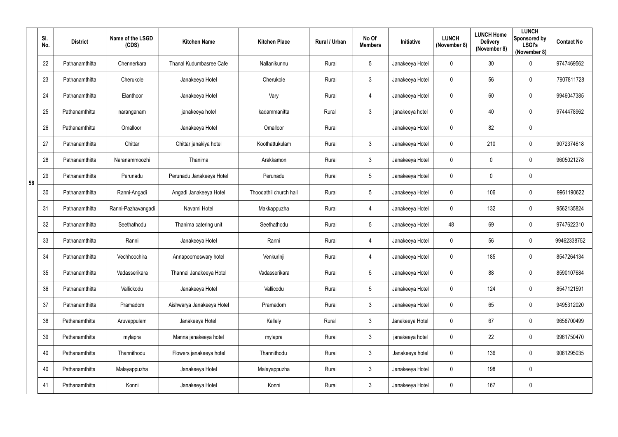|    | SI.<br>No. | <b>District</b> | Name of the LSGD<br>(CDS) | <b>Kitchen Name</b>       | <b>Kitchen Place</b>   | Rural / Urban | No Of<br><b>Members</b> | Initiative      | <b>LUNCH</b><br>(November 8) | <b>LUNCH Home</b><br><b>Delivery</b><br>(November 8) | <b>LUNCH</b><br>Sponsored by<br><b>LSGI's</b><br>(November 8) | <b>Contact No</b> |
|----|------------|-----------------|---------------------------|---------------------------|------------------------|---------------|-------------------------|-----------------|------------------------------|------------------------------------------------------|---------------------------------------------------------------|-------------------|
|    | 22         | Pathanamthitta  | Chennerkara               | Thanal Kudumbasree Cafe   | Nallanikunnu           | Rural         | $5\overline{)}$         | Janakeeya Hotel | $\overline{0}$               | 30                                                   | $\overline{0}$                                                | 9747469562        |
|    | 23         | Pathanamthitta  | Cherukole                 | Janakeeya Hotel           | Cherukole              | Rural         | $3\overline{3}$         | Janakeeya Hotel | $\overline{0}$               | 56                                                   | $\mathbf 0$                                                   | 7907811728        |
|    | 24         | Pathanamthitta  | Elanthoor                 | Janakeeya Hotel           | Vary                   | Rural         | 4                       | Janakeeya Hotel | $\mathbf 0$                  | 60                                                   | $\overline{0}$                                                | 9946047385        |
|    | 25         | Pathanamthitta  | naranganam                | janakeeya hotel           | kadammanitta           | Rural         | $\mathfrak{Z}$          | janakeeya hotel | $\boldsymbol{0}$             | 40                                                   | $\mathbf 0$                                                   | 9744478962        |
|    | 26         | Pathanamthitta  | Omalloor                  | Janakeeya Hotel           | Omalloor               | Rural         |                         | Janakeeya Hotel | $\mathbf 0$                  | 82                                                   | $\mathbf 0$                                                   |                   |
|    | 27         | Pathanamthitta  | Chittar                   | Chittar janakiya hotel    | Koothattukulam         | Rural         | $3\overline{3}$         | Janakeeya Hotel | $\overline{0}$               | 210                                                  | $\overline{0}$                                                | 9072374618        |
|    | 28         | Pathanamthitta  | Naranammoozhi             | Thanima                   | Arakkamon              | Rural         | $3\overline{3}$         | Janakeeya Hotel | $\mathbf 0$                  | 0                                                    | $\mathbf 0$                                                   | 9605021278        |
| 58 | 29         | Pathanamthitta  | Perunadu                  | Perunadu Janakeeya Hotel  | Perunadu               | Rural         | $5\overline{)}$         | Janakeeya Hotel | $\mathbf 0$                  | 0                                                    | $\mathbf 0$                                                   |                   |
|    | 30         | Pathanamthitta  | Ranni-Angadi              | Angadi Janakeeya Hotel    | Thoodathil church hall | Rural         | $5\overline{)}$         | Janakeeya Hotel | $\mathbf 0$                  | 106                                                  | $\overline{0}$                                                | 9961190622        |
|    | 31         | Pathanamthitta  | Ranni-Pazhavangadi        | Navami Hotel              | Makkappuzha            | Rural         | 4                       | Janakeeya Hotel | $\bm{0}$                     | 132                                                  | $\mathbf 0$                                                   | 9562135824        |
|    | 32         | Pathanamthitta  | Seethathodu               | Thanima catering unit     | Seethathodu            | Rural         | $5\overline{)}$         | Janakeeya Hotel | 48                           | 69                                                   | $\overline{0}$                                                | 9747622310        |
|    | 33         | Pathanamthitta  | Ranni                     | Janakeeya Hotel           | Ranni                  | Rural         | 4                       | Janakeeya Hotel | $\overline{0}$               | 56                                                   | $\mathbf 0$                                                   | 99462338752       |
|    | 34         | Pathanamthitta  | Vechhoochira              | Annapoorneswary hotel     | Venkurinji             | Rural         | 4                       | Janakeeya Hotel | 0                            | 185                                                  | $\mathbf 0$                                                   | 8547264134        |
|    | 35         | Pathanamthitta  | Vadasserikara             | Thannal Janakeeya Hotel   | Vadasserikara          | Rural         | $5\phantom{.0}$         | Janakeeya Hotel | $\mathbf 0$                  | 88                                                   | $\overline{0}$                                                | 8590107684        |
|    | 36         | Pathanamthitta  | Vallickodu                | Janakeeya Hotel           | Vallicodu              | Rural         | $5\phantom{.0}$         | Janakeeya Hotel | $\mathbf 0$                  | 124                                                  | $\overline{0}$                                                | 8547121591        |
|    | 37         | Pathanamthitta  | Pramadom                  | Aishwarya Janakeeya Hotel | Pramadom               | Rural         | $\mathbf{3}$            | Janakeeya Hotel | $\mathbf 0$                  | 65                                                   | $\overline{0}$                                                | 9495312020        |
|    | 38         | Pathanamthitta  | Aruvappulam               | Janakeeya Hotel           | Kallely                | Rural         | $\mathbf{3}$            | Janakeeya Hotel | $\mathbf 0$                  | 67                                                   | $\overline{0}$                                                | 9656700499        |
|    | 39         | Pathanamthitta  | mylapra                   | Manna janakeeya hotel     | mylapra                | Rural         | $\mathbf{3}$            | janakeeya hotel | $\mathbf 0$                  | 22                                                   | $\overline{0}$                                                | 9961750470        |
|    | 40         | Pathanamthitta  | Thannithodu               | Flowers janakeeya hotel   | Thannithodu            | Rural         | $\mathbf{3}$            | Janakeeya hotel | $\mathbf 0$                  | 136                                                  | $\overline{0}$                                                | 9061295035        |
|    | 40         | Pathanamthitta  | Malayappuzha              | Janakeeya Hotel           | Malayappuzha           | Rural         | $\mathbf{3}$            | Janakeeya Hotel | $\mathbf 0$                  | 198                                                  | $\overline{0}$                                                |                   |
|    | 41         | Pathanamthitta  | Konni                     | Janakeeya Hotel           | Konni                  | Rural         | 3 <sup>1</sup>          | Janakeeya Hotel | $\bm{0}$                     | 167                                                  | $\mathbf 0$                                                   |                   |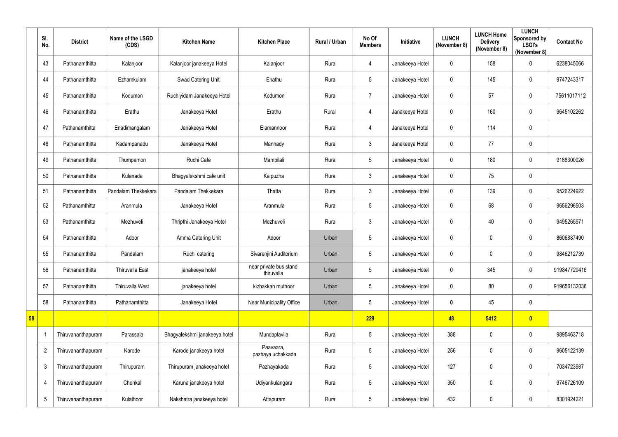|    | SI.<br>No.     | <b>District</b>    | Name of the LSGD<br>(CDS) | <b>Kitchen Name</b>           | <b>Kitchen Place</b>                 | Rural / Urban | No Of<br><b>Members</b> | Initiative      | <b>LUNCH</b><br>(November 8) | <b>LUNCH Home</b><br><b>Delivery</b><br>(November 8) | <b>LUNCH</b><br>Sponsored by<br><b>LSGI's</b><br>(November 8) | <b>Contact No</b> |
|----|----------------|--------------------|---------------------------|-------------------------------|--------------------------------------|---------------|-------------------------|-----------------|------------------------------|------------------------------------------------------|---------------------------------------------------------------|-------------------|
|    | 43             | Pathanamthitta     | Kalanjoor                 | Kalanjoor janakeeya Hotel     | Kalanjoor                            | Rural         | $\overline{4}$          | Janakeeya Hotel | $\mathbf 0$                  | 158                                                  | $\mathbf 0$                                                   | 6238045066        |
|    | 44             | Pathanamthitta     | Ezhamkulam                | Swad Catering Unit            | Enathu                               | Rural         | $5\phantom{.0}$         | Janakeeya Hotel | $\mathbf 0$                  | 145                                                  | $\mathbf 0$                                                   | 9747243317        |
|    | 45             | Pathanamthitta     | Kodumon                   | Ruchiyidam Janakeeya Hotel    | Kodumon                              | Rural         | $\overline{7}$          | Janakeeya Hotel | $\mathbf 0$                  | 57                                                   | $\mathbf 0$                                                   | 75611017112       |
|    | 46             | Pathanamthitta     | Erathu                    | Janakeeya Hotel               | Erathu                               | Rural         | $\overline{4}$          | Janakeeya Hotel | 0                            | 160                                                  | $\mathbf 0$                                                   | 9645102262        |
|    | 47             | Pathanamthitta     | Enadimangalam             | Janakeeya Hotel               | Elamannoor                           | Rural         | $\overline{4}$          | Janakeeya Hotel | $\mathbf 0$                  | 114                                                  | $\mathbf 0$                                                   |                   |
|    | 48             | Pathanamthitta     | Kadampanadu               | Janakeeya Hotel               | Mannady                              | Rural         | $\mathfrak{Z}$          | Janakeeya Hotel | $\mathbf 0$                  | 77                                                   | $\overline{0}$                                                |                   |
|    | 49             | Pathanamthitta     | Thumpamon                 | Ruchi Cafe                    | Mampilali                            | Rural         | $5\phantom{.0}$         | Janakeeya Hotel | $\mathbf 0$                  | 180                                                  | $\mathbf 0$                                                   | 9188300026        |
|    | 50             | Pathanamthitta     | Kulanada                  | Bhagyalekshmi cafe unit       | Kaipuzha                             | Rural         | $\mathfrak{Z}$          | Janakeeya Hotel | $\mathbf 0$                  | 75                                                   | $\mathbf 0$                                                   |                   |
|    | 51             | Pathanamthitta     | Pandalam Thekkekara       | Pandalam Thekkekara           | Thatta                               | Rural         | $\mathfrak{Z}$          | Janakeeya Hotel | $\mathbf 0$                  | 139                                                  | $\mathbf 0$                                                   | 9526224922        |
|    | 52             | Pathanamthitta     | Aranmula                  | Janakeeya Hotel               | Aranmula                             | Rural         | 5                       | Janakeeya Hotel | $\mathbf 0$                  | 68                                                   | $\mathbf 0$                                                   | 9656296503        |
|    | 53             | Pathanamthitta     | Mezhuveli                 | Thripthi Janakeeya Hotel      | Mezhuveli                            | Rural         | $\mathfrak{Z}$          | Janakeeya Hotel | $\mathbf 0$                  | 40                                                   | $\mathbf 0$                                                   | 9495265971        |
|    | 54             | Pathanamthitta     | Adoor                     | Amma Catering Unit            | Adoor                                | Urban         | $5\phantom{.0}$         | Janakeeya Hotel | $\mathbf 0$                  | $\pmb{0}$                                            | $\mathbf 0$                                                   | 8606887490        |
|    | 55             | Pathanamthitta     | Pandalam                  | Ruchi catering                | Sivarenjini Auditorium               | Urban         | 5                       | Janakeeya Hotel | $\mathbf 0$                  | 0                                                    | $\mathbf 0$                                                   | 9846212739        |
|    | 56             | Pathanamthitta     | Thiruvalla East           | janakeeya hotel               | near private bus stand<br>thiruvalla | Urban         | $5\phantom{.0}$         | Janakeeya Hotel | $\mathbf 0$                  | 345                                                  | $\overline{0}$                                                | 919847729416      |
|    | 57             | Pathanamthitta     | Thiruvalla West           | janakeeya hotel               | kizhakkan muthoor                    | Urban         | 5                       | Janakeeya Hotel | $\mathbf 0$                  | 80                                                   | $\overline{0}$                                                | 919656132036      |
|    | 58             | Pathanamthitta     | Pathanamthitta            | Janakeeya Hotel               | Near Municipality Office             | Urban         | $5\phantom{.0}$         | Janakeeya Hotel | $\mathbf 0$                  | 45                                                   | $\overline{0}$                                                |                   |
| 58 |                |                    |                           |                               |                                      |               | 229                     |                 | 48                           | 5412                                                 | $\bullet$                                                     |                   |
|    |                | Thiruvananthapuram | Parassala                 | Bhagyalekshmi janakeeya hotel | Mundaplavila                         | Rural         | $5\phantom{.0}$         | Janakeeya Hotel | 388                          | $\pmb{0}$                                            | $\overline{0}$                                                | 9895463718        |
|    | $\overline{2}$ | Thiruvananthapuram | Karode                    | Karode janakeeya hotel        | Paavaara,<br>pazhaya uchakkada       | Rural         | $5\phantom{.0}$         | Janakeeya Hotel | 256                          | 0                                                    | $\overline{0}$                                                | 9605122139        |
|    | $\mathbf{3}$   | Thiruvananthapuram | Thirupuram                | Thirupuram janakeeya hotel    | Pazhayakada                          | Rural         | $5\phantom{.0}$         | Janakeeya Hotel | 127                          | 0                                                    | $\overline{0}$                                                | 7034723987        |
|    | 4              | Thiruvananthapuram | Chenkal                   | Karuna janakeeya hotel        | Udiyankulangara                      | Rural         | 5                       | Janakeeya Hotel | 350                          | 0                                                    | $\overline{0}$                                                | 9746726109        |
|    | $\sqrt{5}$     | Thiruvananthapuram | Kulathoor                 | Nakshatra janakeeya hotel     | Attapuram                            | Rural         | $5\phantom{.0}$         | Janakeeya Hotel | 432                          | 0                                                    | $\overline{0}$                                                | 8301924221        |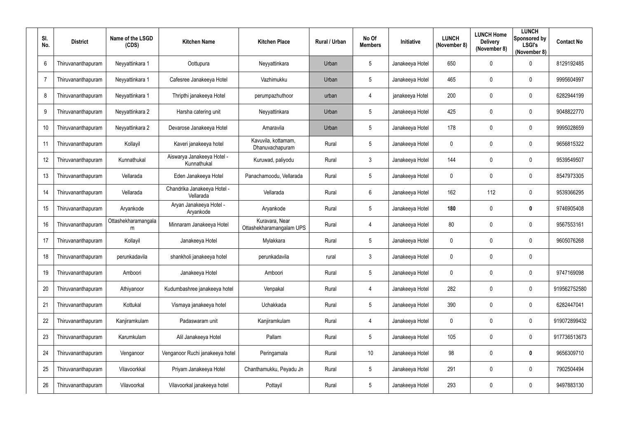| SI.<br>No.      | <b>District</b>    | Name of the LSGD<br>(CDS) | <b>Kitchen Name</b>                       | <b>Kitchen Place</b>                       | Rural / Urban | No Of<br><b>Members</b> | Initiative      | <b>LUNCH</b><br>(November 8) | <b>LUNCH Home</b><br><b>Delivery</b><br>(November 8) | <b>LUNCH</b><br>Sponsored by<br><b>LSGI's</b><br>(November 8) | <b>Contact No</b> |
|-----------------|--------------------|---------------------------|-------------------------------------------|--------------------------------------------|---------------|-------------------------|-----------------|------------------------------|------------------------------------------------------|---------------------------------------------------------------|-------------------|
| $6\phantom{.}6$ | Thiruvananthapuram | Neyyattinkara 1           | Oottupura                                 | Neyyattinkara                              | Urban         | $5\phantom{.0}$         | Janakeeya Hotel | 650                          | $\mathbf 0$                                          | $\mathbf 0$                                                   | 8129192485        |
| $\overline{7}$  | Thiruvananthapuram | Neyyattinkara 1           | Cafesree Janakeeya Hotel                  | Vazhimukku                                 | Urban         | $5\phantom{.0}$         | Janakeeya Hotel | 465                          | 0                                                    | $\mathbf 0$                                                   | 9995604997        |
| 8               | Thiruvananthapuram | Neyyattinkara 1           | Thripthi janakeeya Hotel                  | perumpazhuthoor                            | urban         | $\overline{4}$          | janakeeya Hotel | 200                          | $\mathbf 0$                                          | $\mathbf 0$                                                   | 6282944199        |
| 9               | Thiruvananthapuram | Neyyattinkara 2           | Harsha catering unit                      | Neyyattinkara                              | Urban         | 5                       | Janakeeya Hotel | 425                          | 0                                                    | $\mathbf 0$                                                   | 9048822770        |
| 10              | Thiruvananthapuram | Neyyattinkara 2           | Devarose Janakeeya Hotel                  | Amaravila                                  | Urban         | $5\phantom{.0}$         | Janakeeya Hotel | 178                          | 0                                                    | $\mathbf 0$                                                   | 9995028659        |
| 11              | Thiruvananthapuram | Kollayil                  | Kaveri janakeeya hotel                    | Kavuvila, kottamam,<br>Dhanuvachapuram     | Rural         | $5\phantom{.0}$         | Janakeeya Hotel | $\boldsymbol{0}$             | 0                                                    | $\mathbf 0$                                                   | 9656815322        |
| 12              | Thiruvananthapuram | Kunnathukal               | Aiswarya Janakeeya Hotel -<br>Kunnathukal | Kuruwad, paliyodu                          | Rural         | $\mathbf{3}$            | Janakeeya Hotel | 144                          | 0                                                    | $\mathbf 0$                                                   | 9539549507        |
| 13              | Thiruvananthapuram | Vellarada                 | Eden Janakeeya Hotel                      | Panachamoodu, Vellarada                    | Rural         | $5\phantom{.0}$         | Janakeeya Hotel | $\mathbf 0$                  | $\mathbf 0$                                          | $\mathbf 0$                                                   | 8547973305        |
| 14              | Thiruvananthapuram | Vellarada                 | Chandrika Janakeeya Hotel -<br>Vellarada  | Vellarada                                  | Rural         | $6\phantom{.}6$         | Janakeeya Hotel | 162                          | 112                                                  | $\mathbf 0$                                                   | 9539366295        |
| 15              | Thiruvananthapuram | Aryankode                 | Aryan Janakeeya Hotel -<br>Aryankode      | Aryankode                                  | Rural         | $5\overline{)}$         | Janakeeya Hotel | 180                          | 0                                                    | $\boldsymbol{0}$                                              | 9746905408        |
| 16              | Thiruvananthapuram | Ottashekharamangala<br>m  | Minnaram Janakeeya Hotel                  | Kuravara, Near<br>Ottashekharamangalam UPS | Rural         | 4                       | Janakeeya Hotel | 80                           | 0                                                    | $\mathbf 0$                                                   | 9567553161        |
| 17              | Thiruvananthapuram | Kollayil                  | Janakeeya Hotel                           | Mylakkara                                  | Rural         | $5\phantom{.0}$         | Janakeeya Hotel | $\mathbf 0$                  | 0                                                    | $\mathbf 0$                                                   | 9605076268        |
| 18              | Thiruvananthapuram | perunkadavila             | shankholi janakeeya hotel                 | perunkadavila                              | rural         | 3                       | Janakeeya Hotel | $\mathbf 0$                  | 0                                                    | $\mathbf 0$                                                   |                   |
| 19              | Thiruvananthapuram | Amboori                   | Janakeeya Hotel                           | Amboori                                    | Rural         | $5\overline{)}$         | Janakeeya Hotel | $\pmb{0}$                    | $\mathbf 0$                                          | $\mathbf 0$                                                   | 9747169098        |
| 20              | Thiruvananthapuram | Athiyanoor                | Kudumbashree janakeeya hotel              | Venpakal                                   | Rural         | $\overline{4}$          | Janakeeya Hotel | 282                          | 0                                                    | $\mathbf 0$                                                   | 919562752580      |
| 21              | Thiruvananthapuram | Kottukal                  | Vismaya janakeeya hotel                   | Uchakkada                                  | Rural         | $5\phantom{.0}$         | Janakeeya Hotel | 390                          | 0                                                    | $\mathbf 0$                                                   | 6282447041        |
| 22              | Thiruvananthapuram | Kanjiramkulam             | Padaswaram unit                           | Kanjiramkulam                              | Rural         | 4                       | Janakeeya Hotel | $\boldsymbol{0}$             | $\mathbf 0$                                          | $\mathbf 0$                                                   | 919072899432      |
| 23              | Thiruvananthapuram | Karumkulam                | Alil Janakeeya Hotel                      | Pallam                                     | Rural         | $5\overline{)}$         | Janakeeya Hotel | 105                          | $\mathbf 0$                                          | $\mathbf 0$                                                   | 917736513673      |
| 24              | Thiruvananthapuram | Venganoor                 | Venganoor Ruchi janakeeya hotel           | Peringamala                                | Rural         | 10                      | Janakeeya Hotel | 98                           | $\mathbf 0$                                          | $\boldsymbol{0}$                                              | 9656309710        |
| 25              | Thiruvananthapuram | Vilavoorkkal              | Priyam Janakeeya Hotel                    | Chanthamukku, Peyadu Jn                    | Rural         | $5\phantom{.0}$         | Janakeeya Hotel | 291                          | 0                                                    | $\mathbf 0$                                                   | 7902504494        |
| 26              | Thiruvananthapuram | Vilavoorkal               | Vilavoorkal janakeeya hotel               | Pottayil                                   | Rural         | $5\phantom{.0}$         | Janakeeya Hotel | 293                          | 0                                                    | $\bm{0}$                                                      | 9497883130        |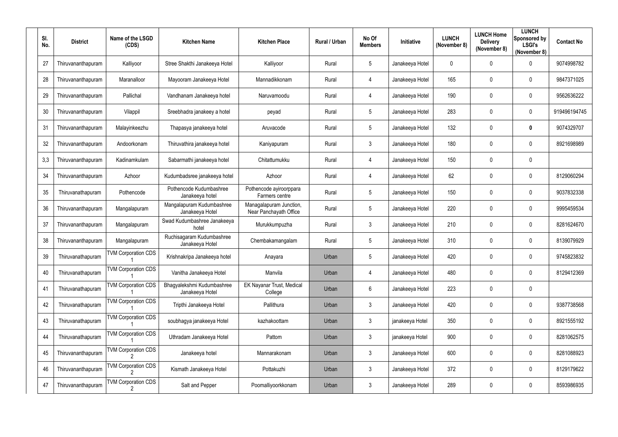| SI.<br>No. | <b>District</b>    | Name of the LSGD<br>(CDS)  | <b>Kitchen Name</b>                           | <b>Kitchen Place</b>                              | <b>Rural / Urban</b> | No Of<br><b>Members</b> | <b>Initiative</b> | <b>LUNCH</b><br>(November 8) | <b>LUNCH Home</b><br><b>Delivery</b><br>(November 8) | <b>LUNCH</b><br>Sponsored by<br><b>LSGI's</b><br>(November 8) | <b>Contact No</b> |
|------------|--------------------|----------------------------|-----------------------------------------------|---------------------------------------------------|----------------------|-------------------------|-------------------|------------------------------|------------------------------------------------------|---------------------------------------------------------------|-------------------|
| 27         | Thiruvananthapuram | Kalliyoor                  | Stree Shakthi Janakeeya Hotel                 | Kalliyoor                                         | Rural                | $5\phantom{.0}$         | Janakeeya Hotel   | $\mathbf 0$                  | 0                                                    | $\mathbf 0$                                                   | 9074998782        |
| 28         | Thiruvananthapuram | Maranalloor                | Mayooram Janakeeya Hotel                      | Mannadikkonam                                     | Rural                | 4                       | Janakeeya Hotel   | 165                          | $\mathbf 0$                                          | $\mathbf 0$                                                   | 9847371025        |
| 29         | Thiruvananthapuram | Pallichal                  | Vandhanam Janakeeya hotel                     | Naruvamoodu                                       | Rural                | $\overline{4}$          | Janakeeya Hotel   | 190                          | $\mathbf 0$                                          | $\mathbf 0$                                                   | 9562636222        |
| 30         | Thiruvananthapuram | Vilappil                   | Sreebhadra janakeey a hotel                   | peyad                                             | Rural                | $5\phantom{.0}$         | Janakeeya Hotel   | 283                          | $\mathbf 0$                                          | $\mathbf 0$                                                   | 919496194745      |
| 31         | Thiruvananthapuram | Malayinkeezhu              | Thapasya janakeeya hotel                      | Aruvacode                                         | Rural                | $5\phantom{.0}$         | Janakeeya Hotel   | 132                          | $\mathbf 0$                                          | $\boldsymbol{0}$                                              | 9074329707        |
| 32         | Thiruvananthapuram | Andoorkonam                | Thiruvathira janakeeya hotel                  | Kaniyapuram                                       | Rural                | $\mathfrak{Z}$          | Janakeeya Hotel   | 180                          | $\boldsymbol{0}$                                     | $\mathbf 0$                                                   | 8921698989        |
| 3,3        | Thiruvananthapuram | Kadinamkulam               | Sabarmathi janakeeya hotel                    | Chitattumukku                                     | Rural                | 4                       | Janakeeya Hotel   | 150                          | $\mathbf 0$                                          | $\mathbf 0$                                                   |                   |
| 34         | Thiruvananthapuram | Azhoor                     | Kudumbadsree janakeeya hotel                  | Azhoor                                            | Rural                | $\overline{4}$          | Janakeeya Hotel   | 62                           | $\mathbf 0$                                          | $\mathbf 0$                                                   | 8129060294        |
| 35         | Thiruvanathapuram  | Pothencode                 | Pothencode Kudumbashree<br>Janakeeya hotel    | Pothencode ayiroorppara<br>Farmers centre         | Rural                | $5\phantom{.0}$         | Janakeeya Hotel   | 150                          | $\boldsymbol{0}$                                     | $\mathbf 0$                                                   | 9037832338        |
| 36         | Thiruvananthapuram | Mangalapuram               | Mangalapuram Kudumbashree<br>Janakeeya Hotel  | Managalapuram Junction,<br>Near Panchayath Office | Rural                | $5\phantom{.0}$         | Janakeeya Hotel   | 220                          | $\mathbf 0$                                          | $\mathbf 0$                                                   | 9995459534        |
| 37         | Thiruvananthapuram | Mangalapuram               | Swad Kudumbashree Janakeeya<br>hotel          | Murukkumpuzha                                     | Rural                | $\mathbf{3}$            | Janakeeya Hotel   | 210                          | $\boldsymbol{0}$                                     | $\mathbf 0$                                                   | 8281624670        |
| 38         | Thiruvananthapuram | Mangalapuram               | Ruchisagaram Kudumbashree<br>Janakeeya Hotel  | Chembakamangalam                                  | Rural                | $5\overline{)}$         | Janakeeya Hotel   | 310                          | $\boldsymbol{0}$                                     | $\mathbf 0$                                                   | 8139079929        |
| 39         | Thiruvanathapuram  | <b>TVM Corporation CDS</b> | Krishnakripa Janakeeya hotel                  | Anayara                                           | Urban                | 5                       | Janakeeya Hotel   | 420                          | 0                                                    | $\mathbf 0$                                                   | 9745823832        |
| 40         | Thiruvanathapuram  | <b>TVM Corporation CDS</b> | Vanitha Janakeeya Hotel                       | Manvila                                           | Urban                | 4                       | Janakeeya Hotel   | 480                          | $\boldsymbol{0}$                                     | $\mathbf 0$                                                   | 8129412369        |
| 41         | Thiruvanathapuram  | <b>TVM Corporation CDS</b> | Bhagyalekshmi Kudumbashree<br>Janakeeya Hotel | <b>EK Nayanar Trust, Medical</b><br>College       | Urban                | $6\overline{6}$         | Janakeeya Hotel   | 223                          | $\boldsymbol{0}$                                     | $\mathbf 0$                                                   |                   |
| 42         | Thiruvanathapuram  | <b>TVM Corporation CDS</b> | Tripthi Janakeeya Hotel                       | Pallithura                                        | Urban                | $\mathbf{3}$            | Janakeeya Hotel   | 420                          | $\boldsymbol{0}$                                     | $\boldsymbol{0}$                                              | 9387738568        |
| 43         | Thiruvanathapuram  | <b>TVM Corporation CDS</b> | soubhagya janakeeya Hotel                     | kazhakoottam                                      | Urban                | $\mathbf{3}$            | janakeeya Hotel   | 350                          | $\boldsymbol{0}$                                     | $\boldsymbol{0}$                                              | 8921555192        |
| 44         | Thiruvanathapuram  | <b>TVM Corporation CDS</b> | Uthradam Janakeeya Hotel                      | Pattom                                            | Urban                | $\mathfrak{Z}$          | janakeeya Hotel   | 900                          | $\boldsymbol{0}$                                     | $\mathbf 0$                                                   | 8281062575        |
| 45         | Thiruvananthapuram | <b>TVM Corporation CDS</b> | Janakeeya hotel                               | Mannarakonam                                      | Urban                | $\mathbf{3}$            | Janakeeya Hotel   | 600                          | $\boldsymbol{0}$                                     | $\mathbf 0$                                                   | 8281088923        |
| 46         | Thiruvananthapuram | <b>TVM Corporation CDS</b> | Kismath Janakeeya Hotel                       | Pottakuzhi                                        | Urban                | $\mathbf{3}$            | Janakeeya Hotel   | 372                          | $\boldsymbol{0}$                                     | $\mathbf 0$                                                   | 8129179622        |
| 47         | Thiruvananthapuram | <b>TVM Corporation CDS</b> | Salt and Pepper                               | Poomalliyoorkkonam                                | Urban                | $\mathbf{3}$            | Janakeeya Hotel   | 289                          | $\boldsymbol{0}$                                     | $\boldsymbol{0}$                                              | 8593986935        |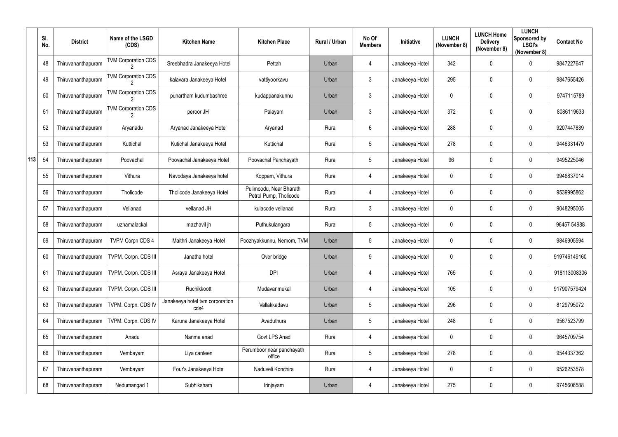|     | SI.<br>No. | <b>District</b>    | Name of the LSGD<br>(CDS)  | <b>Kitchen Name</b>                     | <b>Kitchen Place</b>                              | <b>Rural / Urban</b> | No Of<br><b>Members</b> | Initiative      | <b>LUNCH</b><br>(November 8) | <b>LUNCH Home</b><br><b>Delivery</b><br>(November 8) | <b>LUNCH</b><br>Sponsored by<br><b>LSGI's</b><br>(November 8) | <b>Contact No</b> |
|-----|------------|--------------------|----------------------------|-----------------------------------------|---------------------------------------------------|----------------------|-------------------------|-----------------|------------------------------|------------------------------------------------------|---------------------------------------------------------------|-------------------|
|     | 48         | Thiruvananthapuram | <b>TVM Corporation CDS</b> | Sreebhadra Janakeeya Hotel              | Pettah                                            | Urban                | 4                       | Janakeeya Hotel | 342                          | 0                                                    | $\overline{0}$                                                | 9847227647        |
|     | 49         | Thiruvananthapuram | <b>TVM Corporation CDS</b> | kalavara Janakeeya Hotel                | vattiyoorkavu                                     | Urban                | $\mathfrak{Z}$          | Janakeeya Hotel | 295                          | 0                                                    | $\overline{0}$                                                | 9847655426        |
|     | 50         | Thiruvananthapuram | <b>TVM Corporation CDS</b> | punartham kudumbashree                  | kudappanakunnu                                    | Urban                | $\mathfrak{Z}$          | Janakeeya Hotel | $\mathbf 0$                  | 0                                                    | $\overline{0}$                                                | 9747115789        |
|     | 51         | Thiruvananthapuram | <b>TVM Corporation CDS</b> | peroor JH                               | Palayam                                           | Urban                | $\mathfrak{Z}$          | Janakeeya Hotel | 372                          | 0                                                    | $\mathbf 0$                                                   | 8086119633        |
|     | 52         | Thiruvananthapuram | Aryanadu                   | Aryanad Janakeeya Hotel                 | Aryanad                                           | Rural                | $6\phantom{.}$          | Janakeeya Hotel | 288                          | 0                                                    | $\overline{0}$                                                | 9207447839        |
|     | 53         | Thiruvananthapuram | Kuttichal                  | Kutichal Janakeeya Hotel                | Kuttichal                                         | Rural                | $5\phantom{.0}$         | Janakeeya Hotel | 278                          | 0                                                    | $\overline{0}$                                                | 9446331479        |
| 113 | 54         | Thiruvananthapuram | Poovachal                  | Poovachal Janakeeya Hotel               | Poovachal Panchayath                              | Rural                | 5                       | Janakeeya Hotel | 96                           | 0                                                    | $\overline{0}$                                                | 9495225046        |
|     | 55         | Thiruvananthapuram | Vithura                    | Navodaya Janakeeya hotel                | Koppam, Vithura                                   | Rural                | 4                       | Janakeeya Hotel | $\mathbf 0$                  | 0                                                    | $\overline{0}$                                                | 9946837014        |
|     | 56         | Thiruvananthapuram | Tholicode                  | Tholicode Janakeeya Hotel               | Pulimoodu, Near Bharath<br>Petrol Pump, Tholicode | Rural                | 4                       | Janakeeya Hotel | $\mathbf 0$                  | 0                                                    | $\overline{0}$                                                | 9539995862        |
|     | 57         | Thiruvananthapuram | Vellanad                   | vellanad JH                             | kulacode vellanad                                 | Rural                | $\mathfrak{Z}$          | Janakeeya Hotel | $\mathbf 0$                  | $\boldsymbol{0}$                                     | $\overline{0}$                                                | 9048295005        |
|     | 58         | Thiruvananthapuram | uzhamalackal               | mazhavil jh                             | Puthukulangara                                    | Rural                | 5                       | Janakeeya Hotel | 0                            | 0                                                    | $\overline{0}$                                                | 96457 54988       |
|     | 59         | Thiruvananthapuram | <b>TVPM Corpn CDS 4</b>    | Maithri Janakeeya Hotel                 | Poozhyakkunnu, Nemom, TVM                         | Urban                | $5\phantom{.0}$         | Janakeeya Hotel | $\mathbf 0$                  | 0                                                    | $\overline{0}$                                                | 9846905594        |
|     | 60         | Thiruvananthapuram | TVPM. Corpn. CDS III       | Janatha hotel                           | Over bridge                                       | Urban                | 9                       | Janakeeya Hotel | 0                            | 0                                                    | $\mathbf 0$                                                   | 919746149160      |
|     | 61         | Thiruvananthapuram | TVPM. Corpn. CDS III       | Asraya Janakeeya Hotel                  | <b>DPI</b>                                        | Urban                | 4                       | Janakeeya Hotel | 765                          | 0                                                    | $\mathbf 0$                                                   | 918113008306      |
|     | 62         | Thiruvananthapuram | TVPM. Corpn. CDS III       | Ruchikkoott                             | Mudavanmukal                                      | Urban                | 4                       | Janakeeya Hotel | 105                          | 0                                                    | $\overline{0}$                                                | 917907579424      |
|     | 63         | Thiruvananthapuram | TVPM. Corpn. CDS IV        | Janakeeya hotel tvm corporation<br>cds4 | Vallakkadavu                                      | Urban                | $5\phantom{.0}$         | Janakeeya Hotel | 296                          | 0                                                    | $\overline{0}$                                                | 8129795072        |
|     | 64         | Thiruvananthapuram | TVPM. Corpn. CDS IV        | Karuna Janakeeya Hotel                  | Avaduthura                                        | Urban                | $5\phantom{.0}$         | Janakeeya Hotel | 248                          | 0                                                    | $\mathbf 0$                                                   | 9567523799        |
|     | 65         | Thiruvananthapuram | Anadu                      | Nanma anad                              | Govt LPS Anad                                     | Rural                | $\overline{4}$          | Janakeeya Hotel | $\mathbf 0$                  | 0                                                    | $\overline{0}$                                                | 9645709754        |
|     | 66         | Thiruvananthapuram | Vembayam                   | Liya canteen                            | Perumboor near panchayath<br>office               | Rural                | $5\phantom{.0}$         | Janakeeya Hotel | 278                          | 0                                                    | $\mathbf 0$                                                   | 9544337362        |
|     | 67         | Thiruvananthapuram | Vembayam                   | Four's Janakeeya Hotel                  | Naduveli Konchira                                 | Rural                | 4                       | Janakeeya Hotel | $\mathbf 0$                  | 0                                                    | $\mathbf 0$                                                   | 9526253578        |
|     | 68         | Thiruvananthapuram | Nedumangad 1               | Subhiksham                              | Irinjayam                                         | Urban                | 4                       | Janakeeya Hotel | 275                          | 0                                                    | $\mathbf 0$                                                   | 9745606588        |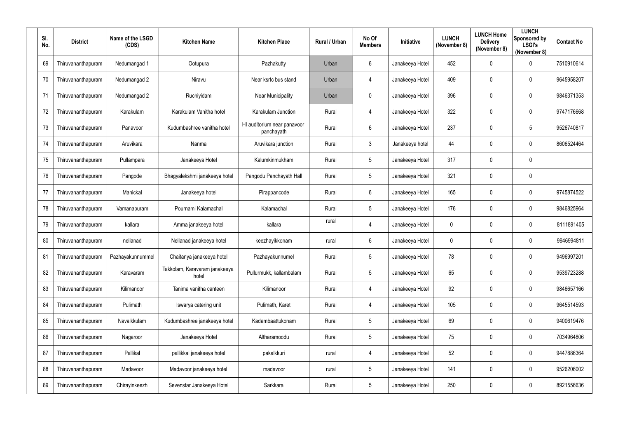| SI.<br>No. | <b>District</b>    | Name of the LSGD<br>(CDS) | <b>Kitchen Name</b>                    | <b>Kitchen Place</b>                      | <b>Rural / Urban</b> | No Of<br><b>Members</b> | <b>Initiative</b> | <b>LUNCH</b><br>(November 8) | <b>LUNCH Home</b><br><b>Delivery</b><br>(November 8) | <b>LUNCH</b><br>Sponsored by<br><b>LSGI's</b><br>(November 8) | <b>Contact No</b> |
|------------|--------------------|---------------------------|----------------------------------------|-------------------------------------------|----------------------|-------------------------|-------------------|------------------------------|------------------------------------------------------|---------------------------------------------------------------|-------------------|
| 69         | Thiruvananthapuram | Nedumangad 1              | Ootupura                               | Pazhakutty                                | Urban                | $6\phantom{.}6$         | Janakeeya Hotel   | 452                          | $\boldsymbol{0}$                                     | $\mathbf 0$                                                   | 7510910614        |
| 70         | Thiruvananthapuram | Nedumangad 2              | Niravu                                 | Near ksrtc bus stand                      | Urban                | 4                       | Janakeeya Hotel   | 409                          | $\boldsymbol{0}$                                     | $\mathbf 0$                                                   | 9645958207        |
| 71         | Thiruvananthapuram | Nedumangad 2              | Ruchiyidam                             | <b>Near Municipality</b>                  | Urban                | $\mathbf 0$             | Janakeeya Hotel   | 396                          | $\mathbf 0$                                          | $\boldsymbol{0}$                                              | 9846371353        |
| 72         | Thiruvananthapuram | Karakulam                 | Karakulam Vanitha hotel                | Karakulam Junction                        | Rural                | $\overline{4}$          | Janakeeya Hotel   | 322                          | $\boldsymbol{0}$                                     | $\mathbf 0$                                                   | 9747176668        |
| 73         | Thiruvananthapuram | Panavoor                  | Kudumbashree vanitha hotel             | HI auditorium near panavoor<br>panchayath | Rural                | $6\overline{6}$         | Janakeeya Hotel   | 237                          | $\boldsymbol{0}$                                     | $\overline{5}$                                                | 9526740817        |
| 74         | Thiruvananthapuram | Aruvikara                 | Nanma                                  | Aruvikara junction                        | Rural                | $\mathbf{3}$            | Janakeeya hotel   | 44                           | $\boldsymbol{0}$                                     | $\mathbf 0$                                                   | 8606524464        |
| 75         | Thiruvananthapuram | Pullampara                | Janakeeya Hotel                        | Kalumkinmukham                            | Rural                | $5\phantom{.0}$         | Janakeeya Hotel   | 317                          | $\boldsymbol{0}$                                     | $\mathbf 0$                                                   |                   |
| 76         | Thiruvananthapuram | Pangode                   | Bhagyalekshmi janakeeya hotel          | Pangodu Panchayath Hall                   | Rural                | $5\overline{)}$         | Janakeeya Hotel   | 321                          | $\mathbf 0$                                          | $\mathbf 0$                                                   |                   |
| 77         | Thiruvananthapuram | Manickal                  | Janakeeya hotel                        | Pirappancode                              | Rural                | $6\phantom{.}6$         | Janakeeya Hotel   | 165                          | $\boldsymbol{0}$                                     | $\mathbf 0$                                                   | 9745874522        |
| 78         | Thiruvananthapuram | Vamanapuram               | Pournami Kalamachal                    | Kalamachal                                | Rural                | $5\phantom{.0}$         | Janakeeya Hotel   | 176                          | $\mathbf 0$                                          | $\mathbf 0$                                                   | 9846825964        |
| 79         | Thiruvananthapuram | kallara                   | Amma janakeeya hotel                   | kallara                                   | rural                | 4                       | Janakeeya Hotel   | $\boldsymbol{0}$             | $\boldsymbol{0}$                                     | $\boldsymbol{0}$                                              | 8111891405        |
| 80         | Thiruvananthapuram | nellanad                  | Nellanad janakeeya hotel               | keezhayikkonam                            | rural                | 6                       | Janakeeya Hotel   | $\mathbf 0$                  | $\boldsymbol{0}$                                     | $\mathbf 0$                                                   | 9946994811        |
| 81         | Thiruvananthapuram | Pazhayakunnummel          | Chaitanya janakeeya hotel              | Pazhayakunnumel                           | Rural                | $5\overline{)}$         | Janakeeya Hotel   | 78                           | 0                                                    | $\mathbf 0$                                                   | 9496997201        |
| 82         | Thiruvananthapuram | Karavaram                 | Takkolam, Karavaram janakeeya<br>hotel | Pullurmukk, kallambalam                   | Rural                | $5\overline{)}$         | Janakeeya Hotel   | 65                           | $\boldsymbol{0}$                                     | $\mathbf 0$                                                   | 9539723288        |
| 83         | Thiruvananthapuram | Kilimanoor                | Tanima vanitha canteen                 | Kilimanoor                                | Rural                | $\overline{4}$          | Janakeeya Hotel   | 92                           | $\boldsymbol{0}$                                     | $\mathbf 0$                                                   | 9846657166        |
| 84         | Thiruvananthapuram | Pulimath                  | Iswarya catering unit                  | Pulimath, Karet                           | Rural                | 4                       | Janakeeya Hotel   | 105                          | $\boldsymbol{0}$                                     | $\boldsymbol{0}$                                              | 9645514593        |
| 85         | Thiruvananthapuram | Navaikkulam               | Kudumbashree janakeeya hotel           | Kadambaattukonam                          | Rural                | 5 <sub>5</sub>          | Janakeeya Hotel   | 69                           | $\boldsymbol{0}$                                     | $\boldsymbol{0}$                                              | 9400619476        |
| 86         | Thiruvananthapuram | Nagaroor                  | Janakeeya Hotel                        | Altharamoodu                              | Rural                | $5\phantom{.0}$         | Janakeeya Hotel   | 75                           | $\pmb{0}$                                            | $\boldsymbol{0}$                                              | 7034964806        |
| 87         | Thiruvananthapuram | Pallikal                  | pallikkal janakeeya hotel              | pakalkkuri                                | rural                | 4                       | Janakeeya Hotel   | 52                           | 0                                                    | $\mathbf 0$                                                   | 9447886364        |
| 88         | Thiruvananthapuram | Madavoor                  | Madavoor janakeeya hotel               | madavoor                                  | rural                | $5\phantom{.0}$         | Janakeeya Hotel   | 141                          | 0                                                    | $\boldsymbol{0}$                                              | 9526206002        |
| 89         | Thiruvananthapuram | Chirayinkeezh             | Sevenstar Janakeeya Hotel              | Sarkkara                                  | Rural                | $5\phantom{.0}$         | Janakeeya Hotel   | 250                          | $\boldsymbol{0}$                                     | $\boldsymbol{0}$                                              | 8921556636        |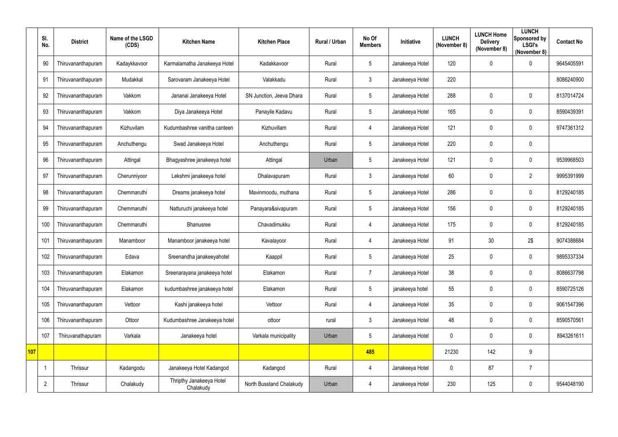|     | SI.<br>No.     | <b>District</b>    | Name of the LSGD<br>(CDS) | <b>Kitchen Name</b>                   | <b>Kitchen Place</b>     | Rural / Urban | No Of<br><b>Members</b> | Initiative      | <b>LUNCH</b><br>(November 8) | <b>LUNCH Home</b><br><b>Delivery</b><br>(November 8) | <b>LUNCH</b><br>Sponsored by<br><b>LSGI's</b><br>(November 8) | <b>Contact No</b> |
|-----|----------------|--------------------|---------------------------|---------------------------------------|--------------------------|---------------|-------------------------|-----------------|------------------------------|------------------------------------------------------|---------------------------------------------------------------|-------------------|
|     | 90             | Thiruvananthapuram | Kadaykkavoor              | Karmalamatha Janakeeya Hotel          | Kadakkavoor              | Rural         | 5                       | Janakeeya Hotel | 120                          | 0                                                    | $\mathbf 0$                                                   | 9645405591        |
|     | 91             | Thiruvananthapuram | Mudakkal                  | Sarovaram Janakeeya Hotel             | Valakkadu                | Rural         | $\mathfrak{Z}$          | Janakeeya Hotel | 220                          |                                                      |                                                               | 8086240900        |
|     | 92             | Thiruvananthapuram | Vakkom                    | Jananai Janakeeya Hotel               | SN Junction, Jeeva Dhara | Rural         | 5                       | Janakeeya Hotel | 288                          | $\mathbf 0$                                          | $\mathbf 0$                                                   | 8137014724        |
|     | 93             | Thiruvananthapuram | Vakkom                    | Diya Janakeeya Hotel                  | Panayile Kadavu          | Rural         | 5                       | Janakeeya Hotel | 165                          | 0                                                    | $\mathbf 0$                                                   | 8590439391        |
|     | 94             | Thiruvananthapuram | Kizhuvilam                | Kudumbashree vanitha canteen          | Kizhuvillam              | Rural         | $\overline{4}$          | Janakeeya Hotel | 121                          | $\mathbf 0$                                          | $\mathbf 0$                                                   | 9747361312        |
|     | 95             | Thiruvananthapuram | Anchuthengu               | Swad Janakeeya Hotel                  | Anchuthengu              | Rural         | 5                       | Janakeeya Hotel | 220                          | 0                                                    | $\mathbf 0$                                                   |                   |
|     | 96             | Thiruvananthapuram | Attingal                  | Bhagyashree janakeeya hotel           | Attingal                 | Urban         | 5                       | Janakeeya Hotel | 121                          | $\boldsymbol{0}$                                     | $\mathbf 0$                                                   | 9539968503        |
|     | 97             | Thiruvananthapuram | Cherunniyoor              | Lekshmi janakeeya hotel               | Dhalavapuram             | Rural         | 3                       | Janakeeya Hotel | 60                           | $\mathbf 0$                                          | $\overline{2}$                                                | 9995391999        |
|     | 98             | Thiruvananthapuram | Chemmaruthi               | Dreams janakeeya hotel                | Mavinmoodu, muthana      | Rural         | 5                       | Janakeeya Hotel | 286                          | 0                                                    | $\mathbf 0$                                                   | 8129240185        |
|     | 99             | Thiruvananthapuram | Chemmaruthi               | Natturuchi janakeeya hotel            | Panayara&sivapuram       | Rural         | 5                       | Janakeeya Hotel | 156                          | $\boldsymbol{0}$                                     | $\mathbf 0$                                                   | 8129240185        |
|     | 100            | Thiruvananthapuram | Chemmaruthi               | Bhanusree                             | Chavadimukku             | Rural         | $\overline{4}$          | Janakeeya Hotel | 175                          | 0                                                    | $\mathbf 0$                                                   | 8129240185        |
|     | 101            | Thiruvananthapuram | Manamboor                 | Manamboor janakeeya hotel             | Kavalayoor               | Rural         | $\overline{4}$          | Janakeeya Hotel | 91                           | 30                                                   | 2\$                                                           | 9074388684        |
|     | 102            | Thiruvananthapuram | Edava                     | Sreenandha janakeeyahotel             | Kaappil                  | Rural         | 5                       | Janakeeya Hotel | 25                           | 0                                                    | $\mathbf 0$                                                   | 9895337334        |
|     | 103            | Thiruvananthapuram | Elakamon                  | Sreenarayana janakeeya hotel          | Elakamon                 | Rural         | $\overline{7}$          | Janakeeya Hotel | 38                           | 0                                                    | $\overline{0}$                                                | 8086637798        |
|     | 104            | Thiruvananthapuram | Elakamon                  | kudumbashree janakeeya hotel          | Elakamon                 | Rural         | 5                       | janakeeya hotel | 55                           | 0                                                    | $\overline{0}$                                                | 8590725126        |
|     | 105            | Thiruvananthapuram | Vettoor                   | Kashi janakeeya hotel                 | Vettoor                  | Rural         | $\overline{4}$          | Janakeeya Hotel | 35                           | $\pmb{0}$                                            | $\overline{0}$                                                | 9061547396        |
|     | 106            | Thiruvananthapuram | Ottoor                    | Kudumbashree Janakeeya hotel          | ottoor                   | rural         | $\mathfrak{Z}$          | Janakeeya Hotel | 48                           | $\pmb{0}$                                            | $\overline{0}$                                                | 8590570561        |
|     | 107            | Thiruvanathapuram  | Varkala                   | Janakeeya hotel                       | Varkala municipality     | Urban         | 5                       | Janakeeya Hotel | $\mathbf 0$                  | $\pmb{0}$                                            | $\overline{0}$                                                | 8943261611        |
| 107 |                |                    |                           |                                       |                          |               | 485                     |                 | 21230                        | 142                                                  | 9                                                             |                   |
|     |                | Thrissur           | Kadangodu                 | Janakeeya Hotel Kadangod              | Kadangod                 | Rural         | $\overline{4}$          | Janakeeya Hotel | $\mathbf 0$                  | 87                                                   | $\overline{7}$                                                |                   |
|     | $\overline{2}$ | Thrissur           | Chalakudy                 | Thripthy Janakeeya Hotel<br>Chalakudy | North Busstand Chalakudy | Urban         | 4                       | Janakeeya Hotel | 230                          | 125                                                  | $\overline{0}$                                                | 9544048190        |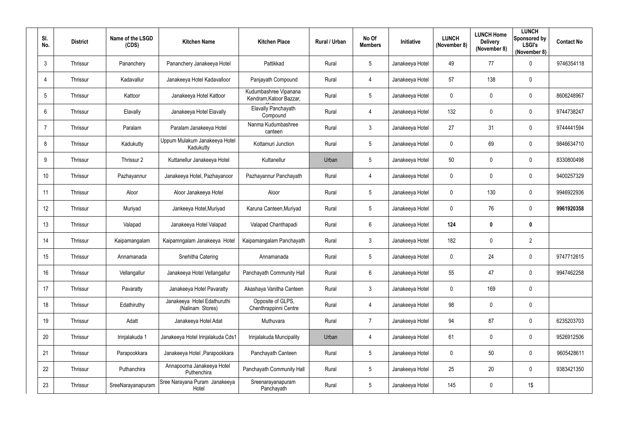| SI.<br>No.     | <b>District</b> | Name of the LSGD<br>(CDS) | <b>Kitchen Name</b>                             | <b>Kitchen Place</b>                             | Rural / Urban | No Of<br><b>Members</b> | Initiative      | <b>LUNCH</b><br>(November 8) | <b>LUNCH Home</b><br><b>Delivery</b><br>(November 8) | <b>LUNCH</b><br>Sponsored by<br><b>LSGI's</b><br>(November 8) | <b>Contact No</b> |
|----------------|-----------------|---------------------------|-------------------------------------------------|--------------------------------------------------|---------------|-------------------------|-----------------|------------------------------|------------------------------------------------------|---------------------------------------------------------------|-------------------|
| $\mathbf{3}$   | Thrissur        | Pananchery                | Pananchery Janakeeya Hotel                      | Pattikkad                                        | Rural         | $5\phantom{.0}$         | Janakeeya Hotel | 49                           | 77                                                   | $\mathbf 0$                                                   | 9746354118        |
| $\overline{4}$ | Thrissur        | Kadavallur                | Janakeeya Hotel Kadavalloor                     | Panjayath Compound                               | Rural         | 4                       | Janakeeya Hotel | 57                           | 138                                                  | $\mathbf 0$                                                   |                   |
| 5              | Thrissur        | Kattoor                   | Janakeeya Hotel Kattoor                         | Kudumbashree Vipanana<br>Kendram, Katoor Bazzar, | Rural         | 5                       | Janakeeya Hotel | $\mathbf 0$                  | 0                                                    | $\mathbf 0$                                                   | 8606248967        |
| 6              | Thrissur        | Elavally                  | Janakeeya Hotel Elavally                        | Elavally Panchayath<br>Compound                  | Rural         | 4                       | Janakeeya Hotel | 132                          | 0                                                    | $\mathbf 0$                                                   | 9744738247        |
|                | Thrissur        | Paralam                   | Paralam Janakeeya Hotel                         | Nanma Kudumbashree<br>canteen                    | Rural         | $\mathbf{3}$            | Janakeeya Hotel | 27                           | 31                                                   | $\mathbf 0$                                                   | 9744441594        |
| 8              | Thrissur        | Kadukutty                 | Uppum Mulakum Janakeeya Hotel<br>Kadukutty      | Kottamuri Junction                               | Rural         | $5\phantom{.0}$         | Janakeeya Hotel | $\mathbf 0$                  | 69                                                   | $\overline{0}$                                                | 9846634710        |
| 9              | Thrissur        | Thrissur 2                | Kuttanellur Janakeeya Hotel                     | Kuttanellur                                      | Urban         | $5\phantom{.0}$         | Janakeeya Hotel | 50                           | 0                                                    | $\mathbf 0$                                                   | 8330800498        |
| 10             | Thrissur        | Pazhayannur               | Janakeeya Hotel, Pazhayanoor                    | Pazhayannur Panchayath                           | Rural         | 4                       | Janakeeya Hotel | $\mathbf 0$                  | 0                                                    | $\mathbf 0$                                                   | 9400257329        |
| 11             | Thrissur        | Aloor                     | Aloor Janakeeya Hotel                           | Aloor                                            | Rural         | $5\phantom{.0}$         | Janakeeya Hotel | $\overline{0}$               | 130                                                  | $\mathbf 0$                                                   | 9946922936        |
| 12             | Thrissur        | Muriyad                   | Jankeeya Hotel, Muriyad                         | Karuna Canteen, Muriyad                          | Rural         | $5\phantom{.0}$         | Janakeeya Hotel | $\mathbf 0$                  | 76                                                   | $\mathbf 0$                                                   | 9961920358        |
| 13             | Thrissur        | Valapad                   | Janakeeya Hotel Valapad                         | Valapad Chanthapadi                              | Rural         | $6\overline{6}$         | Janakeeya Hotel | 124                          | 0                                                    | $\boldsymbol{0}$                                              |                   |
| 14             | Thrissur        | Kaipamangalam             | Kaipamngalam Janakeeya Hotel                    | Kaipamangalam Panchayath                         | Rural         | $\mathbf{3}$            | Janakeeya Hotel | 182                          | 0                                                    | $\overline{2}$                                                |                   |
| 15             | Thrissur        | Annamanada                | Snehitha Catering                               | Annamanada                                       | Rural         | 5                       | Janakeeya Hotel | $\mathbf 0$                  | 24                                                   | $\mathbf 0$                                                   | 9747712615        |
| 16             | Thrissur        | Vellangallur              | Janakeeya Hotel Vellangallur                    | Panchayath Community Hall                        | Rural         | $6\phantom{.}$          | Janakeeya Hotel | 55                           | 47                                                   | $\overline{0}$                                                | 9947462258        |
| 17             | Thrissur        | Pavaratty                 | Janakeeya Hotel Pavaratty                       | Akashaya Vanitha Canteen                         | Rural         | $\mathbf{3}$            | Janakeeya Hotel | $\mathbf 0$                  | 169                                                  | $\overline{0}$                                                |                   |
| 18             | Thrissur        | Edathiruthy               | Janakeeya Hotel Edathuruthi<br>(Nalinam Stores) | Opposite of GLPS,<br>Chenthrappinni Centre       | Rural         | $\overline{4}$          | Janakeeya Hotel | 98                           | 0                                                    | $\mathbf 0$                                                   |                   |
| 19             | Thrissur        | Adatt                     | Janakeeya Hotel Adat                            | Muthuvara                                        | Rural         | $\overline{7}$          | Janakeeya Hotel | 94                           | 87                                                   | $\overline{0}$                                                | 6235203703        |
| 20             | Thrissur        | Irinjalakuda 1            | Janakeeya Hotel Irinjalakuda Cds1               | Irinjalakuda Muncipality                         | Urban         | 4                       | Janakeeya Hotel | 61                           | 0                                                    | $\overline{0}$                                                | 9526912506        |
| 21             | Thrissur        | Parapookkara              | Janakeeya Hotel, Parapookkara                   | Panchayath Canteen                               | Rural         | $5\phantom{.0}$         | Janakeeya Hotel | $\mathbf 0$                  | 50                                                   | $\overline{0}$                                                | 9605428611        |
| 22             | Thrissur        | Puthanchira               | Annapoorna Janakeeya Hotel<br>Puthenchira       | Panchayath Community Hall                        | Rural         | $5\phantom{.0}$         | Janakeeya Hotel | 25                           | 20                                                   | $\overline{0}$                                                | 9383421350        |
| 23             | Thrissur        | SreeNarayanapuram         | Sree Narayana Puram Janakeeya<br>Hotel          | Sreenarayanapuram<br>Panchayath                  | Rural         | 5                       | Janakeeya Hotel | 145                          | 0                                                    | $1\$                                                          |                   |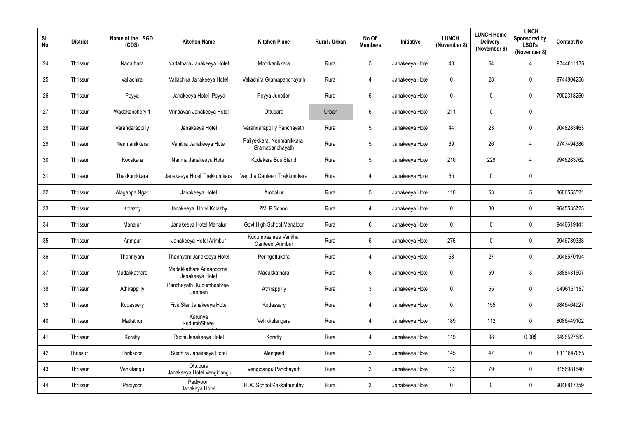| SI.<br>No. | <b>District</b> | Name of the LSGD<br>(CDS) | <b>Kitchen Name</b>                        | <b>Kitchen Place</b>                         | Rural / Urban | No Of<br><b>Members</b> | <b>Initiative</b> | <b>LUNCH</b><br>(November 8) | <b>LUNCH Home</b><br><b>Delivery</b><br>(November 8) | <b>LUNCH</b><br>Sponsored by<br><b>LSGI's</b><br>(November 8) | <b>Contact No</b> |
|------------|-----------------|---------------------------|--------------------------------------------|----------------------------------------------|---------------|-------------------------|-------------------|------------------------------|------------------------------------------------------|---------------------------------------------------------------|-------------------|
| 24         | Thrissur        | Nadathara                 | Nadathara Janakeeya Hotel                  | Moorkanikkara                                | Rural         | $5\overline{)}$         | Janakeeya Hotel   | 43                           | 64                                                   | -4                                                            | 9744611176        |
| 25         | Thrissur        | Vallachira                | Vallachira Janakeeya Hotel                 | Vallachira Gramapanchayath                   | Rural         | 4                       | Janakeeya Hotel   | $\mathbf 0$                  | 28                                                   | $\overline{0}$                                                | 9744804256        |
| 26         | Thrissur        | Poyya                     | Janakeeya Hotel, Poyya                     | Poyya Junction                               | Rural         | $5\phantom{.0}$         | Janakeeya Hotel   | $\mathbf 0$                  | $\mathbf 0$                                          | $\overline{0}$                                                | 7902318250        |
| 27         | Thrissur        | Wadakanchery 1            | Vrindavan Janakeeya Hotel                  | Ottupara                                     | Urban         | $5\phantom{.0}$         | Janakeeya Hotel   | 211                          | $\mathbf 0$                                          | $\mathbf 0$                                                   |                   |
| 28         | Thrissur        | Varandarappilly           | Janakeeya Hotel                            | Varandarappilly Panchayath                   | Rural         | $5\overline{)}$         | Janakeeya Hotel   | 44                           | 23                                                   | $\overline{0}$                                                | 9048283463        |
| 29         | Thrissur        | Nenmanikkara              | Vanitha Janakeeya Hotel                    | Paliyekkara, Nenmanikkara<br>Gramapanchayath | Rural         | $5\phantom{.0}$         | Janakeeya Hotel   | 69                           | 26                                                   | $\overline{4}$                                                | 9747494386        |
| 30         | Thrissur        | Kodakara                  | Nanma Janakeeya Hotel                      | Kodakara Bus Stand                           | Rural         | $5\phantom{.0}$         | Janakeeya Hotel   | 210                          | 229                                                  | -4                                                            | 9946283762        |
| 31         | Thrissur        | Thekkumkkara              | Janakeeya Hotel Thekkumkara                | Vanitha Canteen, Thekkumkara                 | Rural         | 4                       | Janakeeya Hotel   | 65                           | $\mathbf 0$                                          | $\mathbf 0$                                                   |                   |
| 32         | Thrissur        | Alagappa Ngar             | Janakeeya Hotel                            | Amballur                                     | Rural         | $5\overline{)}$         | Janakeeya Hotel   | 110                          | 63                                                   | 5                                                             | 8606553521        |
| 33         | Thrissur        | Kolazhy                   | Janakeeya Hotel Kolazhy                    | <b>ZMLP School</b>                           | Rural         | 4                       | Janakeeya Hotel   | $\mathbf 0$                  | 80                                                   | $\mathbf 0$                                                   | 9645535725        |
| 34         | Thrissur        | Manalur                   | Janakeeya Hotel Manalur                    | Govt High School, Manaloor                   | Rural         | $6\phantom{.}6$         | Janakeeya Hotel   | $\mathbf 0$                  | $\mathbf 0$                                          | $\overline{0}$                                                | 9446619441        |
| 35         | Thrissur        | Arimpur                   | Janakeeya Hotel Arimbur                    | Kudumbashree Vanitha<br>Canteen , Arimbur    | Rural         | $5\overline{)}$         | Janakeeya Hotel   | 275                          | $\overline{0}$                                       | $\overline{0}$                                                | 9946789338        |
| 36         | Thrissur        | Thanniyam                 | Thannyam Janakeeya Hotel                   | Peringottukara                               | Rural         | 4                       | Janakeeya Hotel   | 53                           | 27                                                   | $\overline{0}$                                                | 9048570194        |
| 37         | Thrissur        | Madakkathara              | Madakkathara Annapoorna<br>Janakeeya Hotel | Madakkathara                                 | Rural         | $6\overline{6}$         | Janakeeya Hotel   | $\mathbf 0$                  | 59                                                   | $\mathfrak{Z}$                                                | 9388431507        |
| 38         | Thrissur        | Athirappilly              | Panchayath Kudumbashree<br>Canteen         | Athirappilly                                 | Rural         | $3\overline{3}$         | Janakeeya Hotel   | $\pmb{0}$                    | 55                                                   | $\mathbf 0$                                                   | 9496151187        |
| 39         | Thrissur        | Kodassery                 | Five Star Janakeeya Hotel                  | Kodassery                                    | Rural         | $\overline{4}$          | Janakeeya Hotel   | $\mathbf 0$                  | 155                                                  | $\mathbf 0$                                                   | 9846464927        |
| 40         | Thrissur        | Mattathur                 | Karunya<br>kudumbShree                     | Vellikkulangara                              | Rural         | $\overline{4}$          | Janakeeya Hotel   | 189                          | 112                                                  | $\mathbf 0$                                                   | 8086449102        |
| 41         | Thrissur        | Koratty                   | Ruchi Janakeeya Hotel                      | Koratty                                      | Rural         | $\overline{4}$          | Janakeeya Hotel   | 119                          | 98                                                   | 0.00\$                                                        | 9496527583        |
| 42         | Thrissur        | Thrikkoor                 | Susthira Janakeeya Hotel                   | Alengaad                                     | Rural         | $3\phantom{.0}$         | Janakeeya Hotel   | 145                          | 47                                                   | $\mathbf 0$                                                   | 8111847055        |
| 43         | Thrissur        | Venkitangu                | Ottupura<br>Janakeeya Hotel Vengidangu     | Vengidangu Panchayath                        | Rural         | $3\phantom{.0}$         | Janakeeya Hotel   | 132                          | 79                                                   | $\pmb{0}$                                                     | 8156981840        |
| 44         | Thrissur        | Padiyoor                  | Padiyoor<br>Janakeya Hotel                 | HDC School, Kakkathuruthy                    | Rural         | $\mathfrak{Z}$          | Janakeeya Hotel   | $\pmb{0}$                    | $\mathbf 0$                                          | $\bm{0}$                                                      | 9048817359        |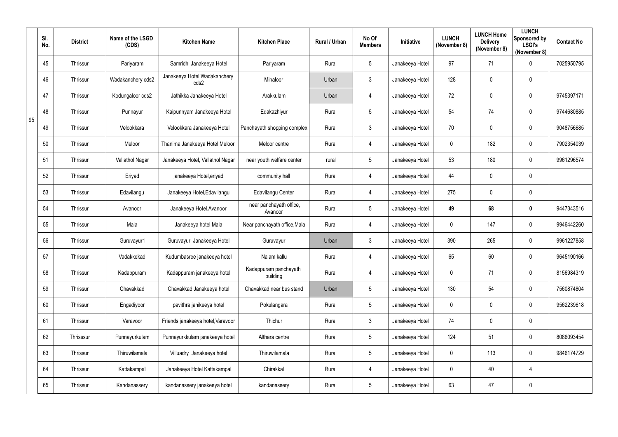|    | SI.<br>No. | <b>District</b> | Name of the LSGD<br>(CDS) | <b>Kitchen Name</b>                   | <b>Kitchen Place</b>               | Rural / Urban | No Of<br><b>Members</b> | Initiative      | <b>LUNCH</b><br>(November 8) | <b>LUNCH Home</b><br><b>Delivery</b><br>(November 8) | <b>LUNCH</b><br>Sponsored by<br><b>LSGI's</b><br>(November 8) | <b>Contact No</b> |
|----|------------|-----------------|---------------------------|---------------------------------------|------------------------------------|---------------|-------------------------|-----------------|------------------------------|------------------------------------------------------|---------------------------------------------------------------|-------------------|
|    | 45         | Thrissur        | Pariyaram                 | Samridhi Janakeeya Hotel              | Pariyaram                          | Rural         | 5                       | Janakeeya Hotel | 97                           | 71                                                   | $\mathbf 0$                                                   | 7025950795        |
|    | 46         | Thrissur        | Wadakanchery cds2         | Janakeeya Hotel, Wadakanchery<br>cds2 | Minaloor                           | Urban         | 3                       | Janakeeya Hotel | 128                          | 0                                                    | $\mathbf 0$                                                   |                   |
|    | 47         | Thrissur        | Kodungaloor cds2          | Jathikka Janakeeya Hotel              | Arakkulam                          | Urban         | $\overline{4}$          | Janakeeya Hotel | 72                           | 0                                                    | $\mathbf 0$                                                   | 9745397171        |
|    | 48         | Thrissur        | Punnayur                  | Kaipunnyam Janakeeya Hotel            | Edakazhiyur                        | Rural         | 5                       | Janakeeya Hotel | 54                           | 74                                                   | $\mathbf 0$                                                   | 9744680885        |
| 95 | 49         | Thrissur        | Velookkara                | Velookkara Janakeeya Hotel            | Panchayath shopping complex        | Rural         | 3                       | Janakeeya Hotel | 70                           | 0                                                    | $\mathbf 0$                                                   | 9048756685        |
|    | 50         | Thrissur        | Meloor                    | Thanima Janakeeya Hotel Meloor        | Meloor centre                      | Rural         | $\overline{4}$          | Janakeeya Hotel | $\overline{0}$               | 182                                                  | $\mathbf 0$                                                   | 7902354039        |
|    | 51         | Thrissur        | Vallathol Nagar           | Janakeeya Hotel, Vallathol Nagar      | near youth welfare center          | rural         | 5                       | Janakeeya Hotel | 53                           | 180                                                  | $\mathbf 0$                                                   | 9961296574        |
|    | 52         | Thrissur        | Eriyad                    | janakeeya Hotel, eriyad               | community hall                     | Rural         | $\overline{4}$          | Janakeeya Hotel | 44                           | 0                                                    | $\mathbf 0$                                                   |                   |
|    | 53         | Thrissur        | Edavilangu                | Janakeeya Hotel, Edavilangu           | Edavilangu Center                  | Rural         | $\overline{4}$          | Janakeeya Hotel | 275                          | 0                                                    | $\mathbf 0$                                                   |                   |
|    | 54         | Thrissur        | Avanoor                   | Janakeeya Hotel, Avanoor              | near panchayath office,<br>Avanoor | Rural         | 5                       | Janakeeya Hotel | 49                           | 68                                                   | $\boldsymbol{0}$                                              | 9447343516        |
|    | 55         | Thrissur        | Mala                      | Janakeeya hotel Mala                  | Near panchayath office, Mala       | Rural         | $\overline{4}$          | Janakeeya Hotel | $\mathbf 0$                  | 147                                                  | $\mathbf 0$                                                   | 9946442260        |
|    | 56         | Thrissur        | Guruvayur1                | Guruvayur Janakeeya Hotel             | Guruvayur                          | Urban         | $\mathfrak{Z}$          | Janakeeya Hotel | 390                          | 265                                                  | $\mathbf 0$                                                   | 9961227858        |
|    | 57         | Thrissur        | Vadakkekad                | Kudumbasree janakeeya hotel           | Nalam kallu                        | Rural         | 4                       | Janakeeya Hotel | 65                           | 60                                                   | 0                                                             | 9645190166        |
|    | 58         | Thrissur        | Kadappuram                | Kadappuram janakeeya hotel            | Kadappuram panchayath<br>building  | Rural         | $\overline{4}$          | Janakeeya Hotel | $\overline{0}$               | 71                                                   | $\overline{0}$                                                | 8156984319        |
|    | 59         | Thrissur        | Chavakkad                 | Chavakkad Janakeeya hotel             | Chavakkad, near bus stand          | Urban         | 5                       | Janakeeya Hotel | 130                          | 54                                                   | $\mathbf 0$                                                   | 7560874804        |
|    | 60         | Thrissur        | Engadiyoor                | pavithra janikeeya hotel              | Pokulangara                        | Rural         | 5                       | Janakeeya Hotel | $\mathbf 0$                  | 0                                                    | $\mathbf 0$                                                   | 9562239618        |
|    | 61         | Thrissur        | Varavoor                  | Friends janakeeya hotel, Varavoor     | Thichur                            | Rural         | $\mathfrak{Z}$          | Janakeeya Hotel | 74                           | 0                                                    | $\mathbf 0$                                                   |                   |
|    | 62         | Thrisssur       | Punnayurkulam             | Punnayurkkulam janakeeya hotel        | Althara centre                     | Rural         | $5\overline{)}$         | Janakeeya Hotel | 124                          | 51                                                   | $\mathbf 0$                                                   | 8086093454        |
|    | 63         | Thrissur        | Thiruwilamala             | Villuadry Janakeeya hotel             | Thiruwilamala                      | Rural         | 5                       | Janakeeya Hotel | $\mathbf 0$                  | 113                                                  | $\mathbf 0$                                                   | 9846174729        |
|    | 64         | Thrissur        | Kattakampal               | Janakeeya Hotel Kattakampal           | Chirakkal                          | Rural         | $\overline{4}$          | Janakeeya Hotel | $\mathbf 0$                  | 40                                                   | $\overline{4}$                                                |                   |
|    | 65         | Thrissur        | Kandanassery              | kandanassery janakeeya hotel          | kandanassery                       | Rural         | 5                       | Janakeeya Hotel | 63                           | 47                                                   | $\mathbf 0$                                                   |                   |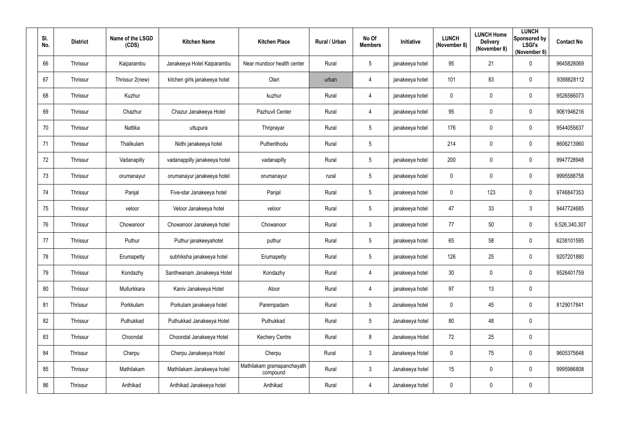| SI.<br>No. | <b>District</b> | Name of the LSGD<br>(CDS) | <b>Kitchen Name</b>           | <b>Kitchen Place</b>                   | Rural / Urban | No Of<br><b>Members</b> | Initiative      | <b>LUNCH</b><br>(November 8) | <b>LUNCH Home</b><br><b>Delivery</b><br>(November 8) | <b>LUNCH</b><br>Sponsored by<br><b>LSGI's</b><br>(November 8) | <b>Contact No</b> |
|------------|-----------------|---------------------------|-------------------------------|----------------------------------------|---------------|-------------------------|-----------------|------------------------------|------------------------------------------------------|---------------------------------------------------------------|-------------------|
| 66         | Thrissur        | Kaiparambu                | Janakeeya Hotel Kaiparambu    | Near mundoor health center             | Rural         | $5\phantom{.0}$         | janakeeya hotel | 95                           | 21                                                   | $\mathbf 0$                                                   | 9645828069        |
| 67         | Thrissur        | Thrissur 2(new)           | kitchen girls janakeeya hotel | Olari                                  | urban         | 4                       | janakeeya hotel | 101                          | 83                                                   | $\overline{0}$                                                | 9388828112        |
| 68         | Thrissur        | Kuzhur                    |                               | kuzhur                                 | Rural         | $\overline{4}$          | janakeeya hotel | $\mathbf 0$                  | 0                                                    | $\overline{0}$                                                | 9526566073        |
| 69         | Thrissur        | Chazhur                   | Chazur Janakeeya Hotel        | Pazhuvil Center                        | Rural         | 4                       | janakeeya hotel | 95                           | 0                                                    | $\mathbf 0$                                                   | 9061946216        |
| 70         | Thrissur        | Nattika                   | uttupura                      | Thriprayar                             | Rural         | $5\phantom{.0}$         | janakeeya hotel | 176                          | 0                                                    | $\overline{0}$                                                | 9544055637        |
| 71         | Thrissur        | Thalikulam                | Nidhi janakeeya hotel         | Puthenthodu                            | Rural         | $5\overline{)}$         |                 | 214                          | 0                                                    | $\overline{0}$                                                | 8606213960        |
| 72         | Thrissur        | Vadanapilly               | vadanappilly janakeeya hotel  | vadanapilly                            | Rural         | $5\phantom{.0}$         | janakeeya hotel | 200                          | 0                                                    | $\mathbf 0$                                                   | 9947728948        |
| 73         | Thrissur        | orumanayur                | orumanayur janakeeya hotel    | orumanayur                             | rural         | $5\phantom{.0}$         | janakeeya hotel | $\mathbf 0$                  | 0                                                    | $\overline{0}$                                                | 9995588758        |
| 74         | Thrissur        | Panjal                    | Five-star Janakeeya hotel     | Panjal                                 | Rural         | $5\phantom{.0}$         | janakeeya hotel | $\mathbf 0$                  | 123                                                  | $\overline{0}$                                                | 9746847353        |
| 75         | Thrissur        | veloor                    | Veloor Janakeeya hotel        | veloor                                 | Rural         | $5\phantom{.0}$         | janakeeya hotel | 47                           | 33                                                   | $\mathbf{3}$                                                  | 9447724685        |
| 76         | Thrissur        | Chowanoor                 | Chowanoor Janakeeya hotel     | Chowanoor                              | Rural         | $\mathbf{3}$            | janakeeya hotel | 77                           | 50                                                   | $\overline{0}$                                                | 9,526,340,307     |
| 77         | Thrissur        | Puthur                    | Puthur janakeeyahotel         | puthur                                 | Rural         | $5\phantom{.0}$         | janakeeya hotel | 65                           | 58                                                   | $\overline{0}$                                                | 6238101595        |
| 78         | Thrissur        | Erumapetty                | subhiksha janakeeya hotel     | Erumapetty                             | Rural         | 5                       | janakeeya hotel | 126                          | 25                                                   | $\mathbf 0$                                                   | 9207201880        |
| 79         | Thrissur        | Kondazhy                  | Santhwanam Janakeeya Hotel    | Kondazhy                               | Rural         | $\overline{4}$          | janakeeya hotel | 30 <sub>o</sub>              | 0                                                    | $\overline{0}$                                                | 9526401759        |
| 80         | Thrissur        | Mullurkkara               | Kaniv Janakeeya Hotel         | Atoor                                  | Rural         | $\overline{4}$          | janakeeya hotel | 97                           | 13                                                   | $\overline{0}$                                                |                   |
| 81         | Thrissur        | Porkkulam                 | Porkulam janakeeya hotel      | Parempadam                             | Rural         | $5\phantom{.0}$         | Janakeeya hotel | $\mathbf 0$                  | 45                                                   | $\overline{0}$                                                | 8129017841        |
| 82         | Thrissur        | Puthukkad                 | Puthukkad Janakeeya Hotel     | Puthukkad                              | Rural         | 5 <sub>5</sub>          | Janakeeya hotel | 80                           | 48                                                   | $\overline{0}$                                                |                   |
| 83         | Thrissur        | Choondal                  | Choondal Janakeeya Hotel      | <b>Kechery Centre</b>                  | Rural         | 8                       | Janakeeya Hotel | 72                           | 25                                                   | $\overline{0}$                                                |                   |
| 84         | Thrissur        | Cherpu                    | Cherpu Janakeeya Hotel        | Cherpu                                 | Rural         | $\mathbf{3}$            | Janakeeya Hotel | $\mathbf 0$                  | 75                                                   | $\overline{0}$                                                | 9605375648        |
| 85         | Thrissur        | Mathilakam                | Mathilakam Janakeeya hotel    | Mathilakam gramapanchayath<br>compound | Rural         | 3 <sup>1</sup>          | Janakeeya hotel | 15                           | 0                                                    | $\mathbf 0$                                                   | 9995986808        |
| 86         | Thrissur        | Anthikad                  | Anthikad Janakeeya hotel      | Anthikad                               | Rural         | $\overline{4}$          | Janakeeya hotel | $\boldsymbol{0}$             | 0                                                    | $\overline{0}$                                                |                   |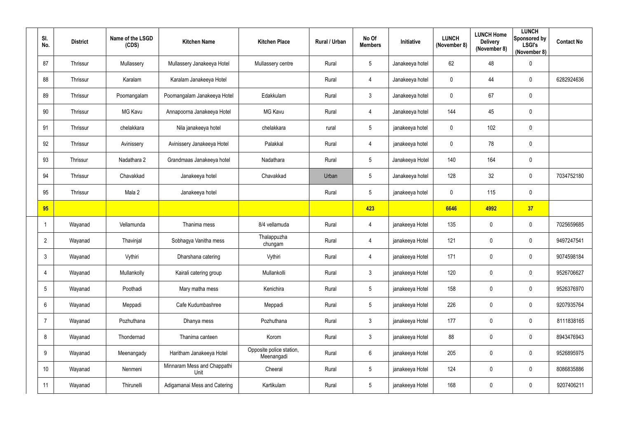| SI.<br>No.      | <b>District</b> | Name of the LSGD<br>(CDS) | <b>Kitchen Name</b>                 | <b>Kitchen Place</b>                   | Rural / Urban | No Of<br><b>Members</b> | Initiative      | <b>LUNCH</b><br>(November 8) | <b>LUNCH Home</b><br><b>Delivery</b><br>(November 8) | <b>LUNCH</b><br>Sponsored by<br><b>LSGI's</b><br>(November 8) | <b>Contact No</b> |
|-----------------|-----------------|---------------------------|-------------------------------------|----------------------------------------|---------------|-------------------------|-----------------|------------------------------|------------------------------------------------------|---------------------------------------------------------------|-------------------|
| 87              | Thrissur        | Mullassery                | Mullassery Janakeeya Hotel          | Mullassery centre                      | Rural         | $5\overline{)}$         | Janakeeya hotel | 62                           | 48                                                   | $\mathbf 0$                                                   |                   |
| 88              | Thrissur        | Karalam                   | Karalam Janakeeya Hotel             |                                        | Rural         | $\overline{4}$          | Janakeeya hotel | $\overline{0}$               | 44                                                   | $\overline{0}$                                                | 6282924636        |
| 89              | Thrissur        | Poomangalam               | Poomangalam Janakeeya Hotel         | Edakkulam                              | Rural         | $\mathbf{3}$            | Janakeeya hotel | $\overline{0}$               | 67                                                   | $\mathbf 0$                                                   |                   |
| 90              | Thrissur        | MG Kavu                   | Annapoorna Janakeeya Hotel          | <b>MG Kavu</b>                         | Rural         | $\overline{4}$          | Janakeeya hotel | 144                          | 45                                                   | $\mathbf 0$                                                   |                   |
| 91              | Thrissur        | chelakkara                | Nila janakeeya hotel                | chelakkara                             | rural         | $5\overline{)}$         | janakeeya hotel | $\overline{0}$               | 102                                                  | $\mathbf 0$                                                   |                   |
| 92              | Thrissur        | Avinissery                | Avinissery Janakeeya Hotel          | Palakkal                               | Rural         | 4                       | janakeeya hotel | $\overline{0}$               | 78                                                   | $\mathbf 0$                                                   |                   |
| 93              | Thrissur        | Nadathara 2               | Grandmaas Janakeeya hotel           | Nadathara                              | Rural         | $5\phantom{.0}$         | Janakeeya Hotel | 140                          | 164                                                  | $\mathbf 0$                                                   |                   |
| 94              | Thrissur        | Chavakkad                 | Janakeeya hotel                     | Chavakkad                              | Urban         | $5\phantom{.0}$         | Janakeeya hotel | 128                          | 32                                                   | $\mathbf 0$                                                   | 7034752180        |
| 95              | Thrissur        | Mala 2                    | Janakeeya hotel                     |                                        | Rural         | $5\phantom{.0}$         | janakeeya hotel | $\overline{0}$               | 115                                                  | $\mathbf 0$                                                   |                   |
| 95              |                 |                           |                                     |                                        |               | 423                     |                 | 6646                         | 4992                                                 | 37                                                            |                   |
|                 | Wayanad         | Vellamunda                | Thanima mess                        | 8/4 vellamuda                          | Rural         | 4                       | janakeeya Hotel | 135                          | $\mathbf 0$                                          | $\boldsymbol{0}$                                              | 7025659685        |
| $\overline{2}$  | Wayanad         | Thavinjal                 | Sobhagya Vanitha mess               | Thalappuzha<br>chungam                 | Rural         | $\overline{4}$          | janakeeya Hotel | 121                          | $\mathbf 0$                                          | $\overline{0}$                                                | 9497247541        |
| 3               | Wayanad         | Vythiri                   | Dharshana catering                  | Vythiri                                | Rural         | 4                       | janakeeya Hotel | 171                          | 0                                                    | $\overline{0}$                                                | 9074598184        |
| $\overline{4}$  | Wayanad         | Mullankolly               | Kairali catering group              | Mullankolli                            | Rural         | $3\phantom{.0}$         | janakeeya Hotel | 120                          | $\mathbf 0$                                          | $\pmb{0}$                                                     | 9526706627        |
| $5\phantom{.0}$ | Wayanad         | Poothadi                  | Mary matha mess                     | Kenichira                              | Rural         | $5\phantom{.0}$         | janakeeya Hotel | 158                          | $\mathbf 0$                                          | $\mathbf 0$                                                   | 9526376970        |
| 6               | Wayanad         | Meppadi                   | Cafe Kudumbashree                   | Meppadi                                | Rural         | $5\phantom{.0}$         | janakeeya Hotel | 226                          | $\mathbf 0$                                          | $\mathbf 0$                                                   | 9207935764        |
| $\overline{7}$  | Wayanad         | Pozhuthana                | Dhanya mess                         | Pozhuthana                             | Rural         | $\mathbf{3}$            | janakeeya Hotel | 177                          | $\mathbf 0$                                          | $\pmb{0}$                                                     | 8111838165        |
| 8               | Wayanad         | Thondernad                | Thanima canteen                     | Korom                                  | Rural         | $\mathbf{3}$            | janakeeya Hotel | 88                           | $\mathbf 0$                                          | $\mathbf 0$                                                   | 8943476943        |
| 9               | Wayanad         | Meenangady                | Haritham Janakeeya Hotel            | Opposite police station,<br>Meenangadi | Rural         | $6\overline{6}$         | janakeeya Hotel | 205                          | $\mathbf 0$                                          | $\mathbf 0$                                                   | 9526895975        |
| 10              | Wayanad         | Nenmeni                   | Minnaram Mess and Chappathi<br>Unit | Cheeral                                | Rural         | $5\phantom{.0}$         | janakeeya Hotel | 124                          | $\mathbf 0$                                          | $\mathbf 0$                                                   | 8086835886        |
| 11              | Wayanad         | Thirunelli                | Adigamanai Mess and Catering        | Kartikulam                             | Rural         | $5\phantom{.0}$         | janakeeya Hotel | 168                          | $\mathbf 0$                                          | $\mathbf 0$                                                   | 9207406211        |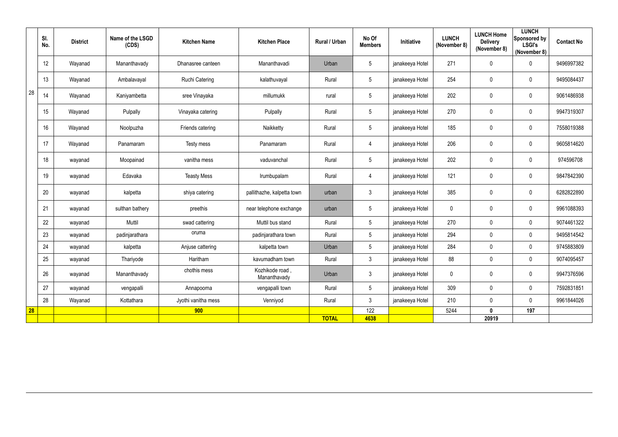|    | SI.<br>No. | <b>District</b> | Name of the LSGD<br>(CDS) | <b>Kitchen Name</b>   | <b>Kitchen Place</b>            | Rural / Urban | No Of<br><b>Members</b> | Initiative      | <b>LUNCH</b><br>(November 8) | <b>LUNCH Home</b><br><b>Delivery</b><br>(November 8) | <b>LUNCH</b><br><b>Sponsored by</b><br><b>LSGI's</b><br>(November 8) | <b>Contact No</b> |
|----|------------|-----------------|---------------------------|-----------------------|---------------------------------|---------------|-------------------------|-----------------|------------------------------|------------------------------------------------------|----------------------------------------------------------------------|-------------------|
|    | 12         | Wayanad         | Mananthavady              | Dhanasree canteen     | Mananthavadi                    | Urban         | $5\phantom{.0}$         | janakeeya Hotel | 271                          | $\pmb{0}$                                            | $\overline{0}$                                                       | 9496997382        |
|    | 13         | Wayanad         | Ambalavayal               | <b>Ruchi Catering</b> | kalathuvayal                    | Rural         | $5\phantom{.0}$         | janakeeya Hotel | 254                          | 0                                                    | $\mathbf 0$                                                          | 9495084437        |
| 28 | 14         | Wayanad         | Kaniyambetta              | sree Vinayaka         | millumukk                       | rural         | $5\phantom{.0}$         | janakeeya Hotel | 202                          | 0                                                    | $\overline{0}$                                                       | 9061486938        |
|    | 15         | Wayanad         | Pulpally                  | Vinayaka catering     | Pulpally                        | Rural         | $5\phantom{.0}$         | janakeeya Hotel | 270                          | $\pmb{0}$                                            | $\overline{0}$                                                       | 9947319307        |
|    | 16         | Wayanad         | Noolpuzha                 | Friends catering      | Naikketty                       | Rural         | $5\phantom{.0}$         | janakeeya Hotel | 185                          | $\pmb{0}$                                            | $\overline{0}$                                                       | 7558019388        |
|    | 17         | Wayanad         | Panamaram                 | Testy mess            | Panamaram                       | Rural         | 4                       | janakeeya Hotel | 206                          | 0                                                    | $\overline{0}$                                                       | 9605814620        |
|    | 18         | wayanad         | Moopainad                 | vanitha mess          | vaduvanchal                     | Rural         | $\sqrt{5}$              | janakeeya Hotel | 202                          | $\pmb{0}$                                            | $\mathbf 0$                                                          | 974596708         |
|    | 19         | wayanad         | Edavaka                   | <b>Teasty Mess</b>    | Irumbupalam                     | Rural         | 4                       | janakeeya Hotel | 121                          | $\pmb{0}$                                            | $\overline{0}$                                                       | 9847842390        |
|    | 20         | wayanad         | kalpetta                  | shiya catering        | pallithazhe, kalpetta town      | urban         | $\mathfrak{Z}$          | janakeeya Hotel | 385                          | $\pmb{0}$                                            | $\overline{0}$                                                       | 6282822890        |
|    | 21         | wayanad         | sulthan bathery           | preethis              | near telephone exchange         | urban         | $5\phantom{.0}$         | janakeeya Hotel | $\mathbf 0$                  | $\pmb{0}$                                            | $\mathbf 0$                                                          | 9961088393        |
|    | 22         | wayanad         | Muttil                    | swad cattering        | Muttil bus stand                | Rural         | $5\phantom{.0}$         | janakeeya Hotel | 270                          | $\pmb{0}$                                            | $\mathbf 0$                                                          | 9074461322        |
|    | 23         | wayanad         | padinjarathara            | oruma                 | padinjarathara town             | Rural         | $5\phantom{.0}$         | janakeeya Hotel | 294                          | 0                                                    | $\mathbf 0$                                                          | 9495814542        |
|    | 24         | wayanad         | kalpetta                  | Anjuse cattering      | kalpetta town                   | Urban         | $5\phantom{.0}$         | janakeeya Hotel | 284                          | $\mathbf 0$                                          | $\mathbf 0$                                                          | 9745883809        |
|    | 25         | wayanad         | Thariyode                 | Haritham              | kavumadham town                 | Rural         | $\mathfrak{Z}$          | janakeeya Hotel | 88                           | 0                                                    | $\mathbf 0$                                                          | 9074095457        |
|    | 26         | wayanad         | Mananthavady              | chothis mess          | Kozhikode road,<br>Mananthavady | Urban         | $\mathfrak{Z}$          | janakeeya Hotel | $\mathbf 0$                  | $\pmb{0}$                                            | $\overline{0}$                                                       | 9947376596        |
|    | 27         | wayanad         | vengapalli                | Annapoorna            | vengapalli town                 | Rural         | $5\phantom{.0}$         | janakeeya Hotel | 309                          | $\pmb{0}$                                            | $\mathbf 0$                                                          | 7592831851        |
|    | 28         | Wayanad         | Kottathara                | Jyothi vanitha mess   | Venniyod                        | Rural         | $\mathfrak{Z}$          | janakeeya Hotel | 210                          | $\pmb{0}$                                            | $\mathbf 0$                                                          | 9961844026        |
| 28 |            |                 |                           | 900                   |                                 |               | 122                     |                 | 5244                         | $\boldsymbol{0}$                                     | 197                                                                  |                   |
|    |            |                 |                           |                       |                                 | <b>TOTAL</b>  | 4638                    |                 |                              | 20919                                                |                                                                      |                   |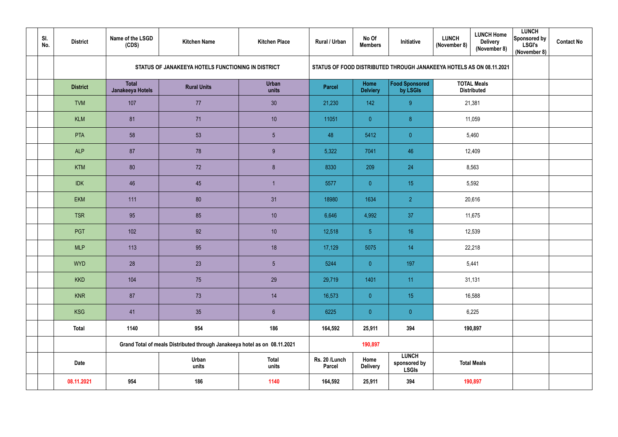| SI.<br>No. | <b>District</b> | Name of the LSGD<br>(CDS)        | <b>Kitchen Name</b>                                                       | <b>Kitchen Place</b>  | <b>Rural / Urban</b>           | No Of<br><b>Members</b> | Initiative                                   | <b>LUNCH</b><br>(November 8)                                         | <b>LUNCH Home</b><br><b>Delivery</b><br>(November 8) | <b>LUNCH</b><br>Sponsored by<br><b>LSGI's</b><br>(November 8) | <b>Contact No</b> |
|------------|-----------------|----------------------------------|---------------------------------------------------------------------------|-----------------------|--------------------------------|-------------------------|----------------------------------------------|----------------------------------------------------------------------|------------------------------------------------------|---------------------------------------------------------------|-------------------|
|            |                 |                                  | STATUS OF JANAKEEYA HOTELS FUNCTIONING IN DISTRICT                        |                       |                                |                         |                                              | STATUS OF FOOD DISTRIBUTED THROUGH JANAKEEYA HOTELS AS ON 08.11.2021 |                                                      |                                                               |                   |
|            | <b>District</b> | <b>Total</b><br>Janakeeya Hotels | <b>Rural Units</b>                                                        | <b>Urban</b><br>units | <b>Parcel</b>                  | Home<br><b>Delviery</b> | Food Sponsored<br>by LSGIs                   | <b>TOTAL Meals</b><br><b>Distributed</b>                             |                                                      |                                                               |                   |
|            | <b>TVM</b>      | 107                              | 77                                                                        | 30                    | 21,230                         | 142                     | 9                                            | 21,381                                                               |                                                      |                                                               |                   |
|            | <b>KLM</b>      | 81                               | 71                                                                        | 10                    | 11051                          | $\overline{0}$          | $\boldsymbol{8}$                             | 11,059                                                               |                                                      |                                                               |                   |
|            | PTA             | 58                               | 53                                                                        | $5\overline{)}$       | 48                             | 5412                    | $\overline{0}$                               | 5,460                                                                |                                                      |                                                               |                   |
|            | <b>ALP</b>      | 87                               | 78                                                                        | 9                     | 5,322                          | 7041                    | 46                                           | 12,409                                                               |                                                      |                                                               |                   |
|            | <b>KTM</b>      | 80                               | 72                                                                        | 8 <sup>°</sup>        | 8330                           | 209                     | 24                                           | 8,563                                                                |                                                      |                                                               |                   |
|            | <b>IDK</b>      | 46                               | 45                                                                        |                       | 5577                           | $\overline{0}$          | 15                                           | 5,592                                                                |                                                      |                                                               |                   |
|            | <b>EKM</b>      | 111                              | 80                                                                        | 31                    | 18980                          | 1634                    | 2 <sup>1</sup>                               | 20,616                                                               |                                                      |                                                               |                   |
|            | <b>TSR</b>      | 95                               | 85                                                                        | 10                    | 6,646                          | 4,992                   | 37                                           | 11,675                                                               |                                                      |                                                               |                   |
|            | <b>PGT</b>      | 102                              | 92                                                                        | 10                    | 12,518                         | 5 <sup>5</sup>          | 16                                           | 12,539                                                               |                                                      |                                                               |                   |
|            | <b>MLP</b>      | 113                              | 95                                                                        | 18                    | 17,129                         | 5075                    | 14                                           | 22,218                                                               |                                                      |                                                               |                   |
|            | <b>WYD</b>      | 28                               | 23                                                                        | $5\phantom{.0}$       | 5244                           | $\overline{0}$          | 197                                          | 5,441                                                                |                                                      |                                                               |                   |
|            | <b>KKD</b>      | 104                              | 75                                                                        | 29                    | 29,719                         | 1401                    | 11                                           | 31,131                                                               |                                                      |                                                               |                   |
|            | <b>KNR</b>      | 87                               | 73                                                                        | 14                    | 16,573                         | $\pmb{0}$               | 15 <sub>15</sub>                             | 16,588                                                               |                                                      |                                                               |                   |
|            | KSG             | 41                               | 35                                                                        | $6\phantom{.}$        | 6225                           | $\pmb{0}$               | $\overline{0}$                               | 6,225                                                                |                                                      |                                                               |                   |
|            | <b>Total</b>    | 1140                             | 954                                                                       | 186                   | 164,592                        | 25,911                  | 394                                          | 190,897                                                              |                                                      |                                                               |                   |
|            |                 |                                  | Grand Total of meals Distributed through Janakeeya hotel as on 08.11.2021 |                       |                                | 190,897                 |                                              |                                                                      |                                                      |                                                               |                   |
|            | <b>Date</b>     |                                  | Urban<br>units                                                            | <b>Total</b><br>units | Rs. 20 /Lunch<br><b>Parcel</b> | Home<br><b>Delivery</b> | <b>LUNCH</b><br>sponsored by<br><b>LSGIs</b> | <b>Total Meals</b>                                                   |                                                      |                                                               |                   |
|            | 08.11.2021      | 954                              | 186                                                                       | 1140                  | 164,592                        | 25,911                  | 394                                          | 190,897                                                              |                                                      |                                                               |                   |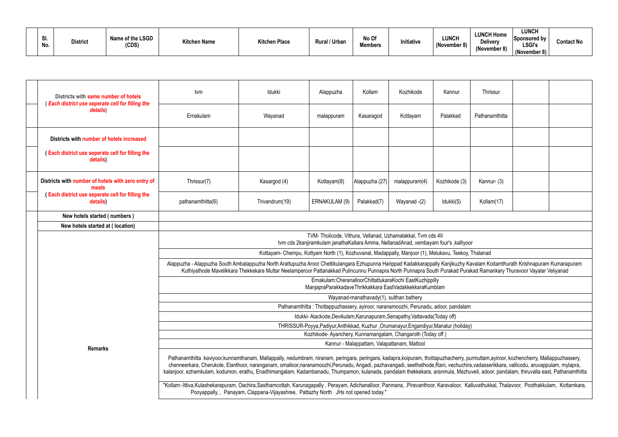| וט.<br>No. | <b>District</b> | Name of the LSGD<br>(CDS) | <b>Kitchen Name</b> | <b>Kitchen Place</b> | <b>Rural / Urban</b> | No Of<br><b>Members</b> | Initiative | <b>LUNCH</b><br>(November 8) | <b>LUNCH Home</b><br><b>Delivery</b><br>(November 8) | <b>LUNCH</b><br>Sponsored by<br><b>LSGI's</b><br>(November 8) | <b>Contact No</b> |
|------------|-----------------|---------------------------|---------------------|----------------------|----------------------|-------------------------|------------|------------------------------|------------------------------------------------------|---------------------------------------------------------------|-------------------|
|------------|-----------------|---------------------------|---------------------|----------------------|----------------------|-------------------------|------------|------------------------------|------------------------------------------------------|---------------------------------------------------------------|-------------------|

| Districts with same number of hotels                         | tvm                                                                                                                                                                                                                                                                                                                                                                                                                                                                                                                                                                  | <b>Idukki</b>                                                                     | Alappuzha                                                                                                                                           | Kollam                                  | Kozhikode                                   | Kannur        | Thrissur       |  |  |  |  |
|--------------------------------------------------------------|----------------------------------------------------------------------------------------------------------------------------------------------------------------------------------------------------------------------------------------------------------------------------------------------------------------------------------------------------------------------------------------------------------------------------------------------------------------------------------------------------------------------------------------------------------------------|-----------------------------------------------------------------------------------|-----------------------------------------------------------------------------------------------------------------------------------------------------|-----------------------------------------|---------------------------------------------|---------------|----------------|--|--|--|--|
| (Each district use seperate cell for filling the<br>details) | Ernakulam                                                                                                                                                                                                                                                                                                                                                                                                                                                                                                                                                            | Wayanad                                                                           | malappuram                                                                                                                                          | Kasaragod                               | Kottayam                                    | Palakkad      | Pathanamthitta |  |  |  |  |
| Districts with number of hotels increased                    |                                                                                                                                                                                                                                                                                                                                                                                                                                                                                                                                                                      |                                                                                   |                                                                                                                                                     |                                         |                                             |               |                |  |  |  |  |
| (Each district use seperate cell for filling the<br>details) |                                                                                                                                                                                                                                                                                                                                                                                                                                                                                                                                                                      |                                                                                   |                                                                                                                                                     |                                         |                                             |               |                |  |  |  |  |
| Districts with number of hotels with zero entry of<br>meals  | Thrissur(7)                                                                                                                                                                                                                                                                                                                                                                                                                                                                                                                                                          | Kasargod (4)                                                                      | Kottayam(8)                                                                                                                                         | Alappuzha (27)                          | malappuram(4)                               | Kozhikode (3) | Kannur- (3)    |  |  |  |  |
| (Each district use seperate cell for filling the<br>details) | pathanamthitta(6)                                                                                                                                                                                                                                                                                                                                                                                                                                                                                                                                                    | Trivandrum(19)                                                                    | ERNAKULAM (9)                                                                                                                                       | Palakkad(7)                             | Wayanad -(2)                                | Idukki(5)     | Kollam(17)     |  |  |  |  |
| New hotels started (numbers)                                 |                                                                                                                                                                                                                                                                                                                                                                                                                                                                                                                                                                      |                                                                                   |                                                                                                                                                     |                                         |                                             |               |                |  |  |  |  |
| New hotels started at (location)                             |                                                                                                                                                                                                                                                                                                                                                                                                                                                                                                                                                                      |                                                                                   |                                                                                                                                                     |                                         |                                             |               |                |  |  |  |  |
|                                                              |                                                                                                                                                                                                                                                                                                                                                                                                                                                                                                                                                                      |                                                                                   | TVM-Tholicode, Vithura, Vellanad, Uzhamalakkal, Tvm cds 4II<br>tvm cds 2kanjiramkulam janathaKallara Amma, NellanadAnad, vembayam four's, kalliyoor |                                         |                                             |               |                |  |  |  |  |
|                                                              | Kottayam- Chempu, Kottyam North (1), Kozhuvanal, Madappally, Manjoor (1), Melukavu, Teekoy, Thalanad                                                                                                                                                                                                                                                                                                                                                                                                                                                                 |                                                                                   |                                                                                                                                                     |                                         |                                             |               |                |  |  |  |  |
|                                                              | Alappuzha - Alappuzha South Ambalappuzha North Arattupuzha Aroor Chettikulangara Ezhupunna Harippad Kadakkarappally Kanjikuzhy Kavalam Kodamthurath Krishnapuram Kumarapuram<br>Kuthiyathode Mavelikkara Thekkekara Muttar Neelamperoor Pattanakkad Pulincunnu Punnapra North Punnapra South Purakad Purakad Ramankary Thuravoor Vayalar Veliyanad                                                                                                                                                                                                                   |                                                                                   |                                                                                                                                                     |                                         |                                             |               |                |  |  |  |  |
|                                                              | Ernakulam:CheranalloorChittattukaraKochi EastKuzhippilly<br>ManjapraParakkadaveThrikkakkara EastVadakkekkaraKumblam                                                                                                                                                                                                                                                                                                                                                                                                                                                  |                                                                                   |                                                                                                                                                     |                                         |                                             |               |                |  |  |  |  |
|                                                              |                                                                                                                                                                                                                                                                                                                                                                                                                                                                                                                                                                      |                                                                                   |                                                                                                                                                     | Wayanad-manathavady(1), sulthan bathery |                                             |               |                |  |  |  |  |
|                                                              |                                                                                                                                                                                                                                                                                                                                                                                                                                                                                                                                                                      |                                                                                   | Pathanamthitta: Thottappuzhassery, ayiroor, naranamoozhi, Perunadu, adoor, pandalam                                                                 |                                         |                                             |               |                |  |  |  |  |
|                                                              | Idukki-Alackode, Devikulam, Karunapuram, Senapathy, Vattavada (Today off)<br>THRISSUR-Poyya, Padiyur, Anthikkad, Kuzhur, Orumanayur, Engandiyur, Manalur (holiday)                                                                                                                                                                                                                                                                                                                                                                                                   |                                                                                   |                                                                                                                                                     |                                         |                                             |               |                |  |  |  |  |
|                                                              | Kozhikode-Ayanchery, Kunnamangalam, Changaroth (Today off)                                                                                                                                                                                                                                                                                                                                                                                                                                                                                                           |                                                                                   |                                                                                                                                                     |                                         |                                             |               |                |  |  |  |  |
|                                                              |                                                                                                                                                                                                                                                                                                                                                                                                                                                                                                                                                                      |                                                                                   |                                                                                                                                                     |                                         | Kannur - Malappattam, Valapattanam, Mattool |               |                |  |  |  |  |
| <b>Remarks</b>                                               | Pathanamthitta :kaviyoor,kunnamthanam, Mallappally, nedumbram, niranam, peringara, peringara, kadapra,koipuram, thottapuzhacherry, purmuttam,ayiroor, kozhencherry, Mallappuzhassery,<br>chenneerkara, Cherukole, Elanthoor, naranganam, omalloor,naranamoozhi,Perunadu, Angadi, pazhavangadi, seethathode,Rani, vechuchira,vadasserikkara, vallicodu, aruvappulam, mylapra,<br>kalanjoor, ezhamkulam, kodumon, erathu, Enadhimangalam, Kadambanadu, Thumpamon, kulanada, pandalam thekkekara, aranmula, Mezhuveli, adoor, pandalam, thiruvalla east, Pathanamthitta |                                                                                   |                                                                                                                                                     |                                         |                                             |               |                |  |  |  |  |
|                                                              | "Kollam:-Ittiva,Kulashekarapuram, Oachira,Sasthamcottah, Karunagapally, Perayam, Adichanalloor, Panmana, ,Piravanthoor, Karavaloor, Kalluvathukkal, Thalavoor, Poothakkulam, Kottamkara,                                                                                                                                                                                                                                                                                                                                                                             | Pooyappally, Panayam, Clappana-Vijayashree, Pattazhy North JHs not opened today." |                                                                                                                                                     |                                         |                                             |               |                |  |  |  |  |